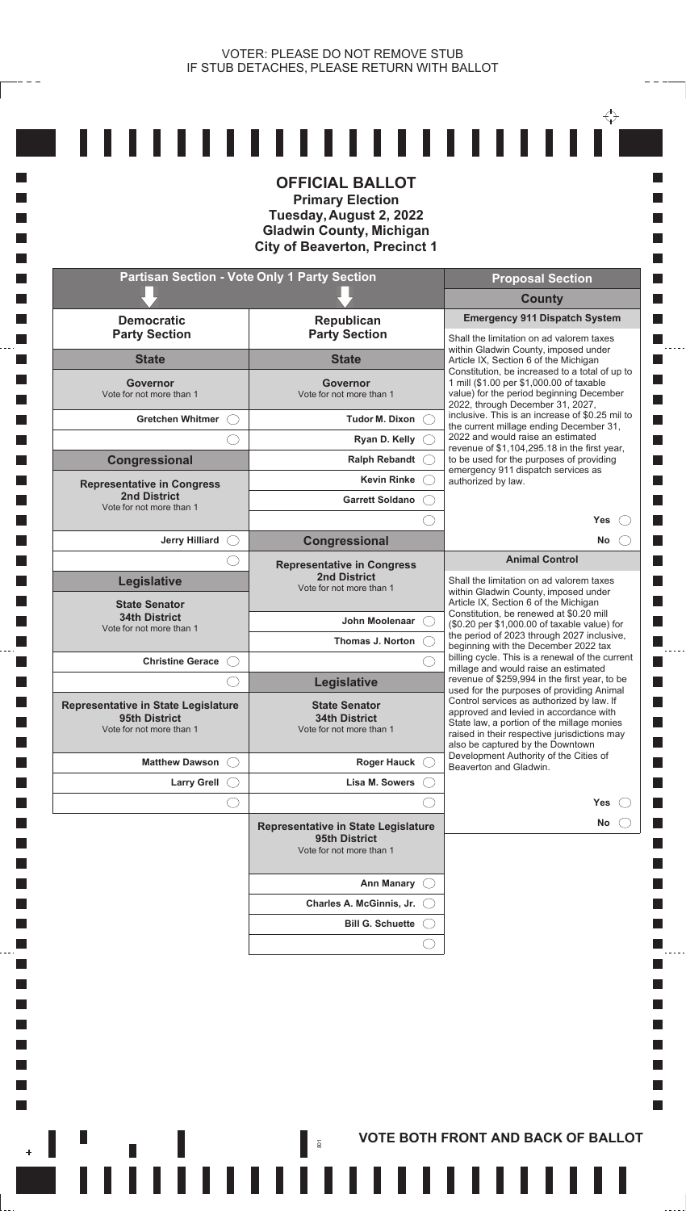**I** 

П **I The State Tale I T** 

**Tale T** 

**Tale T Tale** 

**I I I** L. **T I** 

**Tale T** 

**T I**  $\mathcal{L}_{\mathcal{A}}$  $\mathcal{L}_{\mathcal{A}}$ **I** П

 $\overline{\phantom{a}}$ 

| <b>Partisan Section - Vote Only 1 Party Section</b><br><b>Proposal Section</b><br><b>County</b><br><b>Emergency 911 Dispatch System</b><br><b>Democratic</b><br>Republican<br><b>Party Section</b><br><b>Party Section</b><br>Shall the limitation on ad valorem taxes<br>within Gladwin County, imposed under<br><b>State</b><br><b>State</b><br>Article IX, Section 6 of the Michigan<br>1 mill (\$1.00 per \$1,000.00 of taxable<br>Governor<br>Governor<br>value) for the period beginning December<br>Vote for not more than 1<br>Vote for not more than 1<br>2022, through December 31, 2027,<br><b>Gretchen Whitmer</b><br><b>Tudor M. Dixon</b><br>the current millage ending December 31,<br>2022 and would raise an estimated<br>Ryan D. Kelly (<br>revenue of \$1,104,295.18 in the first year,<br>to be used for the purposes of providing<br><b>Congressional</b><br>Ralph Rebandt (<br>emergency 911 dispatch services as<br><b>Kevin Rinke</b><br>authorized by law.<br><b>Representative in Congress</b><br><b>2nd District</b><br><b>Garrett Soldano</b><br>Vote for not more than 1<br>Yes<br>Congressional<br><b>Jerry Hilliard</b><br>No<br><b>Animal Control</b><br><b>Representative in Congress</b><br><b>2nd District</b><br><b>Legislative</b><br>Shall the limitation on ad valorem taxes<br>Vote for not more than 1<br>within Gladwin County, imposed under<br>Article IX, Section 6 of the Michigan<br><b>State Senator</b><br>Constitution, be renewed at \$0.20 mill<br><b>34th District</b><br>John Moolenaar<br>(\$0.20 per \$1,000.00 of taxable value) for<br>Vote for not more than 1<br>the period of 2023 through 2027 inclusive,<br>Thomas J. Norton<br>beginning with the December 2022 tax<br>billing cycle. This is a renewal of the current<br><b>Christine Gerace</b><br>millage and would raise an estimated<br>revenue of \$259,994 in the first year, to be<br>Legislative<br>used for the purposes of providing Animal<br>Control services as authorized by law. If<br><b>State Senator</b><br>approved and levied in accordance with<br><b>34th District</b><br>95th District<br>State law, a portion of the millage monies<br>Vote for not more than 1<br>Vote for not more than 1<br>raised in their respective jurisdictions may<br>also be captured by the Downtown<br>Development Authority of the Cities of<br><b>Matthew Dawson</b><br><b>Roger Hauck</b><br>Beaverton and Gladwin.<br><b>Larry Grell</b><br>Lisa M. Sowers<br>Yes<br>No<br>Representative in State Legislature<br>95th District<br>Vote for not more than 1<br><b>Ann Manary</b><br>Charles A. McGinnis, Jr. |                                            | <b>OFFICIAL BALLOT</b><br><b>Primary Election</b><br>Tuesday, August 2, 2022<br><b>Gladwin County, Michigan</b><br><b>City of Beaverton, Precinct 1</b> |                                                 |
|---------------------------------------------------------------------------------------------------------------------------------------------------------------------------------------------------------------------------------------------------------------------------------------------------------------------------------------------------------------------------------------------------------------------------------------------------------------------------------------------------------------------------------------------------------------------------------------------------------------------------------------------------------------------------------------------------------------------------------------------------------------------------------------------------------------------------------------------------------------------------------------------------------------------------------------------------------------------------------------------------------------------------------------------------------------------------------------------------------------------------------------------------------------------------------------------------------------------------------------------------------------------------------------------------------------------------------------------------------------------------------------------------------------------------------------------------------------------------------------------------------------------------------------------------------------------------------------------------------------------------------------------------------------------------------------------------------------------------------------------------------------------------------------------------------------------------------------------------------------------------------------------------------------------------------------------------------------------------------------------------------------------------------------------------------------------------------------------------------------------------------------------------------------------------------------------------------------------------------------------------------------------------------------------------------------------------------------------------------------------------------------------------------------------------------------------------------------------------------------------------------------------------------------------------------------------------------------------------------------------------------------|--------------------------------------------|---------------------------------------------------------------------------------------------------------------------------------------------------------|-------------------------------------------------|
|                                                                                                                                                                                                                                                                                                                                                                                                                                                                                                                                                                                                                                                                                                                                                                                                                                                                                                                                                                                                                                                                                                                                                                                                                                                                                                                                                                                                                                                                                                                                                                                                                                                                                                                                                                                                                                                                                                                                                                                                                                                                                                                                                                                                                                                                                                                                                                                                                                                                                                                                                                                                                                       |                                            |                                                                                                                                                         |                                                 |
|                                                                                                                                                                                                                                                                                                                                                                                                                                                                                                                                                                                                                                                                                                                                                                                                                                                                                                                                                                                                                                                                                                                                                                                                                                                                                                                                                                                                                                                                                                                                                                                                                                                                                                                                                                                                                                                                                                                                                                                                                                                                                                                                                                                                                                                                                                                                                                                                                                                                                                                                                                                                                                       |                                            |                                                                                                                                                         |                                                 |
|                                                                                                                                                                                                                                                                                                                                                                                                                                                                                                                                                                                                                                                                                                                                                                                                                                                                                                                                                                                                                                                                                                                                                                                                                                                                                                                                                                                                                                                                                                                                                                                                                                                                                                                                                                                                                                                                                                                                                                                                                                                                                                                                                                                                                                                                                                                                                                                                                                                                                                                                                                                                                                       |                                            |                                                                                                                                                         |                                                 |
|                                                                                                                                                                                                                                                                                                                                                                                                                                                                                                                                                                                                                                                                                                                                                                                                                                                                                                                                                                                                                                                                                                                                                                                                                                                                                                                                                                                                                                                                                                                                                                                                                                                                                                                                                                                                                                                                                                                                                                                                                                                                                                                                                                                                                                                                                                                                                                                                                                                                                                                                                                                                                                       |                                            |                                                                                                                                                         |                                                 |
|                                                                                                                                                                                                                                                                                                                                                                                                                                                                                                                                                                                                                                                                                                                                                                                                                                                                                                                                                                                                                                                                                                                                                                                                                                                                                                                                                                                                                                                                                                                                                                                                                                                                                                                                                                                                                                                                                                                                                                                                                                                                                                                                                                                                                                                                                                                                                                                                                                                                                                                                                                                                                                       |                                            |                                                                                                                                                         | Constitution, be increased to a total of up to  |
|                                                                                                                                                                                                                                                                                                                                                                                                                                                                                                                                                                                                                                                                                                                                                                                                                                                                                                                                                                                                                                                                                                                                                                                                                                                                                                                                                                                                                                                                                                                                                                                                                                                                                                                                                                                                                                                                                                                                                                                                                                                                                                                                                                                                                                                                                                                                                                                                                                                                                                                                                                                                                                       |                                            |                                                                                                                                                         | inclusive. This is an increase of \$0.25 mil to |
|                                                                                                                                                                                                                                                                                                                                                                                                                                                                                                                                                                                                                                                                                                                                                                                                                                                                                                                                                                                                                                                                                                                                                                                                                                                                                                                                                                                                                                                                                                                                                                                                                                                                                                                                                                                                                                                                                                                                                                                                                                                                                                                                                                                                                                                                                                                                                                                                                                                                                                                                                                                                                                       |                                            |                                                                                                                                                         |                                                 |
|                                                                                                                                                                                                                                                                                                                                                                                                                                                                                                                                                                                                                                                                                                                                                                                                                                                                                                                                                                                                                                                                                                                                                                                                                                                                                                                                                                                                                                                                                                                                                                                                                                                                                                                                                                                                                                                                                                                                                                                                                                                                                                                                                                                                                                                                                                                                                                                                                                                                                                                                                                                                                                       |                                            |                                                                                                                                                         |                                                 |
|                                                                                                                                                                                                                                                                                                                                                                                                                                                                                                                                                                                                                                                                                                                                                                                                                                                                                                                                                                                                                                                                                                                                                                                                                                                                                                                                                                                                                                                                                                                                                                                                                                                                                                                                                                                                                                                                                                                                                                                                                                                                                                                                                                                                                                                                                                                                                                                                                                                                                                                                                                                                                                       |                                            |                                                                                                                                                         |                                                 |
|                                                                                                                                                                                                                                                                                                                                                                                                                                                                                                                                                                                                                                                                                                                                                                                                                                                                                                                                                                                                                                                                                                                                                                                                                                                                                                                                                                                                                                                                                                                                                                                                                                                                                                                                                                                                                                                                                                                                                                                                                                                                                                                                                                                                                                                                                                                                                                                                                                                                                                                                                                                                                                       |                                            |                                                                                                                                                         |                                                 |
|                                                                                                                                                                                                                                                                                                                                                                                                                                                                                                                                                                                                                                                                                                                                                                                                                                                                                                                                                                                                                                                                                                                                                                                                                                                                                                                                                                                                                                                                                                                                                                                                                                                                                                                                                                                                                                                                                                                                                                                                                                                                                                                                                                                                                                                                                                                                                                                                                                                                                                                                                                                                                                       |                                            |                                                                                                                                                         |                                                 |
|                                                                                                                                                                                                                                                                                                                                                                                                                                                                                                                                                                                                                                                                                                                                                                                                                                                                                                                                                                                                                                                                                                                                                                                                                                                                                                                                                                                                                                                                                                                                                                                                                                                                                                                                                                                                                                                                                                                                                                                                                                                                                                                                                                                                                                                                                                                                                                                                                                                                                                                                                                                                                                       |                                            |                                                                                                                                                         |                                                 |
|                                                                                                                                                                                                                                                                                                                                                                                                                                                                                                                                                                                                                                                                                                                                                                                                                                                                                                                                                                                                                                                                                                                                                                                                                                                                                                                                                                                                                                                                                                                                                                                                                                                                                                                                                                                                                                                                                                                                                                                                                                                                                                                                                                                                                                                                                                                                                                                                                                                                                                                                                                                                                                       |                                            |                                                                                                                                                         |                                                 |
|                                                                                                                                                                                                                                                                                                                                                                                                                                                                                                                                                                                                                                                                                                                                                                                                                                                                                                                                                                                                                                                                                                                                                                                                                                                                                                                                                                                                                                                                                                                                                                                                                                                                                                                                                                                                                                                                                                                                                                                                                                                                                                                                                                                                                                                                                                                                                                                                                                                                                                                                                                                                                                       |                                            |                                                                                                                                                         |                                                 |
|                                                                                                                                                                                                                                                                                                                                                                                                                                                                                                                                                                                                                                                                                                                                                                                                                                                                                                                                                                                                                                                                                                                                                                                                                                                                                                                                                                                                                                                                                                                                                                                                                                                                                                                                                                                                                                                                                                                                                                                                                                                                                                                                                                                                                                                                                                                                                                                                                                                                                                                                                                                                                                       |                                            |                                                                                                                                                         |                                                 |
|                                                                                                                                                                                                                                                                                                                                                                                                                                                                                                                                                                                                                                                                                                                                                                                                                                                                                                                                                                                                                                                                                                                                                                                                                                                                                                                                                                                                                                                                                                                                                                                                                                                                                                                                                                                                                                                                                                                                                                                                                                                                                                                                                                                                                                                                                                                                                                                                                                                                                                                                                                                                                                       |                                            |                                                                                                                                                         |                                                 |
|                                                                                                                                                                                                                                                                                                                                                                                                                                                                                                                                                                                                                                                                                                                                                                                                                                                                                                                                                                                                                                                                                                                                                                                                                                                                                                                                                                                                                                                                                                                                                                                                                                                                                                                                                                                                                                                                                                                                                                                                                                                                                                                                                                                                                                                                                                                                                                                                                                                                                                                                                                                                                                       |                                            |                                                                                                                                                         |                                                 |
|                                                                                                                                                                                                                                                                                                                                                                                                                                                                                                                                                                                                                                                                                                                                                                                                                                                                                                                                                                                                                                                                                                                                                                                                                                                                                                                                                                                                                                                                                                                                                                                                                                                                                                                                                                                                                                                                                                                                                                                                                                                                                                                                                                                                                                                                                                                                                                                                                                                                                                                                                                                                                                       | <b>Representative in State Legislature</b> |                                                                                                                                                         |                                                 |
|                                                                                                                                                                                                                                                                                                                                                                                                                                                                                                                                                                                                                                                                                                                                                                                                                                                                                                                                                                                                                                                                                                                                                                                                                                                                                                                                                                                                                                                                                                                                                                                                                                                                                                                                                                                                                                                                                                                                                                                                                                                                                                                                                                                                                                                                                                                                                                                                                                                                                                                                                                                                                                       |                                            |                                                                                                                                                         |                                                 |
|                                                                                                                                                                                                                                                                                                                                                                                                                                                                                                                                                                                                                                                                                                                                                                                                                                                                                                                                                                                                                                                                                                                                                                                                                                                                                                                                                                                                                                                                                                                                                                                                                                                                                                                                                                                                                                                                                                                                                                                                                                                                                                                                                                                                                                                                                                                                                                                                                                                                                                                                                                                                                                       |                                            |                                                                                                                                                         |                                                 |
|                                                                                                                                                                                                                                                                                                                                                                                                                                                                                                                                                                                                                                                                                                                                                                                                                                                                                                                                                                                                                                                                                                                                                                                                                                                                                                                                                                                                                                                                                                                                                                                                                                                                                                                                                                                                                                                                                                                                                                                                                                                                                                                                                                                                                                                                                                                                                                                                                                                                                                                                                                                                                                       |                                            |                                                                                                                                                         |                                                 |
|                                                                                                                                                                                                                                                                                                                                                                                                                                                                                                                                                                                                                                                                                                                                                                                                                                                                                                                                                                                                                                                                                                                                                                                                                                                                                                                                                                                                                                                                                                                                                                                                                                                                                                                                                                                                                                                                                                                                                                                                                                                                                                                                                                                                                                                                                                                                                                                                                                                                                                                                                                                                                                       |                                            |                                                                                                                                                         |                                                 |
|                                                                                                                                                                                                                                                                                                                                                                                                                                                                                                                                                                                                                                                                                                                                                                                                                                                                                                                                                                                                                                                                                                                                                                                                                                                                                                                                                                                                                                                                                                                                                                                                                                                                                                                                                                                                                                                                                                                                                                                                                                                                                                                                                                                                                                                                                                                                                                                                                                                                                                                                                                                                                                       |                                            |                                                                                                                                                         |                                                 |
|                                                                                                                                                                                                                                                                                                                                                                                                                                                                                                                                                                                                                                                                                                                                                                                                                                                                                                                                                                                                                                                                                                                                                                                                                                                                                                                                                                                                                                                                                                                                                                                                                                                                                                                                                                                                                                                                                                                                                                                                                                                                                                                                                                                                                                                                                                                                                                                                                                                                                                                                                                                                                                       |                                            |                                                                                                                                                         |                                                 |
|                                                                                                                                                                                                                                                                                                                                                                                                                                                                                                                                                                                                                                                                                                                                                                                                                                                                                                                                                                                                                                                                                                                                                                                                                                                                                                                                                                                                                                                                                                                                                                                                                                                                                                                                                                                                                                                                                                                                                                                                                                                                                                                                                                                                                                                                                                                                                                                                                                                                                                                                                                                                                                       |                                            | <b>Bill G. Schuette</b>                                                                                                                                 |                                                 |

**AND RACK OF BALLOT**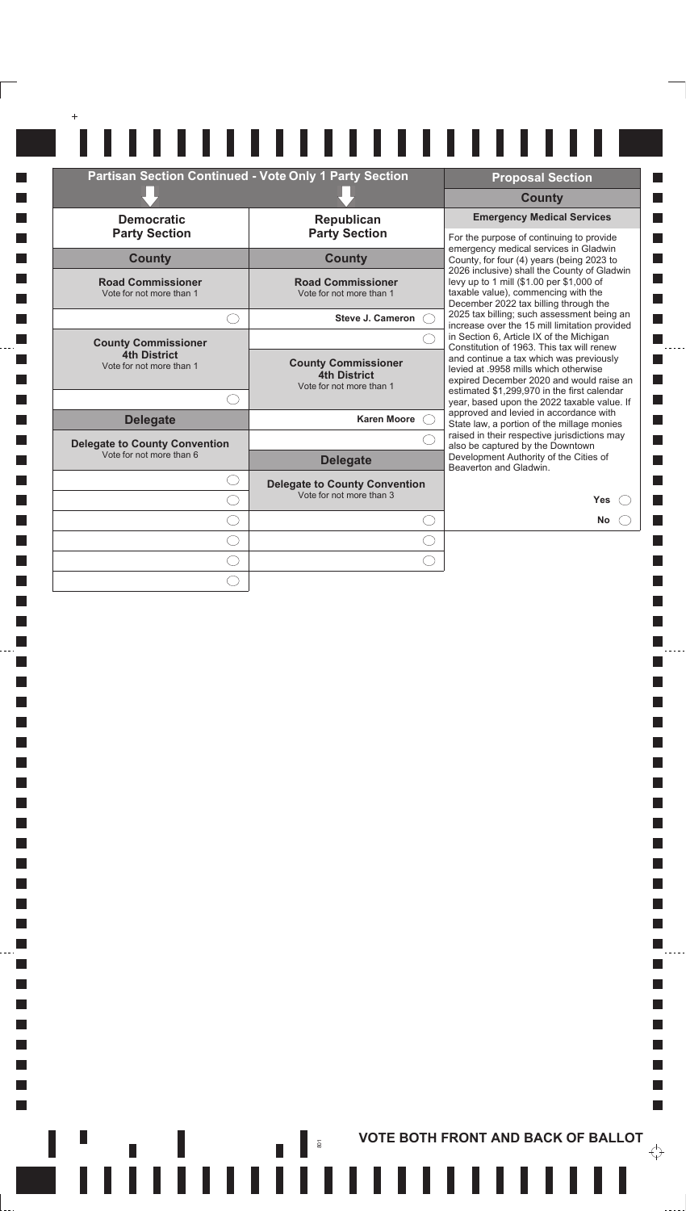| Partisan Section Continued - Vote Only 1 Party Section |                                                                               | <b>Proposal Section</b>                                                                                                                                                     |
|--------------------------------------------------------|-------------------------------------------------------------------------------|-----------------------------------------------------------------------------------------------------------------------------------------------------------------------------|
|                                                        |                                                                               | <b>County</b>                                                                                                                                                               |
| <b>Democratic</b>                                      | Republican                                                                    | <b>Emergency Medical Services</b>                                                                                                                                           |
| <b>Party Section</b>                                   | <b>Party Section</b>                                                          | For the purpose of continuing to provide                                                                                                                                    |
| <b>County</b>                                          | <b>County</b>                                                                 | emergency medical services in Gladwin<br>County, for four (4) years (being 2023 to                                                                                          |
| <b>Road Commissioner</b><br>Vote for not more than 1   | <b>Road Commissioner</b><br>Vote for not more than 1                          | 2026 inclusive) shall the County of Gladwin<br>levy up to 1 mill (\$1.00 per \$1,000 of<br>taxable value), commencing with the<br>December 2022 tax billing through the     |
|                                                        | <b>Steve J. Cameron</b>                                                       | 2025 tax billing; such assessment being an<br>increase over the 15 mill limitation provided                                                                                 |
| <b>County Commissioner</b>                             |                                                                               | in Section 6, Article IX of the Michigan<br>Constitution of 1963. This tax will renew                                                                                       |
| 4th District<br>Vote for not more than 1               | <b>County Commissioner</b><br><b>4th District</b><br>Vote for not more than 1 | and continue a tax which was previously<br>levied at .9958 mills which otherwise<br>expired December 2020 and would raise an<br>estimated \$1,299,970 in the first calendar |
|                                                        |                                                                               | year, based upon the 2022 taxable value. If                                                                                                                                 |
| <b>Delegate</b>                                        | <b>Karen Moore</b>                                                            | approved and levied in accordance with<br>State law, a portion of the millage monies                                                                                        |
| <b>Delegate to County Convention</b>                   |                                                                               | raised in their respective jurisdictions may<br>also be captured by the Downtown                                                                                            |
| Vote for not more than 6                               | <b>Delegate</b>                                                               | Development Authority of the Cities of<br>Beaverton and Gladwin.                                                                                                            |
|                                                        | <b>Delegate to County Convention</b>                                          |                                                                                                                                                                             |
|                                                        | Vote for not more than 3                                                      | Yes                                                                                                                                                                         |
|                                                        | $( \ )$                                                                       | <b>No</b>                                                                                                                                                                   |
|                                                        |                                                                               |                                                                                                                                                                             |
|                                                        |                                                                               |                                                                                                                                                                             |

 $\mathbf{L}$ 

 $\blacksquare$ 

 $\mathcal{L}_{\mathcal{A}}$  $\frac{1}{2}$ 

 $\mathcal{L}_{\mathcal{A}}$ 

 $\blacksquare$ 

 $\blacksquare$ 

 $\mathcal{L}_{\mathcal{A}}$  $\blacksquare$ 

 $\blacksquare$  $\mathcal{L}_{\mathcal{A}}$ 

 $\mathcal{L}_{\mathcal{A}}$  $\blacksquare$ 

 $\blacksquare$  $\mathcal{L}_{\mathcal{A}}$ 

 $\overline{\phantom{a}}$ 

 $\blacksquare$  $\mathcal{L}_{\mathcal{A}}$ 

 $\blacksquare$  $\ddotsc$ 

 $\Box$ 

 $\blacksquare$ 

 $\mathbb{R}^n$ 

 $\overleftrightarrow{\mathbf{C}}$ 

 $\Box$ 

 $\Box$ 

 $\Box$ 

 $\Box$ 

 $\Box$ 

 $\Box$ 

 $\mathcal{L}_{\mathcal{A}}$ 

 $\mathcal{L}_{\mathcal{A}}$ 

 $\overline{\phantom{a}}$ 

 $\mathcal{L}_{\mathcal{A}}$  $\mathcal{L}_{\mathcal{A}}$ 

 $\Box$ 

 $\mathcal{L}_{\mathcal{A}}$ 

 $\Box$ 

 $\mathcal{L}_{\mathcal{A}}$ 

 $\Box$ 

 $\mathcal{L}_{\mathcal{A}}$ 

 $\Box$ 

 $\mathcal{L}_{\mathcal{A}}$ 

 $\Box$ 

 $\Box$  $\Box$ 

 $\mathcal{L}_{\mathcal{A}}$  $\overline{\phantom{a}}$ 

 $\mathcal{L}_{\mathcal{A}}$ 

 $\mathcal{L}_{\mathcal{A}}$ 

 $\mathcal{L}_{\mathcal{A}}$ 

 $\Box$ 

 $\mathcal{L}_{\mathcal{A}}$  $\Box$ 

 $\mathcal{L}_{\mathcal{A}}$  $\Box$ 

 $\Box$  $\Box$ 

 $\mathcal{L}_{\mathcal{A}}$  $\Box$ 

 $\Box$ 

 $\mathcal{L}_{\mathcal{A}}$ 

 $\overline{\phantom{a}}$ 

 $\mathcal{L}_{\mathcal{A}}$ 

 $\Box$  $\overline{\phantom{a}}$ 

T.

##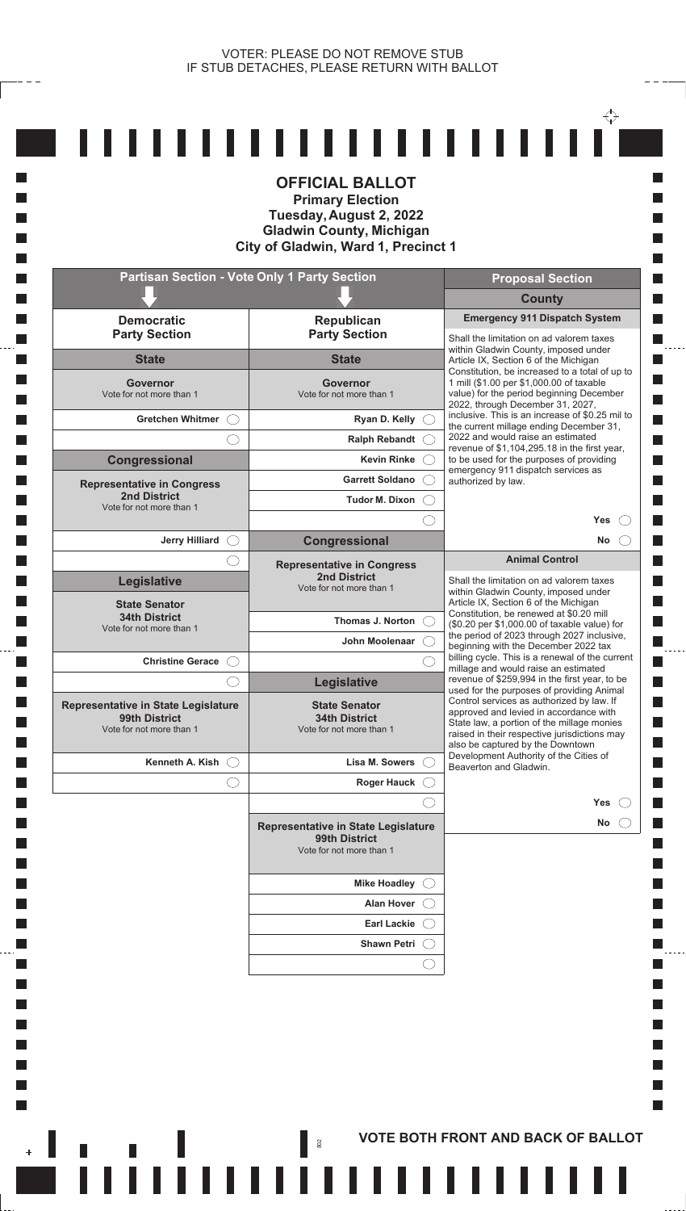$- - -$ 

|                                              | <b>Partisan Section - Vote Only 1 Party Section</b>                              | <b>Proposal Section</b>                                                                                                                |
|----------------------------------------------|----------------------------------------------------------------------------------|----------------------------------------------------------------------------------------------------------------------------------------|
|                                              |                                                                                  | <b>County</b>                                                                                                                          |
| <b>Democratic</b><br><b>Party Section</b>    | Republican<br><b>Party Section</b>                                               | <b>Emergency 911 Dispatch System</b><br>Shall the limitation on ad valorem taxes                                                       |
| <b>State</b>                                 | <b>State</b>                                                                     | within Gladwin County, imposed under<br>Article IX, Section 6 of the Michigan                                                          |
| Governor<br>Vote for not more than 1         | <b>Governor</b><br>Vote for not more than 1                                      | Constitution, be increased to a total of up to<br>1 mill (\$1.00 per \$1,000.00 of taxable<br>value) for the period beginning December |
| <b>Gretchen Whitmer</b>                      |                                                                                  | 2022, through December 31, 2027,<br>inclusive. This is an increase of \$0.25 mil to                                                    |
|                                              | Ryan D. Kelly<br><b>Ralph Rebandt</b>                                            | the current millage ending December 31,<br>2022 and would raise an estimated                                                           |
| Congressional                                | <b>Kevin Rinke</b>                                                               | revenue of \$1,104,295.18 in the first year,<br>to be used for the purposes of providing                                               |
| <b>Representative in Congress</b>            | <b>Garrett Soldano</b>                                                           | emergency 911 dispatch services as<br>authorized by law.                                                                               |
| 2nd District<br>Vote for not more than 1     | Tudor M. Dixon                                                                   |                                                                                                                                        |
|                                              |                                                                                  | <b>Yes</b>                                                                                                                             |
| <b>Jerry Hilliard</b>                        | <b>Congressional</b>                                                             | No.                                                                                                                                    |
|                                              | <b>Representative in Congress</b>                                                | <b>Animal Control</b>                                                                                                                  |
| <b>Legislative</b>                           | <b>2nd District</b><br>Vote for not more than 1                                  | Shall the limitation on ad valorem taxes<br>within Gladwin County, imposed under                                                       |
| <b>State Senator</b><br><b>34th District</b> |                                                                                  | Article IX, Section 6 of the Michigan<br>Constitution, be renewed at \$0.20 mill                                                       |
| Vote for not more than 1                     | Thomas J. Norton                                                                 | (\$0.20 per \$1,000.00 of taxable value) for<br>the period of 2023 through 2027 inclusive,                                             |
| <b>Christine Gerace</b>                      | John Moolenaar                                                                   | beginning with the December 2022 tax<br>billing cycle. This is a renewal of the current                                                |
|                                              | Legislative                                                                      | millage and would raise an estimated<br>revenue of \$259,994 in the first year, to be                                                  |
| Representative in State Legislature          | <b>State Senator</b>                                                             | used for the purposes of providing Animal<br>Control services as authorized by law. If                                                 |
| 99th District<br>Vote for not more than 1    | <b>34th District</b><br>Vote for not more than 1                                 | approved and levied in accordance with<br>State law, a portion of the millage monies                                                   |
|                                              |                                                                                  | raised in their respective jurisdictions may<br>also be captured by the Downtown                                                       |
| Kenneth A. Kish                              | Lisa M. Sowers                                                                   | Development Authority of the Cities of<br>Beaverton and Gladwin.                                                                       |
| O                                            | <b>Roger Hauck</b>                                                               |                                                                                                                                        |
|                                              |                                                                                  | <b>Yes</b>                                                                                                                             |
|                                              | Representative in State Legislature<br>99th District<br>Vote for not more than 1 | No                                                                                                                                     |
|                                              | <b>Mike Hoadley</b>                                                              |                                                                                                                                        |
|                                              |                                                                                  |                                                                                                                                        |
|                                              | <b>Alan Hover</b>                                                                |                                                                                                                                        |
|                                              | <b>Earl Lackie</b>                                                               |                                                                                                                                        |
|                                              | <b>Shawn Petri</b>                                                               |                                                                                                                                        |

 $- - - -$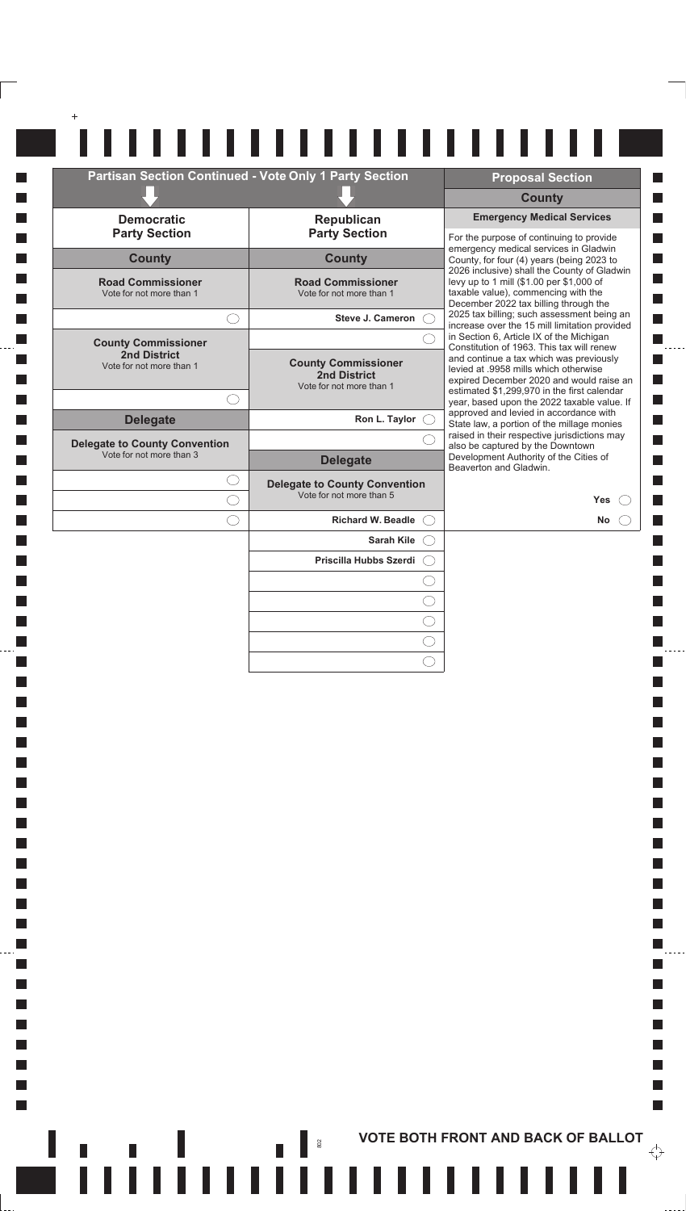|                                                      | Partisan Section Continued - Vote Only 1 Party Section                 | <b>Proposal Section</b>                                                                                                                                                     |
|------------------------------------------------------|------------------------------------------------------------------------|-----------------------------------------------------------------------------------------------------------------------------------------------------------------------------|
|                                                      |                                                                        | <b>County</b>                                                                                                                                                               |
| <b>Democratic</b><br><b>Party Section</b>            | Republican<br><b>Party Section</b>                                     | <b>Emergency Medical Services</b>                                                                                                                                           |
| <b>County</b>                                        | <b>County</b>                                                          | For the purpose of continuing to provide<br>emergency medical services in Gladwin<br>County, for four (4) years (being 2023 to                                              |
| <b>Road Commissioner</b><br>Vote for not more than 1 | <b>Road Commissioner</b><br>Vote for not more than 1                   | 2026 inclusive) shall the County of Gladwin<br>levy up to 1 mill (\$1.00 per \$1,000 of<br>taxable value), commencing with the<br>December 2022 tax billing through the     |
| $\left(\begin{array}{c} \end{array}\right)$          | Steve J. Cameron C                                                     | 2025 tax billing; such assessment being an<br>increase over the 15 mill limitation provided                                                                                 |
| <b>County Commissioner</b>                           |                                                                        | in Section 6, Article IX of the Michigan<br>Constitution of 1963. This tax will renew                                                                                       |
| 2nd District<br>Vote for not more than 1             | <b>County Commissioner</b><br>2nd District<br>Vote for not more than 1 | and continue a tax which was previously<br>levied at .9958 mills which otherwise<br>expired December 2020 and would raise an<br>estimated \$1,299,970 in the first calendar |
| <b>Delegate</b>                                      | Ron L. Taylor $\bigcirc$                                               | year, based upon the 2022 taxable value. If<br>approved and levied in accordance with<br>State law, a portion of the millage monies                                         |
| <b>Delegate to County Convention</b>                 |                                                                        | raised in their respective jurisdictions may<br>also be captured by the Downtown                                                                                            |
| Vote for not more than 3                             | <b>Delegate</b>                                                        | Development Authority of the Cities of<br>Beaverton and Gladwin.                                                                                                            |
|                                                      | <b>Delegate to County Convention</b><br>Vote for not more than 5       | <b>Yes</b>                                                                                                                                                                  |
|                                                      | Richard W. Beadle (                                                    | <b>No</b>                                                                                                                                                                   |
|                                                      | Sarah Kile (                                                           |                                                                                                                                                                             |
|                                                      | Priscilla Hubbs Szerdi (                                               |                                                                                                                                                                             |
|                                                      |                                                                        |                                                                                                                                                                             |
|                                                      |                                                                        |                                                                                                                                                                             |
|                                                      |                                                                        |                                                                                                                                                                             |

 $\Box$  $\Box$ **I**  $\Box$ П  $\Box$ **In**  $\mathcal{L}_{\mathcal{A}}$  $\overline{\phantom{a}}$ 

 $\mathcal{L}_{\mathcal{A}}$  $\mathcal{L}_{\mathcal{A}}$  $\Box$  $\Box$  $\Box$ **In**  $\Box$ П  $\Box$ П  $\Box$ **In**  $\Box$ **In**  $\mathcal{L}_{\mathcal{A}}$ 

 $\mathcal{L}_{\mathcal{A}}$  $\Box$ 

 $\Box$ 

 $\Box$ 

П  $\Box$ 

**In**  $\Box$ 

П

 $\Box$ 

П

 $\Box$ 

П  $\mathcal{L}_{\mathcal{A}}$ 

 $\Box$ 

 $\overline{\phantom{a}}$ 

 $\mathcal{L}_{\mathcal{A}}$ 

**The State** 

 $\overline{\phantom{a}}$ 

 $\mathbb{R}^n$ 

I

. . . . .

,<br>|-----

 $\mathcal{L}_{\mathcal{A}}$ 

П

П П

П П

 $\Box$ 

П

П П

 $\blacksquare$ 

П

 $\mathcal{L}_{\mathcal{A}}$  $\Box$ 

 $\mathcal{L}_{\mathcal{A}}$ 

 $\Box$ 

 $\mathbb{R}^n$ 

 $\overleftrightarrow{\cdot}$ 

 $\frac{1}{2}$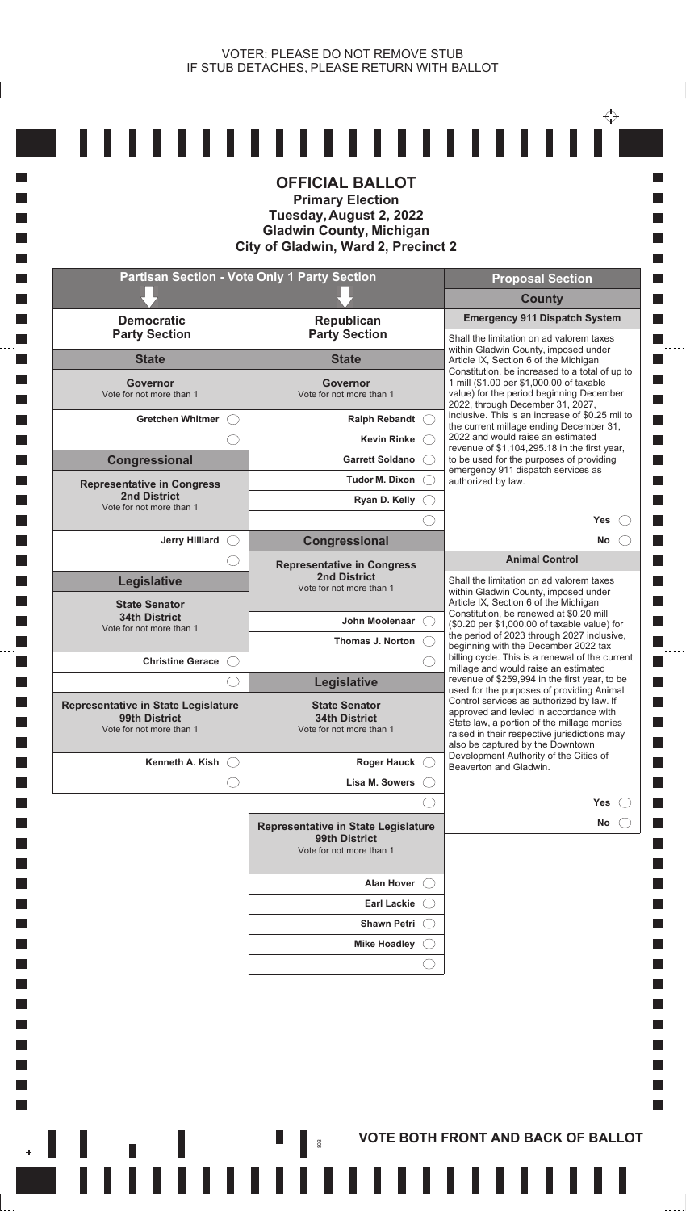$- - -$ 

|                                                                                  |                                                                                  | <b>Proposal Section</b>                                                                                                                                                                                               |
|----------------------------------------------------------------------------------|----------------------------------------------------------------------------------|-----------------------------------------------------------------------------------------------------------------------------------------------------------------------------------------------------------------------|
|                                                                                  |                                                                                  | <b>County</b>                                                                                                                                                                                                         |
| <b>Democratic</b><br><b>Party Section</b>                                        | Republican<br><b>Party Section</b>                                               | <b>Emergency 911 Dispatch System</b><br>Shall the limitation on ad valorem taxes                                                                                                                                      |
| <b>State</b>                                                                     | <b>State</b>                                                                     | within Gladwin County, imposed under<br>Article IX, Section 6 of the Michigan                                                                                                                                         |
| <b>Governor</b><br>Vote for not more than 1                                      | <b>Governor</b><br>Vote for not more than 1                                      | Constitution, be increased to a total of up to<br>1 mill (\$1.00 per \$1,000.00 of taxable<br>value) for the period beginning December<br>2022, through December 31, 2027,                                            |
| Gretchen Whitmer (                                                               | Ralph Rebandt C                                                                  | inclusive. This is an increase of \$0.25 mil to<br>the current millage ending December 31,                                                                                                                            |
|                                                                                  | <b>Kevin Rinke</b>                                                               | 2022 and would raise an estimated<br>revenue of \$1,104,295.18 in the first year,                                                                                                                                     |
| Congressional                                                                    | <b>Garrett Soldano</b>                                                           | to be used for the purposes of providing<br>emergency 911 dispatch services as                                                                                                                                        |
| <b>Representative in Congress</b>                                                | <b>Tudor M. Dixon</b>                                                            | authorized by law.                                                                                                                                                                                                    |
| <b>2nd District</b><br>Vote for not more than 1                                  | Ryan D. Kelly                                                                    |                                                                                                                                                                                                                       |
|                                                                                  |                                                                                  | <b>Yes</b>                                                                                                                                                                                                            |
| Jerry Hilliard O                                                                 | Congressional                                                                    | No<br><b>Animal Control</b>                                                                                                                                                                                           |
| Legislative                                                                      | <b>Representative in Congress</b><br><b>2nd District</b>                         | Shall the limitation on ad valorem taxes                                                                                                                                                                              |
| <b>State Senator</b>                                                             | Vote for not more than 1                                                         | within Gladwin County, imposed under<br>Article IX, Section 6 of the Michigan                                                                                                                                         |
| <b>34th District</b><br>Vote for not more than 1                                 | John Moolenaar                                                                   | Constitution, be renewed at \$0.20 mill<br>(\$0.20 per \$1,000.00 of taxable value) for                                                                                                                               |
|                                                                                  | Thomas J. Norton                                                                 | the period of 2023 through 2027 inclusive,<br>beginning with the December 2022 tax                                                                                                                                    |
| Christine Gerace (                                                               |                                                                                  | billing cycle. This is a renewal of the current<br>millage and would raise an estimated                                                                                                                               |
|                                                                                  | Legislative                                                                      | revenue of \$259,994 in the first year, to be<br>used for the purposes of providing Animal                                                                                                                            |
| Representative in State Legislature<br>99th District<br>Vote for not more than 1 | <b>State Senator</b><br><b>34th District</b><br>Vote for not more than 1         | Control services as authorized by law. If<br>approved and levied in accordance with<br>State law, a portion of the millage monies<br>raised in their respective jurisdictions may<br>also be captured by the Downtown |
| Kenneth A. Kish $\bigcirc$                                                       | Roger Hauck (                                                                    | Development Authority of the Cities of<br>Beaverton and Gladwin.                                                                                                                                                      |
| O                                                                                | Lisa M. Sowers                                                                   |                                                                                                                                                                                                                       |
|                                                                                  |                                                                                  | <b>Yes</b>                                                                                                                                                                                                            |
|                                                                                  | Representative in State Legislature<br>99th District<br>Vote for not more than 1 | No                                                                                                                                                                                                                    |
|                                                                                  | <b>Alan Hover</b>                                                                |                                                                                                                                                                                                                       |
|                                                                                  | <b>Earl Lackie</b>                                                               |                                                                                                                                                                                                                       |
|                                                                                  | <b>Shawn Petri</b>                                                               |                                                                                                                                                                                                                       |
|                                                                                  | <b>Mike Hoadley</b>                                                              |                                                                                                                                                                                                                       |
|                                                                                  |                                                                                  |                                                                                                                                                                                                                       |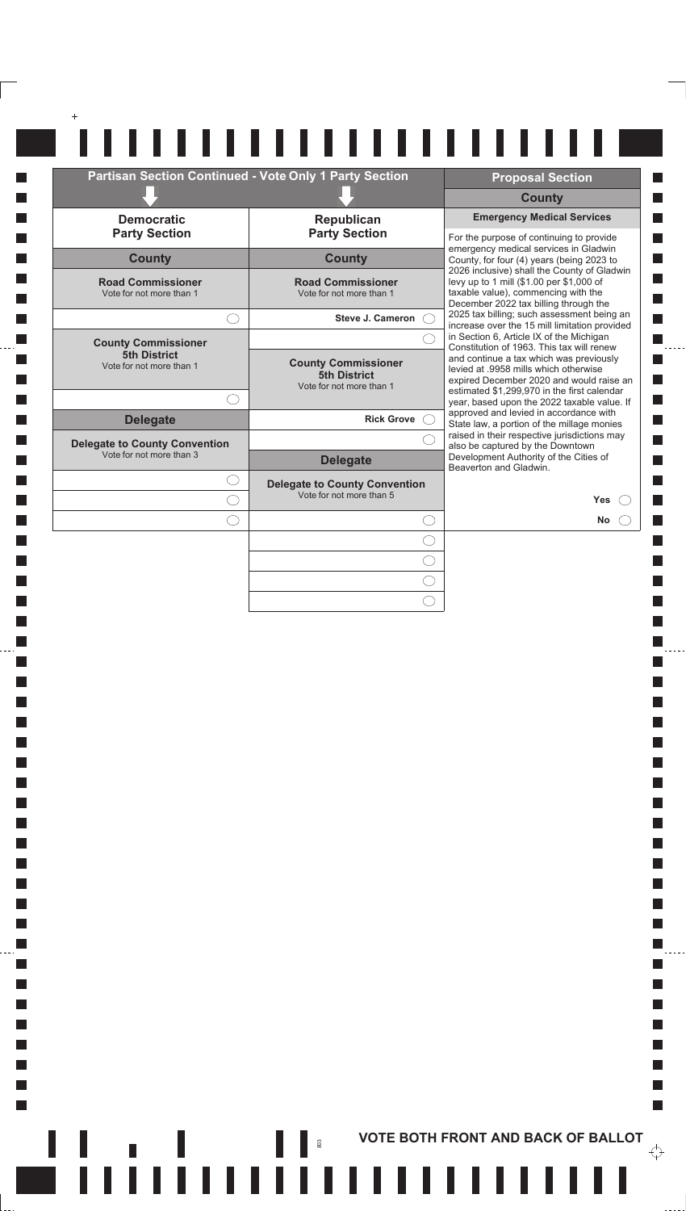|                                                      | <b>Partisan Section Continued - Vote Only 1 Party Section</b>                 | <b>Proposal Section</b>                                                                                                                                                 |
|------------------------------------------------------|-------------------------------------------------------------------------------|-------------------------------------------------------------------------------------------------------------------------------------------------------------------------|
|                                                      |                                                                               | <b>County</b>                                                                                                                                                           |
| <b>Democratic</b><br><b>Party Section</b>            | Republican<br><b>Party Section</b>                                            | <b>Emergency Medical Services</b><br>For the purpose of continuing to provide                                                                                           |
| <b>County</b>                                        | <b>County</b>                                                                 | emergency medical services in Gladwin<br>County, for four (4) years (being 2023 to                                                                                      |
| <b>Road Commissioner</b><br>Vote for not more than 1 | <b>Road Commissioner</b><br>Vote for not more than 1                          | 2026 inclusive) shall the County of Gladwin<br>levy up to 1 mill (\$1.00 per \$1,000 of<br>taxable value), commencing with the<br>December 2022 tax billing through the |
|                                                      | <b>Steve J. Cameron</b>                                                       | 2025 tax billing; such assessment being an<br>increase over the 15 mill limitation provided                                                                             |
| <b>County Commissioner</b>                           |                                                                               | in Section 6, Article IX of the Michigan<br>Constitution of 1963. This tax will renew                                                                                   |
| <b>5th District</b><br>Vote for not more than 1      | <b>County Commissioner</b><br><b>5th District</b><br>Vote for not more than 1 | and continue a tax which was previously<br>levied at .9958 mills which otherwise<br>expired December 2020 and would raise an                                            |
|                                                      |                                                                               | estimated \$1,299,970 in the first calendar<br>year, based upon the 2022 taxable value. If                                                                              |
| <b>Delegate</b>                                      | <b>Rick Grove</b>                                                             | approved and levied in accordance with<br>State law, a portion of the millage monies                                                                                    |
| <b>Delegate to County Convention</b>                 |                                                                               | raised in their respective jurisdictions may<br>also be captured by the Downtown                                                                                        |
| Vote for not more than 3                             | <b>Delegate</b>                                                               | Development Authority of the Cities of<br>Beaverton and Gladwin.                                                                                                        |
|                                                      | <b>Delegate to County Convention</b>                                          |                                                                                                                                                                         |
|                                                      | Vote for not more than 5                                                      | <b>Yes</b>                                                                                                                                                              |
|                                                      |                                                                               |                                                                                                                                                                         |
|                                                      |                                                                               | <b>No</b>                                                                                                                                                               |

 $\Box$  $\Box$ 

**I** 

 $\Box$ 

П  $\Box$ 

**I**  $\mathcal{L}_{\mathcal{A}}$ 

 $\mathcal{L}_{\mathcal{A}}$ 

 $\mathcal{L}_{\mathcal{A}}$ 

 $\mathcal{L}_{\mathcal{A}}$ 

 $\Box$  $\Box$  $\Box$ 

**I**  $\Box$ 

 $\Box$ 

 $\Box$ 

**I** 

 $\Box$ 

 $\Box$  $\Box$ 

H

 $\mathcal{L}_{\mathcal{A}}$ 

 $\mathcal{L}_{\mathcal{A}}$ 

 $\Box$ 

 $\Box$ 

 $\Box$ 

**In**  $\Box$ 

**In**  $\Box$ 

**In** 

 $\Box$ 

**In** 

 $\Box$  $\Box$ 

 $\overline{\mathcal{A}}$ 

 $\mathcal{L}_{\mathcal{A}}$ 

 $\mathcal{L}_{\mathcal{A}}$ 

 $\mathcal{L}_{\mathcal{A}}$ 

 $\overline{\phantom{a}}$ 

 $\overline{\mathbb{R}}$ 

 $\mathbb{R}^n$ 

**A A Example 2015 In the Second Second Second Second Second Second Second Second Second Second Second Second Second Second Second Second Second Second Second Second Second Second Second Second Second Second Second Seco** 

П

 $\Box$  $\ddot{\phantom{a}}$ 

П

П

П

 $\Box$ П

 $\Box$  $\Box$ 

 $\blacksquare$ 

 $\Box$  $\blacksquare$ 

 $\blacksquare$ 

 $\blacksquare$ 

П

 $\mathcal{L}_{\mathcal{A}}$  $\blacksquare$ 

 $\Box$ 

П

 $\mathbb{R}^n$ 

 $\overleftrightarrow{\cdot}$ 

 $\ddotsc$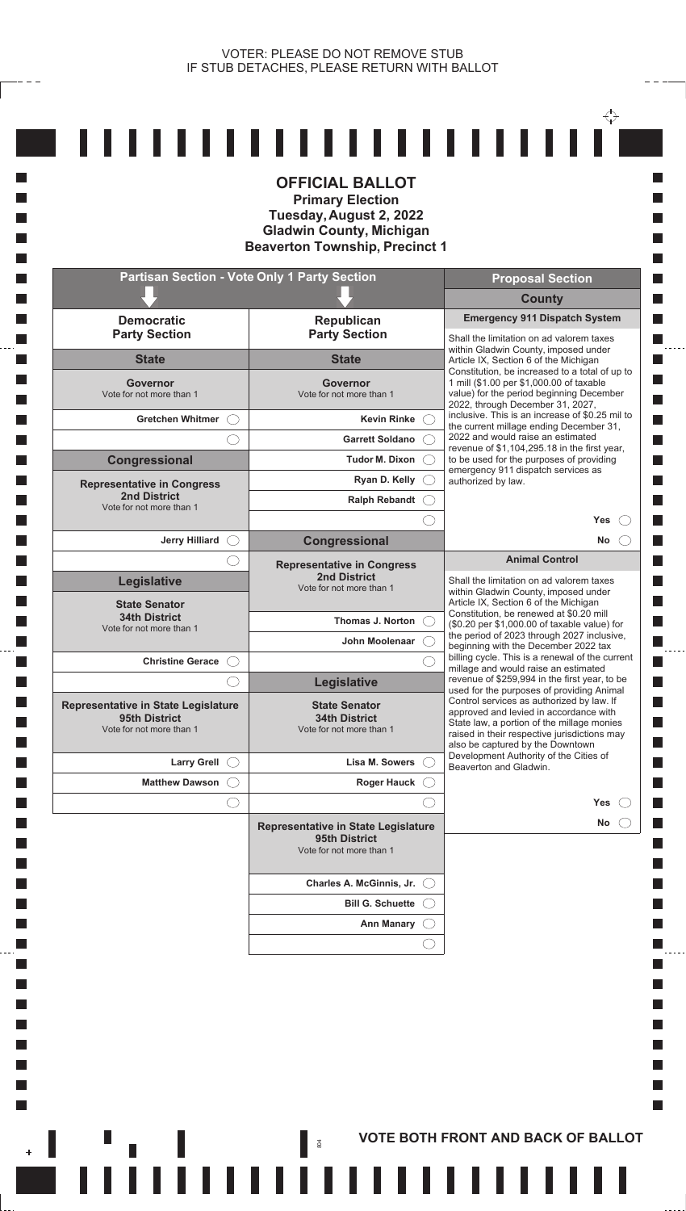**Ta** H **In Ta** 

**Tale In** 

**T Ta**  $\mathcal{L}_{\mathcal{A}}$  $\mathcal{L}_{\mathcal{A}}$ **I** L.

 $\overline{\phantom{a}}$ 

|                                                                                         | <b>OFFICIAL BALLOT</b><br><b>Primary Election</b><br>Tuesday, August 2, 2022<br><b>Gladwin County, Michigan</b><br><b>Beaverton Township, Precinct 1</b> |                                                                                                                                                                                                                                                                    |
|-----------------------------------------------------------------------------------------|----------------------------------------------------------------------------------------------------------------------------------------------------------|--------------------------------------------------------------------------------------------------------------------------------------------------------------------------------------------------------------------------------------------------------------------|
|                                                                                         | <b>Partisan Section - Vote Only 1 Party Section</b>                                                                                                      | <b>Proposal Section</b>                                                                                                                                                                                                                                            |
|                                                                                         |                                                                                                                                                          | <b>County</b><br><b>Emergency 911 Dispatch System</b>                                                                                                                                                                                                              |
| <b>Democratic</b><br><b>Party Section</b>                                               | Republican<br><b>Party Section</b>                                                                                                                       | Shall the limitation on ad valorem taxes                                                                                                                                                                                                                           |
| <b>State</b>                                                                            | <b>State</b>                                                                                                                                             | within Gladwin County, imposed under<br>Article IX, Section 6 of the Michigan                                                                                                                                                                                      |
| Governor<br>Vote for not more than 1                                                    | Governor<br>Vote for not more than 1                                                                                                                     | Constitution, be increased to a total of up to<br>1 mill (\$1.00 per \$1,000.00 of taxable<br>value) for the period beginning December<br>2022, through December 31, 2027,                                                                                         |
| <b>Gretchen Whitmer</b>                                                                 | Kevin Rinke                                                                                                                                              | inclusive. This is an increase of \$0.25 mil to<br>the current millage ending December 31,                                                                                                                                                                         |
|                                                                                         | <b>Garrett Soldano</b>                                                                                                                                   | 2022 and would raise an estimated<br>revenue of \$1,104,295.18 in the first year,                                                                                                                                                                                  |
| Congressional                                                                           | <b>Tudor M. Dixon</b>                                                                                                                                    | to be used for the purposes of providing<br>emergency 911 dispatch services as                                                                                                                                                                                     |
| <b>Representative in Congress</b><br><b>2nd District</b>                                | Ryan D. Kelly                                                                                                                                            | authorized by law.                                                                                                                                                                                                                                                 |
| Vote for not more than 1                                                                | <b>Ralph Rebandt</b>                                                                                                                                     | <b>Yes</b>                                                                                                                                                                                                                                                         |
| <b>Jerry Hilliard</b>                                                                   | Congressional                                                                                                                                            | <b>No</b>                                                                                                                                                                                                                                                          |
|                                                                                         | <b>Representative in Congress</b>                                                                                                                        | <b>Animal Control</b>                                                                                                                                                                                                                                              |
| Legislative<br><b>State Senator</b>                                                     | <b>2nd District</b><br>Vote for not more than 1                                                                                                          | Shall the limitation on ad valorem taxes<br>within Gladwin County, imposed under<br>Article IX, Section 6 of the Michigan                                                                                                                                          |
| <b>34th District</b><br>Vote for not more than 1                                        | Thomas J. Norton                                                                                                                                         | Constitution, be renewed at \$0.20 mill<br>(\$0.20 per \$1,000.00 of taxable value) for                                                                                                                                                                            |
|                                                                                         | John Moolenaar                                                                                                                                           | the period of 2023 through 2027 inclusive,<br>beginning with the December 2022 tax                                                                                                                                                                                 |
| <b>Christine Gerace</b>                                                                 |                                                                                                                                                          | billing cycle. This is a renewal of the current<br>millage and would raise an estimated<br>revenue of \$259,994 in the first year, to be                                                                                                                           |
| <b>Representative in State Legislature</b><br>95th District<br>Vote for not more than 1 | <b>Legislative</b><br><b>State Senator</b><br><b>34th District</b><br>Vote for not more than 1                                                           | used for the purposes of providing Animal<br>Control services as authorized by law. If<br>approved and levied in accordance with<br>State law, a portion of the millage monies<br>raised in their respective jurisdictions may<br>also be captured by the Downtown |
| <b>Larry Grell</b>                                                                      | Lisa M. Sowers                                                                                                                                           | Development Authority of the Cities of<br>Beaverton and Gladwin.                                                                                                                                                                                                   |
| <b>Matthew Dawson</b>                                                                   | <b>Roger Hauck</b>                                                                                                                                       |                                                                                                                                                                                                                                                                    |
|                                                                                         |                                                                                                                                                          | <b>Yes</b>                                                                                                                                                                                                                                                         |
|                                                                                         | Representative in State Legislature<br>95th District<br>Vote for not more than 1                                                                         | <b>No</b>                                                                                                                                                                                                                                                          |
|                                                                                         | Charles A. McGinnis, Jr.                                                                                                                                 |                                                                                                                                                                                                                                                                    |
|                                                                                         | <b>Bill G. Schuette</b>                                                                                                                                  |                                                                                                                                                                                                                                                                    |
|                                                                                         | <b>Ann Manary</b>                                                                                                                                        |                                                                                                                                                                                                                                                                    |
|                                                                                         |                                                                                                                                                          |                                                                                                                                                                                                                                                                    |

**AND RESORT AND BACK OF BALLOT**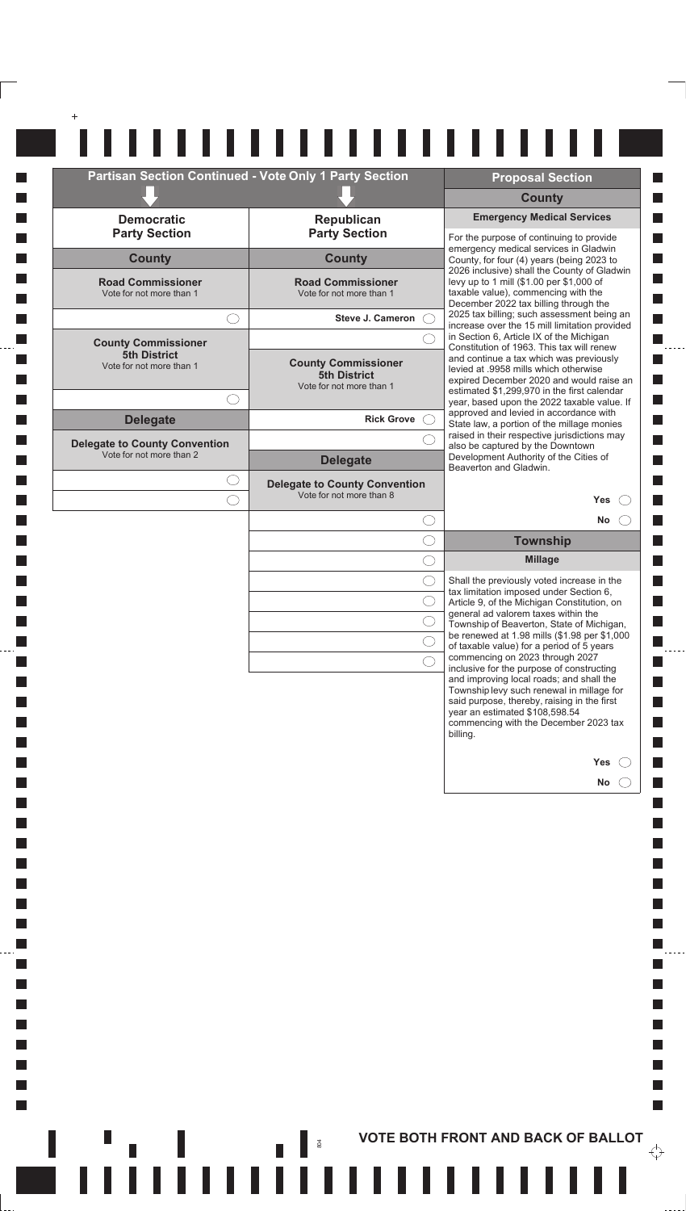| <b>County</b><br><b>Democratic</b><br>Republican<br><b>Party Section</b><br><b>Party Section</b><br><b>County</b><br><b>County</b><br><b>Road Commissioner</b><br><b>Road Commissioner</b><br>Vote for not more than 1<br>Vote for not more than 1<br><b>Steve J. Cameron</b><br><b>County Commissioner</b><br><b>5th District</b><br><b>County Commissioner</b><br>Vote for not more than 1<br>5th District<br>Vote for not more than 1<br><b>Delegate</b><br><b>Rick Grove</b><br>raised in their respective jurisdictions may<br><b>Delegate to County Convention</b><br>Vote for not more than 2<br>Development Authority of the Cities of<br><b>Delegate</b><br>Beaverton and Gladwin.<br><b>Delegate to County Convention</b><br>Vote for not more than 8<br>C<br><b>Township</b><br><b>Millage</b> |     | <b>Emergency Medical Services</b><br>For the purpose of continuing to provide<br>emergency medical services in Gladwin<br>County, for four (4) years (being 2023 to<br>2026 inclusive) shall the County of Gladwin<br>levy up to 1 mill (\$1.00 per \$1,000 of<br>taxable value), commencing with the<br>December 2022 tax billing through the<br>2025 tax billing; such assessment being an<br>increase over the 15 mill limitation provided<br>in Section 6, Article IX of the Michigan<br>Constitution of 1963. This tax will renew<br>and continue a tax which was previously<br>levied at .9958 mills which otherwise<br>expired December 2020 and would raise an<br>estimated \$1,299,970 in the first calendar<br>year, based upon the 2022 taxable value. If<br>approved and levied in accordance with<br>State law, a portion of the millage monies |  |  |
|-----------------------------------------------------------------------------------------------------------------------------------------------------------------------------------------------------------------------------------------------------------------------------------------------------------------------------------------------------------------------------------------------------------------------------------------------------------------------------------------------------------------------------------------------------------------------------------------------------------------------------------------------------------------------------------------------------------------------------------------------------------------------------------------------------------|-----|--------------------------------------------------------------------------------------------------------------------------------------------------------------------------------------------------------------------------------------------------------------------------------------------------------------------------------------------------------------------------------------------------------------------------------------------------------------------------------------------------------------------------------------------------------------------------------------------------------------------------------------------------------------------------------------------------------------------------------------------------------------------------------------------------------------------------------------------------------------|--|--|
|                                                                                                                                                                                                                                                                                                                                                                                                                                                                                                                                                                                                                                                                                                                                                                                                           |     |                                                                                                                                                                                                                                                                                                                                                                                                                                                                                                                                                                                                                                                                                                                                                                                                                                                              |  |  |
|                                                                                                                                                                                                                                                                                                                                                                                                                                                                                                                                                                                                                                                                                                                                                                                                           |     |                                                                                                                                                                                                                                                                                                                                                                                                                                                                                                                                                                                                                                                                                                                                                                                                                                                              |  |  |
|                                                                                                                                                                                                                                                                                                                                                                                                                                                                                                                                                                                                                                                                                                                                                                                                           |     |                                                                                                                                                                                                                                                                                                                                                                                                                                                                                                                                                                                                                                                                                                                                                                                                                                                              |  |  |
|                                                                                                                                                                                                                                                                                                                                                                                                                                                                                                                                                                                                                                                                                                                                                                                                           |     |                                                                                                                                                                                                                                                                                                                                                                                                                                                                                                                                                                                                                                                                                                                                                                                                                                                              |  |  |
|                                                                                                                                                                                                                                                                                                                                                                                                                                                                                                                                                                                                                                                                                                                                                                                                           |     |                                                                                                                                                                                                                                                                                                                                                                                                                                                                                                                                                                                                                                                                                                                                                                                                                                                              |  |  |
|                                                                                                                                                                                                                                                                                                                                                                                                                                                                                                                                                                                                                                                                                                                                                                                                           |     |                                                                                                                                                                                                                                                                                                                                                                                                                                                                                                                                                                                                                                                                                                                                                                                                                                                              |  |  |
|                                                                                                                                                                                                                                                                                                                                                                                                                                                                                                                                                                                                                                                                                                                                                                                                           |     |                                                                                                                                                                                                                                                                                                                                                                                                                                                                                                                                                                                                                                                                                                                                                                                                                                                              |  |  |
|                                                                                                                                                                                                                                                                                                                                                                                                                                                                                                                                                                                                                                                                                                                                                                                                           |     |                                                                                                                                                                                                                                                                                                                                                                                                                                                                                                                                                                                                                                                                                                                                                                                                                                                              |  |  |
|                                                                                                                                                                                                                                                                                                                                                                                                                                                                                                                                                                                                                                                                                                                                                                                                           |     |                                                                                                                                                                                                                                                                                                                                                                                                                                                                                                                                                                                                                                                                                                                                                                                                                                                              |  |  |
|                                                                                                                                                                                                                                                                                                                                                                                                                                                                                                                                                                                                                                                                                                                                                                                                           |     | also be captured by the Downtown                                                                                                                                                                                                                                                                                                                                                                                                                                                                                                                                                                                                                                                                                                                                                                                                                             |  |  |
|                                                                                                                                                                                                                                                                                                                                                                                                                                                                                                                                                                                                                                                                                                                                                                                                           |     |                                                                                                                                                                                                                                                                                                                                                                                                                                                                                                                                                                                                                                                                                                                                                                                                                                                              |  |  |
|                                                                                                                                                                                                                                                                                                                                                                                                                                                                                                                                                                                                                                                                                                                                                                                                           | Yes |                                                                                                                                                                                                                                                                                                                                                                                                                                                                                                                                                                                                                                                                                                                                                                                                                                                              |  |  |
|                                                                                                                                                                                                                                                                                                                                                                                                                                                                                                                                                                                                                                                                                                                                                                                                           | No  |                                                                                                                                                                                                                                                                                                                                                                                                                                                                                                                                                                                                                                                                                                                                                                                                                                                              |  |  |
|                                                                                                                                                                                                                                                                                                                                                                                                                                                                                                                                                                                                                                                                                                                                                                                                           |     |                                                                                                                                                                                                                                                                                                                                                                                                                                                                                                                                                                                                                                                                                                                                                                                                                                                              |  |  |
| ◯                                                                                                                                                                                                                                                                                                                                                                                                                                                                                                                                                                                                                                                                                                                                                                                                         |     | Shall the previously voted increase in the                                                                                                                                                                                                                                                                                                                                                                                                                                                                                                                                                                                                                                                                                                                                                                                                                   |  |  |
|                                                                                                                                                                                                                                                                                                                                                                                                                                                                                                                                                                                                                                                                                                                                                                                                           |     | tax limitation imposed under Section 6,<br>Article 9, of the Michigan Constitution, on<br>general ad valorem taxes within the                                                                                                                                                                                                                                                                                                                                                                                                                                                                                                                                                                                                                                                                                                                                |  |  |
|                                                                                                                                                                                                                                                                                                                                                                                                                                                                                                                                                                                                                                                                                                                                                                                                           |     | Township of Beaverton, State of Michigan,<br>be renewed at 1.98 mills (\$1.98 per \$1,000                                                                                                                                                                                                                                                                                                                                                                                                                                                                                                                                                                                                                                                                                                                                                                    |  |  |
|                                                                                                                                                                                                                                                                                                                                                                                                                                                                                                                                                                                                                                                                                                                                                                                                           |     | of taxable value) for a period of 5 years<br>commencing on 2023 through 2027                                                                                                                                                                                                                                                                                                                                                                                                                                                                                                                                                                                                                                                                                                                                                                                 |  |  |
|                                                                                                                                                                                                                                                                                                                                                                                                                                                                                                                                                                                                                                                                                                                                                                                                           |     | inclusive for the purpose of constructing<br>and improving local roads; and shall the<br>Township levy such renewal in millage for                                                                                                                                                                                                                                                                                                                                                                                                                                                                                                                                                                                                                                                                                                                           |  |  |
| year an estimated \$108,598.54                                                                                                                                                                                                                                                                                                                                                                                                                                                                                                                                                                                                                                                                                                                                                                            |     | said purpose, thereby, raising in the first                                                                                                                                                                                                                                                                                                                                                                                                                                                                                                                                                                                                                                                                                                                                                                                                                  |  |  |
| billing.                                                                                                                                                                                                                                                                                                                                                                                                                                                                                                                                                                                                                                                                                                                                                                                                  |     | commencing with the December 2023 tax                                                                                                                                                                                                                                                                                                                                                                                                                                                                                                                                                                                                                                                                                                                                                                                                                        |  |  |
|                                                                                                                                                                                                                                                                                                                                                                                                                                                                                                                                                                                                                                                                                                                                                                                                           | Yes |                                                                                                                                                                                                                                                                                                                                                                                                                                                                                                                                                                                                                                                                                                                                                                                                                                                              |  |  |
|                                                                                                                                                                                                                                                                                                                                                                                                                                                                                                                                                                                                                                                                                                                                                                                                           | No  |                                                                                                                                                                                                                                                                                                                                                                                                                                                                                                                                                                                                                                                                                                                                                                                                                                                              |  |  |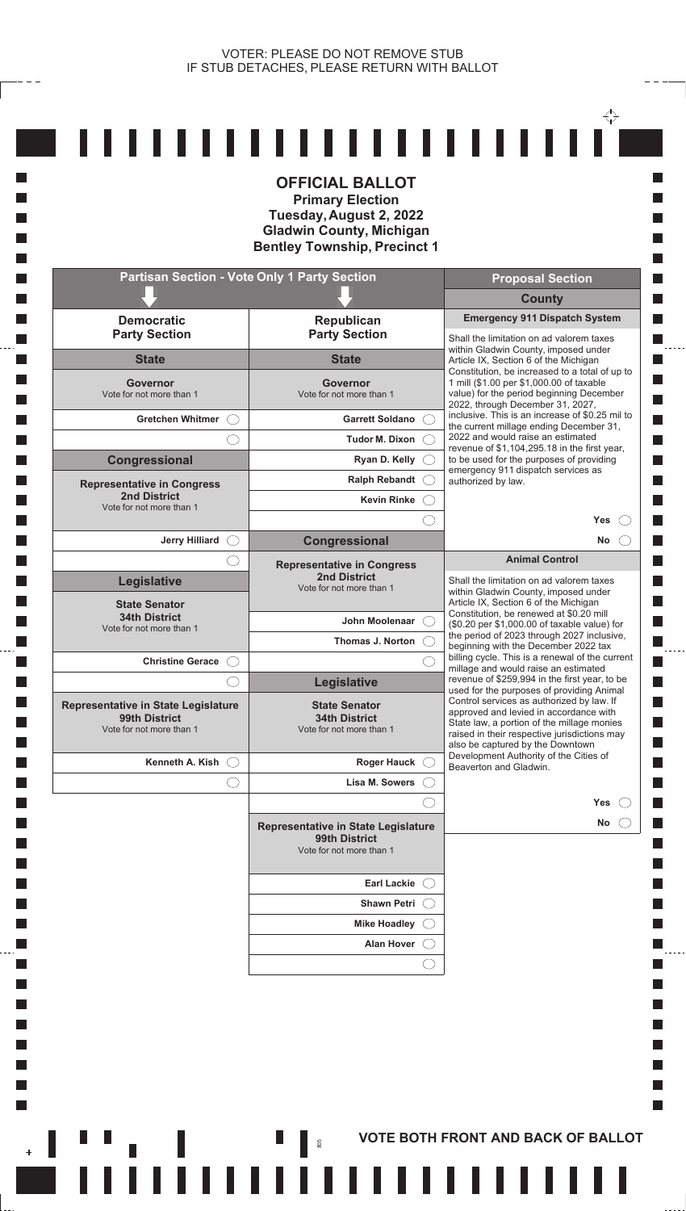|                                                                                  | <b>Partisan Section - Vote Only 1 Party Section</b>                              | <b>Proposal Section</b>                                                                                                                                                                                               |
|----------------------------------------------------------------------------------|----------------------------------------------------------------------------------|-----------------------------------------------------------------------------------------------------------------------------------------------------------------------------------------------------------------------|
|                                                                                  |                                                                                  | <b>County</b>                                                                                                                                                                                                         |
| <b>Democratic</b><br><b>Party Section</b>                                        | Republican<br><b>Party Section</b>                                               | <b>Emergency 911 Dispatch System</b><br>Shall the limitation on ad valorem taxes                                                                                                                                      |
| <b>State</b>                                                                     | <b>State</b>                                                                     | within Gladwin County, imposed under<br>Article IX, Section 6 of the Michigan                                                                                                                                         |
| <b>Governor</b><br>Vote for not more than 1                                      | <b>Governor</b><br>Vote for not more than 1                                      | Constitution, be increased to a total of up to<br>1 mill (\$1.00 per \$1,000.00 of taxable<br>value) for the period beginning December<br>2022, through December 31, 2027,                                            |
| Gretchen Whitmer (                                                               | Garrett Soldano                                                                  | inclusive. This is an increase of \$0.25 mil to<br>the current millage ending December 31,                                                                                                                            |
| ( )                                                                              | Tudor M. Dixon (                                                                 | 2022 and would raise an estimated<br>revenue of \$1,104,295.18 in the first year,                                                                                                                                     |
| Congressional                                                                    | Ryan D. Kelly (                                                                  | to be used for the purposes of providing<br>emergency 911 dispatch services as                                                                                                                                        |
| <b>Representative in Congress</b><br>2nd District                                | Ralph Rebandt C                                                                  | authorized by law.                                                                                                                                                                                                    |
| Vote for not more than 1                                                         | Kevin Rinke $\bigcirc$                                                           |                                                                                                                                                                                                                       |
| Jerry Hilliard O                                                                 | <b>Congressional</b>                                                             | Yes<br>No                                                                                                                                                                                                             |
| ( )                                                                              |                                                                                  | <b>Animal Control</b>                                                                                                                                                                                                 |
| Legislative                                                                      | <b>Representative in Congress</b><br><b>2nd District</b>                         | Shall the limitation on ad valorem taxes                                                                                                                                                                              |
| <b>State Senator</b>                                                             | Vote for not more than 1                                                         | within Gladwin County, imposed under<br>Article IX, Section 6 of the Michigan                                                                                                                                         |
| <b>34th District</b><br>Vote for not more than 1                                 | John Moolenaar (                                                                 | Constitution, be renewed at \$0.20 mill<br>(\$0.20 per \$1,000.00 of taxable value) for                                                                                                                               |
|                                                                                  | Thomas J. Norton (                                                               | the period of 2023 through 2027 inclusive,<br>beginning with the December 2022 tax                                                                                                                                    |
| Christine Gerace (                                                               |                                                                                  | billing cycle. This is a renewal of the current<br>millage and would raise an estimated                                                                                                                               |
|                                                                                  | Legislative                                                                      | revenue of \$259,994 in the first year, to be<br>used for the purposes of providing Animal                                                                                                                            |
| Representative in State Legislature<br>99th District<br>Vote for not more than 1 | <b>State Senator</b><br><b>34th District</b><br>Vote for not more than 1         | Control services as authorized by law. If<br>approved and levied in accordance with<br>State law, a portion of the millage monies<br>raised in their respective jurisdictions may<br>also be captured by the Downtown |
| Kenneth A. Kish $\bigcirc$                                                       | Roger Hauck C                                                                    | Development Authority of the Cities of<br>Beaverton and Gladwin.                                                                                                                                                      |
|                                                                                  | Lisa M. Sowers (                                                                 |                                                                                                                                                                                                                       |
|                                                                                  |                                                                                  | <b>Yes</b>                                                                                                                                                                                                            |
|                                                                                  | Representative in State Legislature<br>99th District<br>Vote for not more than 1 | <b>No</b>                                                                                                                                                                                                             |
|                                                                                  | Earl Lackie (                                                                    |                                                                                                                                                                                                                       |
|                                                                                  | Shawn Petri (                                                                    |                                                                                                                                                                                                                       |
|                                                                                  | Mike Hoadley (                                                                   |                                                                                                                                                                                                                       |
|                                                                                  |                                                                                  |                                                                                                                                                                                                                       |
|                                                                                  | Alan Hover (                                                                     |                                                                                                                                                                                                                       |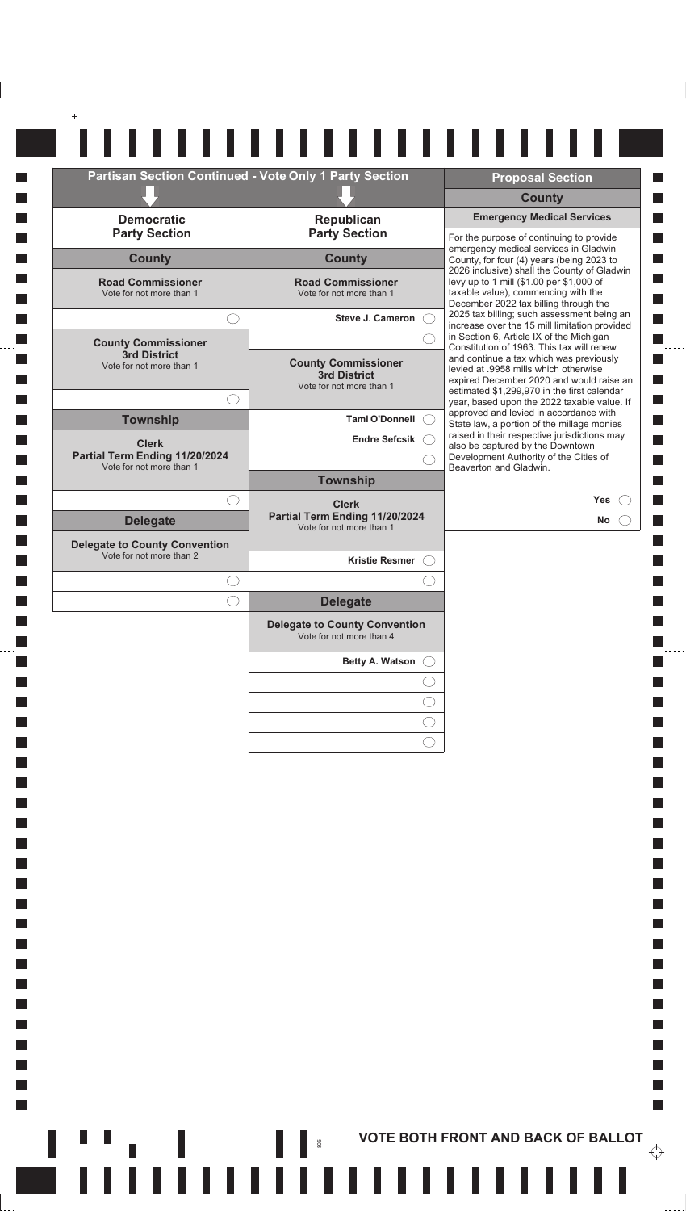| <b>Partisan Section Continued - Vote Only 1 Party Section</b>    |                                                                        | <b>Proposal Section</b>                                                                                                                                                 |
|------------------------------------------------------------------|------------------------------------------------------------------------|-------------------------------------------------------------------------------------------------------------------------------------------------------------------------|
|                                                                  |                                                                        | <b>County</b>                                                                                                                                                           |
| <b>Democratic</b>                                                | Republican                                                             | <b>Emergency Medical Services</b>                                                                                                                                       |
| <b>Party Section</b>                                             | <b>Party Section</b>                                                   | For the purpose of continuing to provide                                                                                                                                |
| <b>County</b>                                                    | <b>County</b>                                                          | emergency medical services in Gladwin<br>County, for four (4) years (being 2023 to                                                                                      |
| <b>Road Commissioner</b><br>Vote for not more than 1             | <b>Road Commissioner</b><br>Vote for not more than 1                   | 2026 inclusive) shall the County of Gladwin<br>levy up to 1 mill (\$1.00 per \$1,000 of<br>taxable value), commencing with the<br>December 2022 tax billing through the |
|                                                                  | Steve J. Cameron (                                                     | 2025 tax billing; such assessment being an<br>increase over the 15 mill limitation provided                                                                             |
| <b>County Commissioner</b>                                       |                                                                        | in Section 6, Article IX of the Michigan<br>Constitution of 1963. This tax will renew                                                                                   |
| 3rd District<br>Vote for not more than 1                         | <b>County Commissioner</b><br>3rd District<br>Vote for not more than 1 | and continue a tax which was previously<br>levied at .9958 mills which otherwise<br>expired December 2020 and would raise an                                            |
|                                                                  |                                                                        | estimated \$1,299,970 in the first calendar<br>year, based upon the 2022 taxable value. If                                                                              |
| <b>Township</b>                                                  | Tami O'Donnell (                                                       | approved and levied in accordance with<br>State law, a portion of the millage monies                                                                                    |
| <b>Clerk</b>                                                     | Endre Sefcsik C                                                        | raised in their respective jurisdictions may<br>also be captured by the Downtown                                                                                        |
| Partial Term Ending 11/20/2024<br>Vote for not more than 1       |                                                                        | Development Authority of the Cities of<br>Beaverton and Gladwin.                                                                                                        |
|                                                                  | <b>Township</b>                                                        |                                                                                                                                                                         |
| ()                                                               | <b>Clerk</b><br>Partial Term Ending 11/20/2024                         | <b>Yes</b>                                                                                                                                                              |
| <b>Delegate</b>                                                  | Vote for not more than 1                                               | No                                                                                                                                                                      |
| <b>Delegate to County Convention</b><br>Vote for not more than 2 | Kristie Resmer (                                                       |                                                                                                                                                                         |
|                                                                  |                                                                        |                                                                                                                                                                         |
|                                                                  | <b>Delegate</b>                                                        |                                                                                                                                                                         |
|                                                                  | <b>Delegate to County Convention</b><br>Vote for not more than 4       |                                                                                                                                                                         |
|                                                                  | Betty A. Watson                                                        |                                                                                                                                                                         |
|                                                                  |                                                                        |                                                                                                                                                                         |
|                                                                  |                                                                        |                                                                                                                                                                         |
|                                                                  |                                                                        |                                                                                                                                                                         |
|                                                                  |                                                                        |                                                                                                                                                                         |

**I**  $\Box$ 

**I**  $\Box$ 

**I**  $\mathcal{L}_{\mathcal{A}}$ 

 $\mathcal{L}_{\mathcal{A}}$ 

 $\mathcal{L}_{\mathcal{A}}$ 

 $\mathcal{L}_{\mathcal{A}}$ 

 $\overline{\phantom{a}}$ 

П  $\mathcal{L}_{\mathcal{A}}$ 

**THE ROOTH FRONT AND BACK OF BALLOT** 

 $- - -$ 

П

П П

 $\Box$ П

 $\mathcal{L}_{\mathcal{A}}$ 

 $\mathcal{L}_{\mathcal{A}}$  $\frac{1}{2}$ 

 $\Box$ 

П

 $\mathbb{R}^n$ 

 $\overleftrightarrow{\cdot}$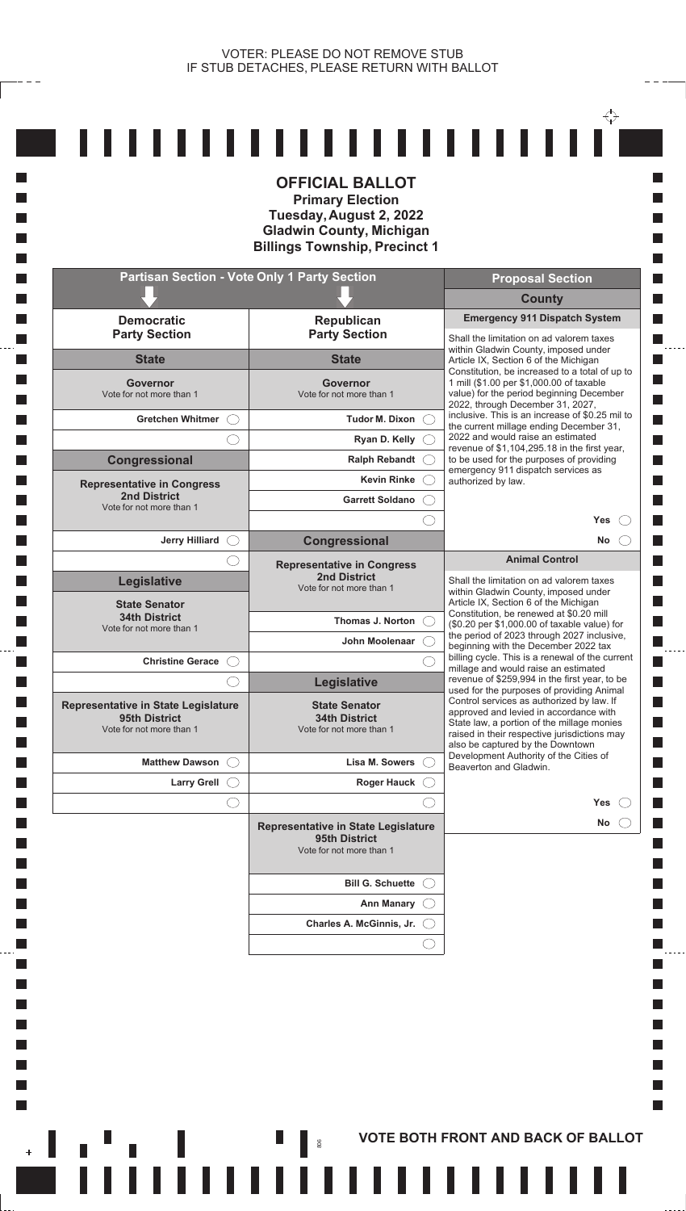**I** 

П

**In I** 

**The State** 

**In** 

**T** 

П  $\mathcal{L}_{\mathcal{A}}$ **I** k.

 $\overline{\phantom{a}}$ 

|                                                                                         | <b>OFFICIAL BALLOT</b><br><b>Primary Election</b><br>Tuesday, August 2, 2022<br><b>Gladwin County, Michigan</b><br><b>Billings Township, Precinct 1</b> |                                                                                                                                                                                                                       |
|-----------------------------------------------------------------------------------------|---------------------------------------------------------------------------------------------------------------------------------------------------------|-----------------------------------------------------------------------------------------------------------------------------------------------------------------------------------------------------------------------|
| <b>Partisan Section - Vote Only 1 Party Section</b>                                     |                                                                                                                                                         | <b>Proposal Section</b>                                                                                                                                                                                               |
|                                                                                         |                                                                                                                                                         | <b>County</b><br><b>Emergency 911 Dispatch System</b>                                                                                                                                                                 |
| <b>Democratic</b><br><b>Party Section</b>                                               | Republican<br><b>Party Section</b>                                                                                                                      | Shall the limitation on ad valorem taxes                                                                                                                                                                              |
| <b>State</b>                                                                            | <b>State</b>                                                                                                                                            | within Gladwin County, imposed under<br>Article IX, Section 6 of the Michigan                                                                                                                                         |
| Governor<br>Vote for not more than 1                                                    | Governor<br>Vote for not more than 1                                                                                                                    | Constitution, be increased to a total of up to<br>1 mill (\$1.00 per \$1,000.00 of taxable<br>value) for the period beginning December                                                                                |
| <b>Gretchen Whitmer</b>                                                                 | <b>Tudor M. Dixon</b>                                                                                                                                   | 2022, through December 31, 2027,<br>inclusive. This is an increase of \$0.25 mil to                                                                                                                                   |
|                                                                                         | Ryan D. Kelly                                                                                                                                           | the current millage ending December 31,<br>2022 and would raise an estimated<br>revenue of \$1,104,295.18 in the first year,                                                                                          |
| Congressional                                                                           | <b>Ralph Rebandt</b>                                                                                                                                    | to be used for the purposes of providing<br>emergency 911 dispatch services as                                                                                                                                        |
| <b>Representative in Congress</b>                                                       | <b>Kevin Rinke</b>                                                                                                                                      | authorized by law.                                                                                                                                                                                                    |
| <b>2nd District</b><br>Vote for not more than 1                                         | <b>Garrett Soldano</b>                                                                                                                                  |                                                                                                                                                                                                                       |
|                                                                                         |                                                                                                                                                         | <b>Yes</b>                                                                                                                                                                                                            |
| <b>Jerry Hilliard</b>                                                                   | Congressional                                                                                                                                           | No<br><b>Animal Control</b>                                                                                                                                                                                           |
| Legislative<br><b>State Senator</b>                                                     | <b>Representative in Congress</b><br><b>2nd District</b><br>Vote for not more than 1                                                                    | Shall the limitation on ad valorem taxes<br>within Gladwin County, imposed under<br>Article IX, Section 6 of the Michigan                                                                                             |
| <b>34th District</b><br>Vote for not more than 1                                        | Thomas J. Norton                                                                                                                                        | Constitution, be renewed at \$0.20 mill<br>(\$0.20 per \$1,000.00 of taxable value) for                                                                                                                               |
|                                                                                         | John Moolenaar                                                                                                                                          | the period of 2023 through 2027 inclusive,<br>beginning with the December 2022 tax                                                                                                                                    |
| <b>Christine Gerace</b>                                                                 |                                                                                                                                                         | billing cycle. This is a renewal of the current<br>millage and would raise an estimated                                                                                                                               |
|                                                                                         | <b>Legislative</b>                                                                                                                                      | revenue of \$259,994 in the first year, to be<br>used for the purposes of providing Animal                                                                                                                            |
| <b>Representative in State Legislature</b><br>95th District<br>Vote for not more than 1 | <b>State Senator</b><br><b>34th District</b><br>Vote for not more than 1                                                                                | Control services as authorized by law. If<br>approved and levied in accordance with<br>State law, a portion of the millage monies<br>raised in their respective jurisdictions may<br>also be captured by the Downtown |
| <b>Matthew Dawson</b>                                                                   | Lisa M. Sowers                                                                                                                                          | Development Authority of the Cities of<br>Beaverton and Gladwin.                                                                                                                                                      |
| <b>Larry Grell</b>                                                                      | <b>Roger Hauck</b>                                                                                                                                      |                                                                                                                                                                                                                       |
|                                                                                         |                                                                                                                                                         | Yes                                                                                                                                                                                                                   |
|                                                                                         | Representative in State Legislature<br>95th District<br>Vote for not more than 1                                                                        | No                                                                                                                                                                                                                    |
|                                                                                         | <b>Bill G. Schuette</b>                                                                                                                                 |                                                                                                                                                                                                                       |
|                                                                                         | <b>Ann Manary</b>                                                                                                                                       |                                                                                                                                                                                                                       |
|                                                                                         | Charles A. McGinnis, Jr.                                                                                                                                |                                                                                                                                                                                                                       |

**THE REPORT OF SALLOT**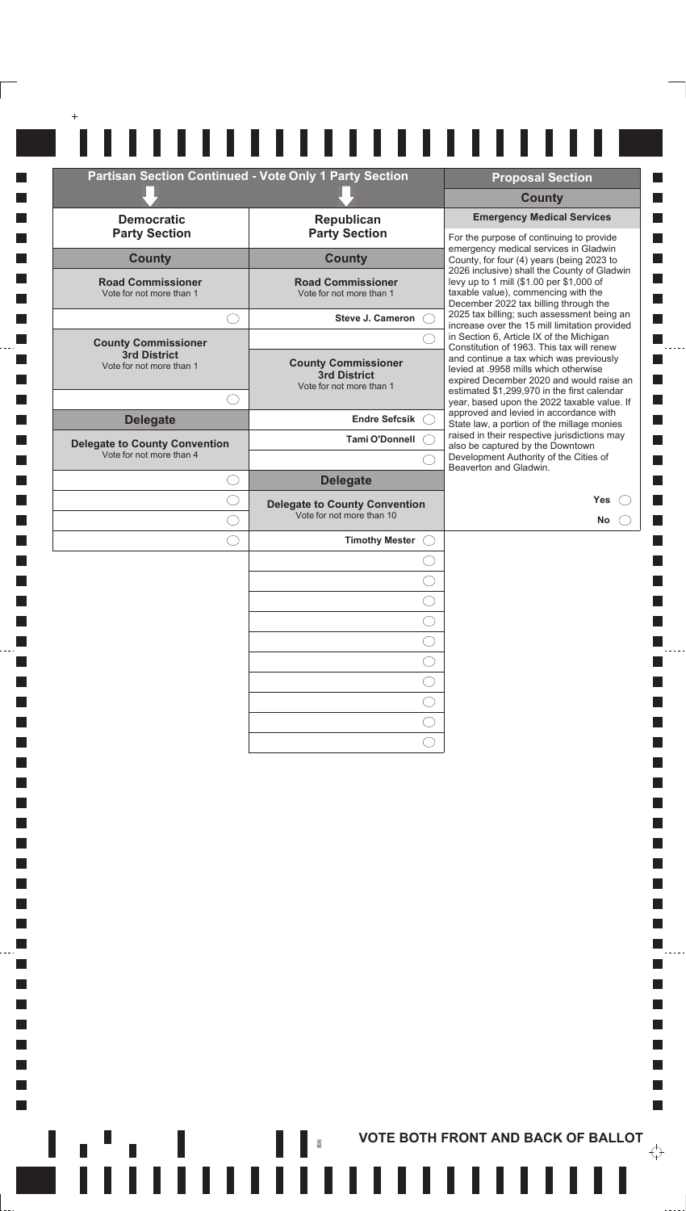| <b>Emergency Medical Services</b><br><b>Democratic</b><br>Republican<br><b>Party Section</b><br><b>Party Section</b><br>For the purpose of continuing to provide<br>emergency medical services in Gladwin<br><b>County</b><br><b>County</b><br>County, for four (4) years (being 2023 to<br>2026 inclusive) shall the County of Gladwin<br><b>Road Commissioner</b><br><b>Road Commissioner</b><br>levy up to 1 mill (\$1.00 per \$1,000 of<br>taxable value), commencing with the<br>Vote for not more than 1<br>Vote for not more than 1<br>December 2022 tax billing through the<br>2025 tax billing; such assessment being an<br>Steve J. Cameron C.<br>$\bigcirc$<br>increase over the 15 mill limitation provided<br>in Section 6, Article IX of the Michigan<br><b>County Commissioner</b><br>Constitution of 1963. This tax will renew<br>3rd District<br>and continue a tax which was previously<br><b>County Commissioner</b><br>Vote for not more than 1<br>levied at .9958 mills which otherwise<br>3rd District<br>expired December 2020 and would raise an<br>Vote for not more than 1<br>estimated \$1,299,970 in the first calendar<br>C<br>year, based upon the 2022 taxable value. If<br>approved and levied in accordance with<br><b>Delegate</b><br><b>Endre Sefcsik</b><br>State law, a portion of the millage monies<br>raised in their respective jurisdictions may<br><b>Tami O'Donnell</b><br>also be captured by the Downtown<br>Vote for not more than 4<br>Development Authority of the Cities of<br>Beaverton and Gladwin.<br><b>Delegate</b><br>C<br><b>Yes</b><br>C<br><b>Delegate to County Convention</b><br>Vote for not more than 10<br>C<br>No<br><b>Timothy Mester</b><br>( ) |                                      | <b>Partisan Section Continued - Vote Only 1 Party Section</b> | <b>Proposal Section</b>                   |
|--------------------------------------------------------------------------------------------------------------------------------------------------------------------------------------------------------------------------------------------------------------------------------------------------------------------------------------------------------------------------------------------------------------------------------------------------------------------------------------------------------------------------------------------------------------------------------------------------------------------------------------------------------------------------------------------------------------------------------------------------------------------------------------------------------------------------------------------------------------------------------------------------------------------------------------------------------------------------------------------------------------------------------------------------------------------------------------------------------------------------------------------------------------------------------------------------------------------------------------------------------------------------------------------------------------------------------------------------------------------------------------------------------------------------------------------------------------------------------------------------------------------------------------------------------------------------------------------------------------------------------------------------------------------------------------------------------------------|--------------------------------------|---------------------------------------------------------------|-------------------------------------------|
|                                                                                                                                                                                                                                                                                                                                                                                                                                                                                                                                                                                                                                                                                                                                                                                                                                                                                                                                                                                                                                                                                                                                                                                                                                                                                                                                                                                                                                                                                                                                                                                                                                                                                                                    |                                      |                                                               | <b>County</b>                             |
|                                                                                                                                                                                                                                                                                                                                                                                                                                                                                                                                                                                                                                                                                                                                                                                                                                                                                                                                                                                                                                                                                                                                                                                                                                                                                                                                                                                                                                                                                                                                                                                                                                                                                                                    |                                      |                                                               |                                           |
|                                                                                                                                                                                                                                                                                                                                                                                                                                                                                                                                                                                                                                                                                                                                                                                                                                                                                                                                                                                                                                                                                                                                                                                                                                                                                                                                                                                                                                                                                                                                                                                                                                                                                                                    |                                      |                                                               |                                           |
|                                                                                                                                                                                                                                                                                                                                                                                                                                                                                                                                                                                                                                                                                                                                                                                                                                                                                                                                                                                                                                                                                                                                                                                                                                                                                                                                                                                                                                                                                                                                                                                                                                                                                                                    |                                      |                                                               |                                           |
|                                                                                                                                                                                                                                                                                                                                                                                                                                                                                                                                                                                                                                                                                                                                                                                                                                                                                                                                                                                                                                                                                                                                                                                                                                                                                                                                                                                                                                                                                                                                                                                                                                                                                                                    |                                      |                                                               |                                           |
|                                                                                                                                                                                                                                                                                                                                                                                                                                                                                                                                                                                                                                                                                                                                                                                                                                                                                                                                                                                                                                                                                                                                                                                                                                                                                                                                                                                                                                                                                                                                                                                                                                                                                                                    |                                      |                                                               |                                           |
|                                                                                                                                                                                                                                                                                                                                                                                                                                                                                                                                                                                                                                                                                                                                                                                                                                                                                                                                                                                                                                                                                                                                                                                                                                                                                                                                                                                                                                                                                                                                                                                                                                                                                                                    |                                      |                                                               |                                           |
|                                                                                                                                                                                                                                                                                                                                                                                                                                                                                                                                                                                                                                                                                                                                                                                                                                                                                                                                                                                                                                                                                                                                                                                                                                                                                                                                                                                                                                                                                                                                                                                                                                                                                                                    |                                      |                                                               |                                           |
|                                                                                                                                                                                                                                                                                                                                                                                                                                                                                                                                                                                                                                                                                                                                                                                                                                                                                                                                                                                                                                                                                                                                                                                                                                                                                                                                                                                                                                                                                                                                                                                                                                                                                                                    |                                      |                                                               |                                           |
|                                                                                                                                                                                                                                                                                                                                                                                                                                                                                                                                                                                                                                                                                                                                                                                                                                                                                                                                                                                                                                                                                                                                                                                                                                                                                                                                                                                                                                                                                                                                                                                                                                                                                                                    | <b>Delegate to County Convention</b> |                                                               |                                           |
|                                                                                                                                                                                                                                                                                                                                                                                                                                                                                                                                                                                                                                                                                                                                                                                                                                                                                                                                                                                                                                                                                                                                                                                                                                                                                                                                                                                                                                                                                                                                                                                                                                                                                                                    |                                      |                                                               |                                           |
|                                                                                                                                                                                                                                                                                                                                                                                                                                                                                                                                                                                                                                                                                                                                                                                                                                                                                                                                                                                                                                                                                                                                                                                                                                                                                                                                                                                                                                                                                                                                                                                                                                                                                                                    |                                      |                                                               |                                           |
|                                                                                                                                                                                                                                                                                                                                                                                                                                                                                                                                                                                                                                                                                                                                                                                                                                                                                                                                                                                                                                                                                                                                                                                                                                                                                                                                                                                                                                                                                                                                                                                                                                                                                                                    |                                      |                                                               |                                           |
|                                                                                                                                                                                                                                                                                                                                                                                                                                                                                                                                                                                                                                                                                                                                                                                                                                                                                                                                                                                                                                                                                                                                                                                                                                                                                                                                                                                                                                                                                                                                                                                                                                                                                                                    |                                      |                                                               |                                           |
|                                                                                                                                                                                                                                                                                                                                                                                                                                                                                                                                                                                                                                                                                                                                                                                                                                                                                                                                                                                                                                                                                                                                                                                                                                                                                                                                                                                                                                                                                                                                                                                                                                                                                                                    |                                      |                                                               |                                           |
|                                                                                                                                                                                                                                                                                                                                                                                                                                                                                                                                                                                                                                                                                                                                                                                                                                                                                                                                                                                                                                                                                                                                                                                                                                                                                                                                                                                                                                                                                                                                                                                                                                                                                                                    |                                      |                                                               |                                           |
|                                                                                                                                                                                                                                                                                                                                                                                                                                                                                                                                                                                                                                                                                                                                                                                                                                                                                                                                                                                                                                                                                                                                                                                                                                                                                                                                                                                                                                                                                                                                                                                                                                                                                                                    |                                      |                                                               |                                           |
|                                                                                                                                                                                                                                                                                                                                                                                                                                                                                                                                                                                                                                                                                                                                                                                                                                                                                                                                                                                                                                                                                                                                                                                                                                                                                                                                                                                                                                                                                                                                                                                                                                                                                                                    |                                      |                                                               |                                           |
|                                                                                                                                                                                                                                                                                                                                                                                                                                                                                                                                                                                                                                                                                                                                                                                                                                                                                                                                                                                                                                                                                                                                                                                                                                                                                                                                                                                                                                                                                                                                                                                                                                                                                                                    |                                      |                                                               |                                           |
|                                                                                                                                                                                                                                                                                                                                                                                                                                                                                                                                                                                                                                                                                                                                                                                                                                                                                                                                                                                                                                                                                                                                                                                                                                                                                                                                                                                                                                                                                                                                                                                                                                                                                                                    |                                      |                                                               |                                           |
|                                                                                                                                                                                                                                                                                                                                                                                                                                                                                                                                                                                                                                                                                                                                                                                                                                                                                                                                                                                                                                                                                                                                                                                                                                                                                                                                                                                                                                                                                                                                                                                                                                                                                                                    |                                      |                                                               |                                           |
|                                                                                                                                                                                                                                                                                                                                                                                                                                                                                                                                                                                                                                                                                                                                                                                                                                                                                                                                                                                                                                                                                                                                                                                                                                                                                                                                                                                                                                                                                                                                                                                                                                                                                                                    |                                      |                                                               |                                           |
|                                                                                                                                                                                                                                                                                                                                                                                                                                                                                                                                                                                                                                                                                                                                                                                                                                                                                                                                                                                                                                                                                                                                                                                                                                                                                                                                                                                                                                                                                                                                                                                                                                                                                                                    |                                      |                                                               |                                           |
|                                                                                                                                                                                                                                                                                                                                                                                                                                                                                                                                                                                                                                                                                                                                                                                                                                                                                                                                                                                                                                                                                                                                                                                                                                                                                                                                                                                                                                                                                                                                                                                                                                                                                                                    | المناقبة والموالي                    | 806                                                           | <b>VOTE BOTH FRONT AND BACK OF BALLOT</b> |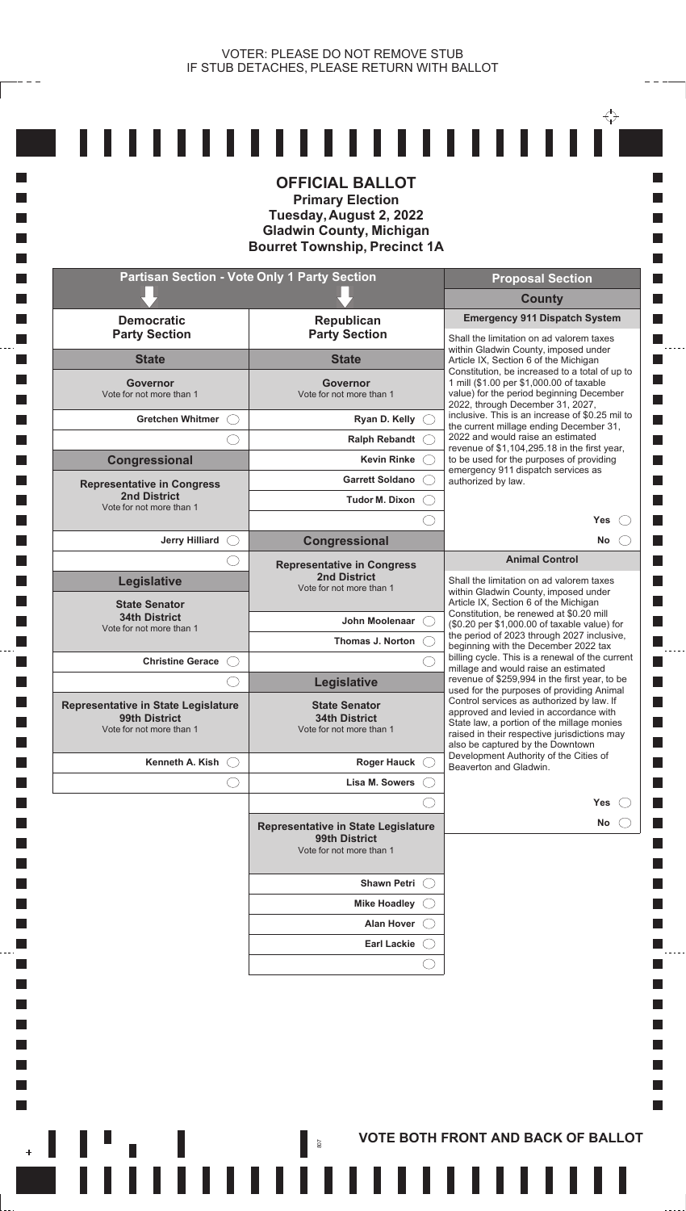$- - -$ 

**T**  $\Box$ **T The State** П

 $\Box$ **Tall**  $\Box$ **I**  $\Box$ 

 $\Box$ **T T T**  $\Box$ **I**  $\Box$ **T**  $\Box$  $\Box$ **Tall T**  $\Box$ **T** 

 $\Box$ **T T** П  $\Box$  $\Box$  $\mathcal{L}_{\mathcal{A}}$  $\mathcal{L}_{\mathcal{A}}$ **I** k.

 $\mathbb{R}^n$ 

|                                                                                  | <b>Partisan Section - Vote Only 1 Party Section</b>                              | <b>Proposal Section</b>                                                                                                                                                                                               |
|----------------------------------------------------------------------------------|----------------------------------------------------------------------------------|-----------------------------------------------------------------------------------------------------------------------------------------------------------------------------------------------------------------------|
|                                                                                  |                                                                                  | <b>County</b>                                                                                                                                                                                                         |
| <b>Democratic</b><br><b>Party Section</b>                                        | <b>Republican</b><br><b>Party Section</b>                                        | <b>Emergency 911 Dispatch System</b><br>Shall the limitation on ad valorem taxes                                                                                                                                      |
| <b>State</b>                                                                     | <b>State</b>                                                                     | within Gladwin County, imposed under<br>Article IX, Section 6 of the Michigan<br>Constitution, be increased to a total of up to                                                                                       |
| Governor<br>Vote for not more than 1                                             | Governor<br>Vote for not more than 1                                             | 1 mill (\$1.00 per \$1,000.00 of taxable<br>value) for the period beginning December<br>2022, through December 31, 2027,                                                                                              |
| <b>Gretchen Whitmer</b>                                                          | Ryan D. Kelly                                                                    | inclusive. This is an increase of \$0.25 mil to<br>the current millage ending December 31,                                                                                                                            |
|                                                                                  | <b>Ralph Rebandt</b>                                                             | 2022 and would raise an estimated<br>revenue of \$1,104,295.18 in the first year,                                                                                                                                     |
| Congressional                                                                    | <b>Kevin Rinke</b>                                                               | to be used for the purposes of providing<br>emergency 911 dispatch services as                                                                                                                                        |
| <b>Representative in Congress</b><br><b>2nd District</b>                         | <b>Garrett Soldano</b>                                                           | authorized by law.                                                                                                                                                                                                    |
| Vote for not more than 1                                                         | Tudor M. Dixon                                                                   | Yes                                                                                                                                                                                                                   |
| <b>Jerry Hilliard</b>                                                            | Congressional                                                                    | <b>No</b>                                                                                                                                                                                                             |
|                                                                                  | <b>Representative in Congress</b>                                                | <b>Animal Control</b>                                                                                                                                                                                                 |
| <b>Legislative</b>                                                               | <b>2nd District</b><br>Vote for not more than 1                                  | Shall the limitation on ad valorem taxes                                                                                                                                                                              |
| <b>State Senator</b>                                                             |                                                                                  | within Gladwin County, imposed under<br>Article IX, Section 6 of the Michigan                                                                                                                                         |
| <b>34th District</b><br>Vote for not more than 1                                 | John Moolenaar                                                                   | Constitution, be renewed at \$0.20 mill<br>(\$0.20 per \$1,000.00 of taxable value) for                                                                                                                               |
|                                                                                  | Thomas J. Norton                                                                 | the period of 2023 through 2027 inclusive,<br>beginning with the December 2022 tax                                                                                                                                    |
| <b>Christine Gerace</b>                                                          |                                                                                  | billing cycle. This is a renewal of the current<br>millage and would raise an estimated                                                                                                                               |
|                                                                                  | <b>Legislative</b>                                                               | revenue of \$259,994 in the first year, to be<br>used for the purposes of providing Animal                                                                                                                            |
| Representative in State Legislature<br>99th District<br>Vote for not more than 1 | <b>State Senator</b><br><b>34th District</b><br>Vote for not more than 1         | Control services as authorized by law. If<br>approved and levied in accordance with<br>State law, a portion of the millage monies<br>raised in their respective jurisdictions may<br>also be captured by the Downtown |
| Kenneth A. Kish                                                                  | <b>Roger Hauck</b>                                                               | Development Authority of the Cities of<br>Beaverton and Gladwin.                                                                                                                                                      |
|                                                                                  | Lisa M. Sowers                                                                   |                                                                                                                                                                                                                       |
|                                                                                  |                                                                                  | Yes                                                                                                                                                                                                                   |
|                                                                                  | Representative in State Legislature<br>99th District<br>Vote for not more than 1 | No                                                                                                                                                                                                                    |
|                                                                                  | Shawn Petri (                                                                    |                                                                                                                                                                                                                       |
|                                                                                  | <b>Mike Hoadley</b>                                                              |                                                                                                                                                                                                                       |
|                                                                                  | <b>Alan Hover</b>                                                                |                                                                                                                                                                                                                       |
|                                                                                  | <b>Earl Lackie</b>                                                               |                                                                                                                                                                                                                       |
|                                                                                  |                                                                                  |                                                                                                                                                                                                                       |

**AND RESORT AND BACK OF BALLOT** 

 $- - - -$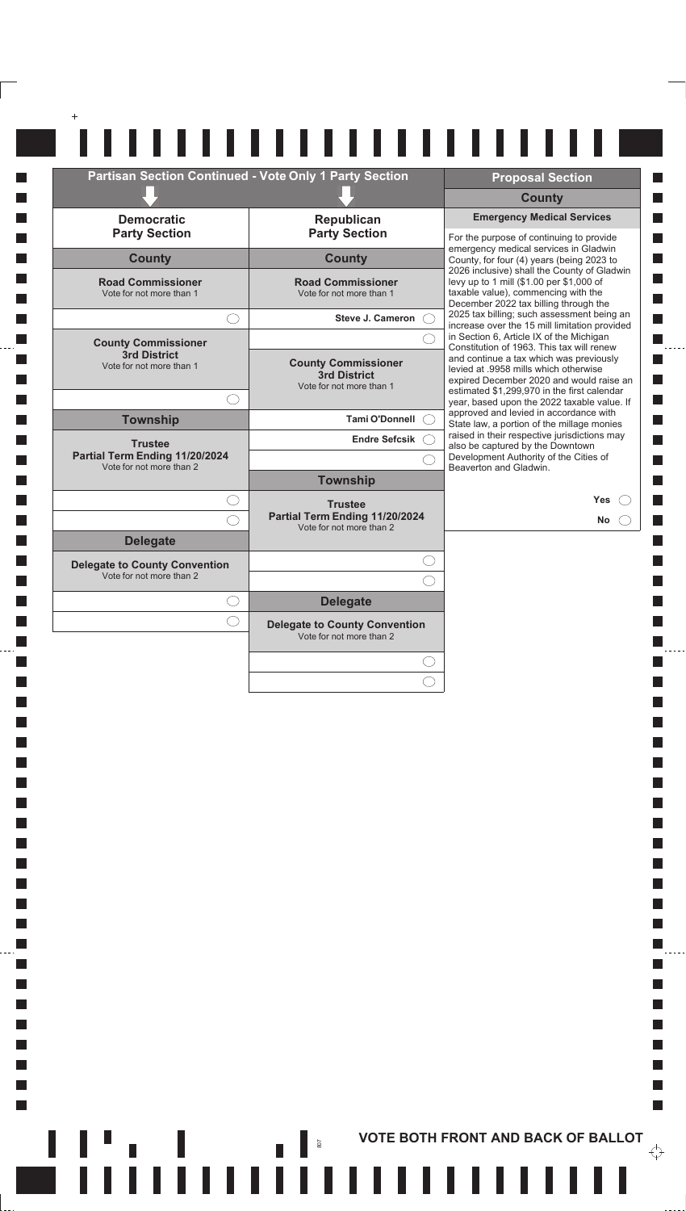| <b>Partisan Section Continued - Vote Only 1 Party Section</b> |                                                                               | <b>Proposal Section</b>                                                                                                                                                     |
|---------------------------------------------------------------|-------------------------------------------------------------------------------|-----------------------------------------------------------------------------------------------------------------------------------------------------------------------------|
|                                                               |                                                                               | <b>County</b>                                                                                                                                                               |
| <b>Democratic</b><br><b>Party Section</b>                     | Republican<br><b>Party Section</b>                                            | <b>Emergency Medical Services</b><br>For the purpose of continuing to provide                                                                                               |
| <b>County</b>                                                 | <b>County</b>                                                                 | emergency medical services in Gladwin<br>County, for four (4) years (being 2023 to                                                                                          |
| <b>Road Commissioner</b><br>Vote for not more than 1          | <b>Road Commissioner</b><br>Vote for not more than 1                          | 2026 inclusive) shall the County of Gladwin<br>levy up to 1 mill (\$1.00 per \$1,000 of<br>taxable value), commencing with the<br>December 2022 tax billing through the     |
|                                                               | <b>Steve J. Cameron</b>                                                       | 2025 tax billing; such assessment being an<br>increase over the 15 mill limitation provided                                                                                 |
| <b>County Commissioner</b>                                    |                                                                               | in Section 6, Article IX of the Michigan<br>Constitution of 1963. This tax will renew                                                                                       |
| <b>3rd District</b><br>Vote for not more than 1               | <b>County Commissioner</b><br><b>3rd District</b><br>Vote for not more than 1 | and continue a tax which was previously<br>levied at .9958 mills which otherwise<br>expired December 2020 and would raise an<br>estimated \$1,299,970 in the first calendar |
|                                                               |                                                                               | year, based upon the 2022 taxable value. If<br>approved and levied in accordance with                                                                                       |
| <b>Township</b>                                               | <b>Tami O'Donnell</b>                                                         | State law, a portion of the millage monies<br>raised in their respective jurisdictions may                                                                                  |
| <b>Trustee</b><br>Partial Term Ending 11/20/2024              | <b>Endre Sefcsik</b>                                                          | also be captured by the Downtown<br>Development Authority of the Cities of                                                                                                  |
| Vote for not more than 2                                      | <b>Township</b>                                                               | Beaverton and Gladwin.                                                                                                                                                      |
|                                                               | <b>Trustee</b><br>Partial Term Ending 11/20/2024                              | <b>Yes</b><br><b>No</b>                                                                                                                                                     |
| <b>Delegate</b>                                               | Vote for not more than 2                                                      |                                                                                                                                                                             |
| <b>Delegate to County Convention</b>                          |                                                                               |                                                                                                                                                                             |
| Vote for not more than 2                                      |                                                                               |                                                                                                                                                                             |
|                                                               | <b>Delegate</b>                                                               |                                                                                                                                                                             |
|                                                               | <b>Delegate to County Convention</b><br>Vote for not more than 2              |                                                                                                                                                                             |
|                                                               |                                                                               |                                                                                                                                                                             |
|                                                               |                                                                               |                                                                                                                                                                             |

**In**  $\Box$ **I**  $\Box$ П  $\Box$ **In**  $\mathcal{L}_{\mathcal{A}}$  $\mathcal{L}_{\mathcal{A}}$ 

 $\mathcal{L}_{\mathcal{A}}$  $\mathcal{L}_{\mathcal{A}}$  $\Box$  $\Box$  $\Box$ П  $\Box$ П  $\Box$ П  $\Box$ П  $\Box$ **I**  $\mathcal{L}_{\mathcal{A}}$  $\mathcal{L}_{\mathcal{A}}$  $\Box$  $\Box$  $\Box$ 

 $\Box$  $\Box$ 

 $\Box$  $\Box$ 

 $\Box$ 

 $\Box$ 

 $\Box$ 

 $\Box$ 

**I**  $\mathcal{L}_{\mathcal{A}}$ 

 $\mathcal{L}_{\mathcal{A}}$ 

 $\overline{\phantom{a}}$ 

 $\mathcal{L}_{\mathcal{A}}$ 

 $\sim$ 

 $\overline{\phantom{a}}$ 

 $\overline{\mathbb{R}}$ F  $\mathbb{R}^n$ 

**ACCEDITED AS AND BACK OF BALLOT** 

. . . . .

 $\mathcal{L}_{\mathcal{A}}$ П

 $\Box$ П

 $\Box$ 

П

П П

 $\blacksquare$ 

П

 $\mathcal{L}_{\mathcal{A}}$  $\Box$ 

 $\Box$ 

 $\Box$ 

 $\mathbb{R}^n$ 

 $\overleftrightarrow{\cdot}$ 

 $\frac{1}{2}$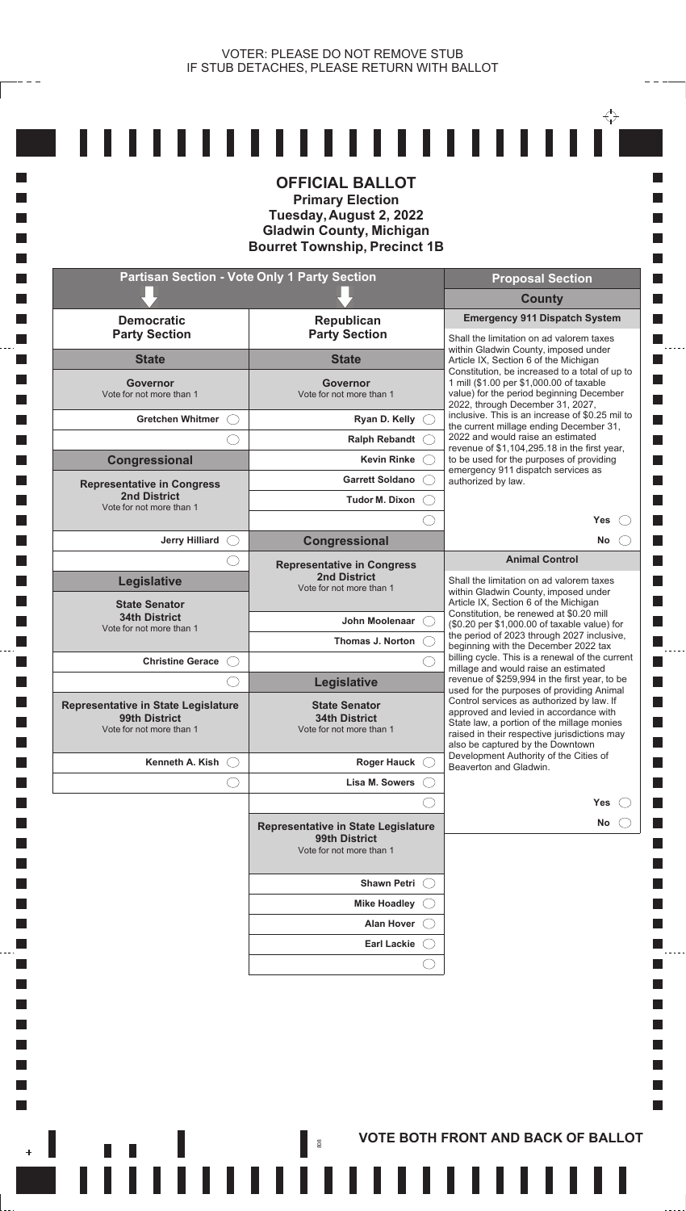$- - -$ 

**T**  $\Box$ **I I** H

 $\Box$  $\Box$  $\overline{\phantom{a}}$  $\Box$  $\overline{\phantom{a}}$ **T**  $\Box$ **I T I**  $\overline{\phantom{a}}$ **I**  $\Box$ **I**  $\Box$  $\Box$ **Tall I**  $\overline{\phantom{a}}$ **I T T**  $\Box$ **T T** П  $\Box$  $\Box$  $\mathcal{L}_{\mathcal{A}}$  $\mathcal{L}_{\mathcal{A}}$ **I** k.

 $\Box$ 

|                                                                                  | <b>Primary Election</b><br>Tuesday, August 2, 2022<br><b>Gladwin County, Michigan</b><br><b>Bourret Township, Precinct 1B</b> |                                                                                                                                                                                                                                                                    |
|----------------------------------------------------------------------------------|-------------------------------------------------------------------------------------------------------------------------------|--------------------------------------------------------------------------------------------------------------------------------------------------------------------------------------------------------------------------------------------------------------------|
| <b>Partisan Section - Vote Only 1 Party Section</b>                              |                                                                                                                               | <b>Proposal Section</b>                                                                                                                                                                                                                                            |
|                                                                                  |                                                                                                                               | <b>County</b>                                                                                                                                                                                                                                                      |
| <b>Democratic</b><br><b>Party Section</b>                                        | Republican<br><b>Party Section</b>                                                                                            | <b>Emergency 911 Dispatch System</b><br>Shall the limitation on ad valorem taxes                                                                                                                                                                                   |
| <b>State</b>                                                                     | <b>State</b>                                                                                                                  | within Gladwin County, imposed under<br>Article IX, Section 6 of the Michigan                                                                                                                                                                                      |
| Governor<br>Vote for not more than 1                                             | <b>Governor</b><br>Vote for not more than 1                                                                                   | Constitution, be increased to a total of up to<br>1 mill (\$1.00 per \$1,000.00 of taxable<br>value) for the period beginning December<br>2022, through December 31, 2027,                                                                                         |
| <b>Gretchen Whitmer</b>                                                          | Ryan D. Kelly                                                                                                                 | inclusive. This is an increase of \$0.25 mil to<br>the current millage ending December 31,                                                                                                                                                                         |
|                                                                                  | <b>Ralph Rebandt</b>                                                                                                          | 2022 and would raise an estimated<br>revenue of \$1,104,295.18 in the first year,                                                                                                                                                                                  |
| Congressional                                                                    | <b>Kevin Rinke</b>                                                                                                            | to be used for the purposes of providing<br>emergency 911 dispatch services as                                                                                                                                                                                     |
| <b>Representative in Congress</b>                                                | <b>Garrett Soldano</b>                                                                                                        | authorized by law.                                                                                                                                                                                                                                                 |
| <b>2nd District</b><br>Vote for not more than 1                                  | Tudor M. Dixon                                                                                                                |                                                                                                                                                                                                                                                                    |
|                                                                                  |                                                                                                                               | <b>Yes</b>                                                                                                                                                                                                                                                         |
| <b>Jerry Hilliard</b>                                                            | Congressional                                                                                                                 | No                                                                                                                                                                                                                                                                 |
|                                                                                  | <b>Representative in Congress</b><br><b>2nd District</b>                                                                      | <b>Animal Control</b><br>Shall the limitation on ad valorem taxes                                                                                                                                                                                                  |
| Legislative                                                                      | Vote for not more than 1                                                                                                      | within Gladwin County, imposed under<br>Article IX, Section 6 of the Michigan                                                                                                                                                                                      |
| <b>State Senator</b><br><b>34th District</b>                                     | John Moolenaar                                                                                                                | Constitution, be renewed at \$0.20 mill                                                                                                                                                                                                                            |
| Vote for not more than 1                                                         | Thomas J. Norton                                                                                                              | (\$0.20 per \$1,000.00 of taxable value) for<br>the period of 2023 through 2027 inclusive,                                                                                                                                                                         |
| <b>Christine Gerace</b>                                                          |                                                                                                                               | beginning with the December 2022 tax<br>billing cycle. This is a renewal of the current                                                                                                                                                                            |
|                                                                                  | <b>Legislative</b>                                                                                                            | millage and would raise an estimated<br>revenue of \$259,994 in the first year, to be                                                                                                                                                                              |
| Representative in State Legislature<br>99th District<br>Vote for not more than 1 | <b>State Senator</b><br><b>34th District</b><br>Vote for not more than 1                                                      | used for the purposes of providing Animal<br>Control services as authorized by law. If<br>approved and levied in accordance with<br>State law, a portion of the millage monies<br>raised in their respective jurisdictions may<br>also be captured by the Downtown |
| Kenneth A. Kish                                                                  | <b>Roger Hauck</b>                                                                                                            | Development Authority of the Cities of<br>Beaverton and Gladwin.                                                                                                                                                                                                   |
|                                                                                  | Lisa M. Sowers                                                                                                                |                                                                                                                                                                                                                                                                    |
|                                                                                  |                                                                                                                               | <b>Yes</b>                                                                                                                                                                                                                                                         |
|                                                                                  | <b>Representative in State Legislature</b><br>99th District<br>Vote for not more than 1                                       | No.                                                                                                                                                                                                                                                                |
|                                                                                  | <b>Shawn Petri</b>                                                                                                            |                                                                                                                                                                                                                                                                    |
|                                                                                  | <b>Mike Hoadley</b>                                                                                                           |                                                                                                                                                                                                                                                                    |
|                                                                                  | <b>Alan Hover</b>                                                                                                             |                                                                                                                                                                                                                                                                    |
|                                                                                  | <b>Earl Lackie</b>                                                                                                            |                                                                                                                                                                                                                                                                    |
|                                                                                  |                                                                                                                               |                                                                                                                                                                                                                                                                    |
|                                                                                  |                                                                                                                               |                                                                                                                                                                                                                                                                    |

**THE REAL PROPERTY AND BACK OF BALLOT** 

 $- - - -$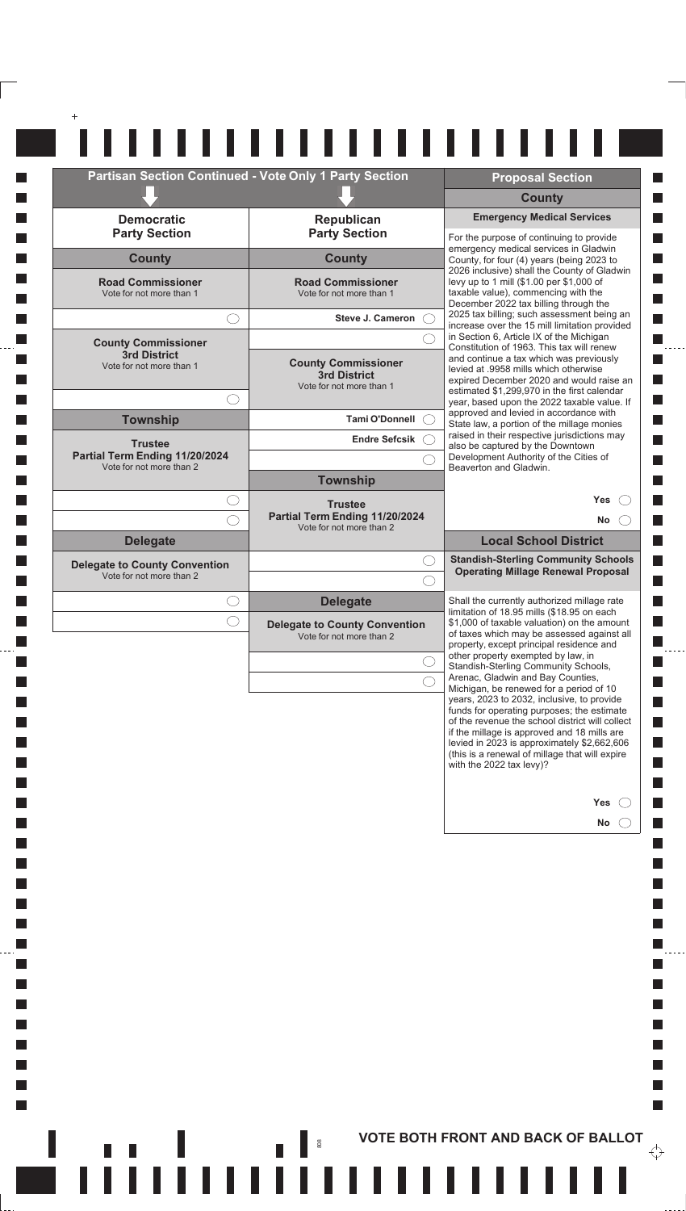| <b>Democratic</b>                                                             | Partisan Section Continued - Vote Only 1 Party Section           | <b>Proposal Section</b><br><b>County</b>                                                                                                                                                                                                                                                                                |
|-------------------------------------------------------------------------------|------------------------------------------------------------------|-------------------------------------------------------------------------------------------------------------------------------------------------------------------------------------------------------------------------------------------------------------------------------------------------------------------------|
|                                                                               | Republican                                                       | <b>Emergency Medical Services</b>                                                                                                                                                                                                                                                                                       |
| <b>Party Section</b>                                                          | <b>Party Section</b>                                             | For the purpose of continuing to provide<br>emergency medical services in Gladwin                                                                                                                                                                                                                                       |
| <b>County</b>                                                                 | <b>County</b>                                                    | County, for four (4) years (being 2023 to<br>2026 inclusive) shall the County of Gladwin                                                                                                                                                                                                                                |
| <b>Road Commissioner</b><br>Vote for not more than 1                          | <b>Road Commissioner</b><br>Vote for not more than 1             | levy up to 1 mill (\$1.00 per \$1,000 of<br>taxable value), commencing with the<br>December 2022 tax billing through the<br>2025 tax billing; such assessment being an                                                                                                                                                  |
|                                                                               | Steve J. Cameron                                                 | increase over the 15 mill limitation provided<br>in Section 6, Article IX of the Michigan                                                                                                                                                                                                                               |
| <b>County Commissioner</b><br><b>3rd District</b><br>Vote for not more than 1 | <b>County Commissioner</b><br><b>3rd District</b>                | Constitution of 1963. This tax will renew<br>and continue a tax which was previously<br>levied at .9958 mills which otherwise<br>expired December 2020 and would raise an                                                                                                                                               |
|                                                                               | Vote for not more than 1                                         | estimated \$1,299,970 in the first calendar<br>year, based upon the 2022 taxable value. If                                                                                                                                                                                                                              |
| <b>Township</b>                                                               | Tami O'Donnell (                                                 | approved and levied in accordance with<br>State law, a portion of the millage monies                                                                                                                                                                                                                                    |
| <b>Trustee</b><br>Partial Term Ending 11/20/2024                              | Endre Sefcsik C                                                  | raised in their respective jurisdictions may<br>also be captured by the Downtown                                                                                                                                                                                                                                        |
| Vote for not more than 2                                                      | <b>Township</b>                                                  | Development Authority of the Cities of<br>Beaverton and Gladwin.                                                                                                                                                                                                                                                        |
|                                                                               | <b>Trustee</b>                                                   | Yes                                                                                                                                                                                                                                                                                                                     |
|                                                                               | Partial Term Ending 11/20/2024<br>Vote for not more than 2       | No.                                                                                                                                                                                                                                                                                                                     |
| <b>Delegate</b>                                                               |                                                                  | <b>Local School District</b><br><b>Standish-Sterling Community Schools</b>                                                                                                                                                                                                                                              |
| <b>Delegate to County Convention</b><br>Vote for not more than 2              |                                                                  | <b>Operating Millage Renewal Proposal</b>                                                                                                                                                                                                                                                                               |
|                                                                               | <b>Delegate</b>                                                  | Shall the currently authorized millage rate                                                                                                                                                                                                                                                                             |
|                                                                               | <b>Delegate to County Convention</b><br>Vote for not more than 2 | limitation of 18.95 mills (\$18.95 on each<br>\$1,000 of taxable valuation) on the amount<br>of taxes which may be assessed against all                                                                                                                                                                                 |
|                                                                               |                                                                  | property, except principal residence and<br>other property exempted by law, in<br>Standish-Sterling Community Schools,                                                                                                                                                                                                  |
|                                                                               |                                                                  | Arenac, Gladwin and Bay Counties,<br>Michigan, be renewed for a period of 10                                                                                                                                                                                                                                            |
|                                                                               |                                                                  | years, 2023 to 2032, inclusive, to provide<br>funds for operating purposes; the estimate<br>of the revenue the school district will collect<br>if the millage is approved and 18 mills are<br>levied in 2023 is approximately \$2,662,606<br>(this is a renewal of millage that will expire<br>with the 2022 tax levy)? |
|                                                                               |                                                                  | Yes                                                                                                                                                                                                                                                                                                                     |
|                                                                               |                                                                  | No                                                                                                                                                                                                                                                                                                                      |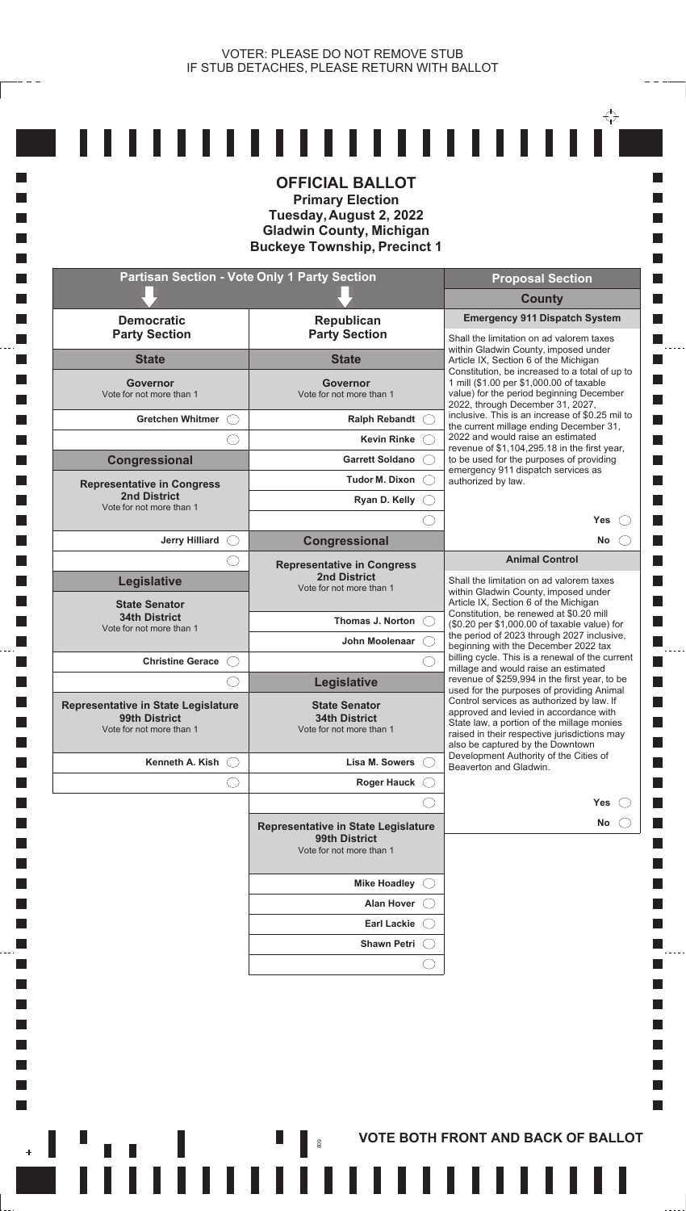$\mathbf{r}$ 

|                                                                                         | <b>Partisan Section - Vote Only 1 Party Section</b>                                     | <b>Proposal Section</b>                                                                                                                                                    |
|-----------------------------------------------------------------------------------------|-----------------------------------------------------------------------------------------|----------------------------------------------------------------------------------------------------------------------------------------------------------------------------|
|                                                                                         |                                                                                         | <b>County</b>                                                                                                                                                              |
| <b>Democratic</b><br><b>Party Section</b>                                               | Republican<br><b>Party Section</b>                                                      | <b>Emergency 911 Dispatch System</b><br>Shall the limitation on ad valorem taxes                                                                                           |
| <b>State</b>                                                                            | <b>State</b>                                                                            | within Gladwin County, imposed under<br>Article IX, Section 6 of the Michigan                                                                                              |
| Governor<br>Vote for not more than 1                                                    | <b>Governor</b><br>Vote for not more than 1                                             | Constitution, be increased to a total of up to<br>1 mill (\$1.00 per \$1,000.00 of taxable<br>value) for the period beginning December<br>2022, through December 31, 2027, |
| Gretchen Whitmer (                                                                      | Ralph Rebandt C                                                                         | inclusive. This is an increase of \$0.25 mil to                                                                                                                            |
|                                                                                         | <b>Kevin Rinke</b>                                                                      | the current millage ending December 31,<br>2022 and would raise an estimated                                                                                               |
| Congressional                                                                           | <b>Garrett Soldano</b>                                                                  | revenue of \$1,104,295.18 in the first year,<br>to be used for the purposes of providing                                                                                   |
| <b>Representative in Congress</b>                                                       | Tudor M. Dixon (                                                                        | emergency 911 dispatch services as<br>authorized by law.                                                                                                                   |
| <b>2nd District</b><br>Vote for not more than 1                                         | Ryan D. Kelly                                                                           |                                                                                                                                                                            |
|                                                                                         |                                                                                         | <b>Yes</b>                                                                                                                                                                 |
| Jerry Hilliard $\bigcirc$                                                               | Congressional                                                                           | <b>No</b>                                                                                                                                                                  |
|                                                                                         | <b>Representative in Congress</b><br><b>2nd District</b>                                | <b>Animal Control</b>                                                                                                                                                      |
| <b>Legislative</b>                                                                      | Vote for not more than 1                                                                | Shall the limitation on ad valorem taxes<br>within Gladwin County, imposed under                                                                                           |
| <b>State Senator</b><br><b>34th District</b>                                            |                                                                                         | Article IX, Section 6 of the Michigan<br>Constitution, be renewed at \$0.20 mill                                                                                           |
| Vote for not more than 1                                                                | Thomas J. Norton                                                                        | (\$0.20 per \$1,000.00 of taxable value) for<br>the period of 2023 through 2027 inclusive,                                                                                 |
| <b>Christine Gerace</b><br>- ( - )                                                      | John Moolenaar                                                                          | beginning with the December 2022 tax<br>billing cycle. This is a renewal of the current                                                                                    |
|                                                                                         | <b>Legislative</b>                                                                      | millage and would raise an estimated<br>revenue of \$259,994 in the first year, to be                                                                                      |
|                                                                                         | <b>State Senator</b>                                                                    | used for the purposes of providing Animal<br>Control services as authorized by law. If                                                                                     |
| <b>Representative in State Legislature</b><br>99th District<br>Vote for not more than 1 | <b>34th District</b><br>Vote for not more than 1                                        | approved and levied in accordance with<br>State law, a portion of the millage monies<br>raised in their respective jurisdictions may                                       |
| Kenneth A. Kish $\bigcirc$                                                              | Lisa M. Sowers                                                                          | also be captured by the Downtown<br>Development Authority of the Cities of                                                                                                 |
|                                                                                         | <b>Roger Hauck</b>                                                                      | Beaverton and Gladwin.                                                                                                                                                     |
|                                                                                         |                                                                                         | Yes                                                                                                                                                                        |
|                                                                                         | <b>Representative in State Legislature</b><br>99th District<br>Vote for not more than 1 | No.                                                                                                                                                                        |
|                                                                                         | Mike Hoadley C                                                                          |                                                                                                                                                                            |
|                                                                                         | <b>Alan Hover</b>                                                                       |                                                                                                                                                                            |
|                                                                                         | <b>Earl Lackie</b>                                                                      |                                                                                                                                                                            |
|                                                                                         |                                                                                         |                                                                                                                                                                            |
|                                                                                         | <b>Shawn Petri</b>                                                                      |                                                                                                                                                                            |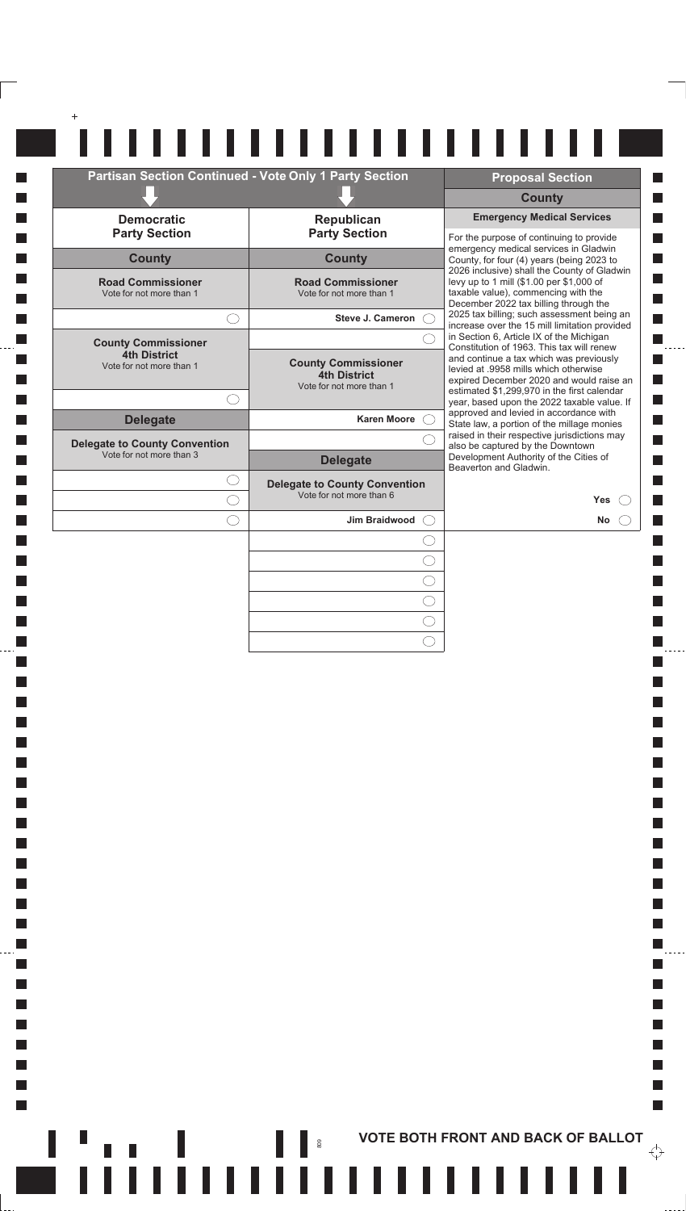| <b>Partisan Section Continued - Vote Only 1 Party Section</b> |                                                                        | <b>Proposal Section</b>                                                                                                                                                   |
|---------------------------------------------------------------|------------------------------------------------------------------------|---------------------------------------------------------------------------------------------------------------------------------------------------------------------------|
|                                                               |                                                                        | <b>County</b>                                                                                                                                                             |
| <b>Democratic</b>                                             | Republican                                                             | <b>Emergency Medical Services</b>                                                                                                                                         |
| <b>Party Section</b>                                          | <b>Party Section</b>                                                   | For the purpose of continuing to provide<br>emergency medical services in Gladwin                                                                                         |
| <b>County</b>                                                 | <b>County</b>                                                          | County, for four (4) years (being 2023 to                                                                                                                                 |
| <b>Road Commissioner</b><br>Vote for not more than 1          | <b>Road Commissioner</b><br>Vote for not more than 1                   | 2026 inclusive) shall the County of Gladwin<br>levy up to 1 mill (\$1.00 per \$1,000 of<br>taxable value), commencing with the<br>December 2022 tax billing through the   |
|                                                               | <b>Steve J. Cameron</b>                                                | 2025 tax billing; such assessment being an<br>increase over the 15 mill limitation provided                                                                               |
| <b>County Commissioner</b>                                    |                                                                        | in Section 6, Article IX of the Michigan                                                                                                                                  |
| <b>4th District</b><br>Vote for not more than 1               | <b>County Commissioner</b><br>4th District<br>Vote for not more than 1 | Constitution of 1963. This tax will renew<br>and continue a tax which was previously<br>levied at .9958 mills which otherwise<br>expired December 2020 and would raise an |
|                                                               |                                                                        | estimated \$1,299,970 in the first calendar<br>year, based upon the 2022 taxable value. If                                                                                |
| <b>Delegate</b>                                               | <b>Karen Moore</b>                                                     | approved and levied in accordance with<br>State law, a portion of the millage monies                                                                                      |
| <b>Delegate to County Convention</b>                          |                                                                        | raised in their respective jurisdictions may<br>also be captured by the Downtown                                                                                          |
| Vote for not more than 3                                      | <b>Delegate</b>                                                        | Development Authority of the Cities of<br>Beaverton and Gladwin.                                                                                                          |
|                                                               | <b>Delegate to County Convention</b>                                   |                                                                                                                                                                           |
|                                                               | Vote for not more than 6                                               | Yes                                                                                                                                                                       |
|                                                               | <b>Jim Braidwood</b>                                                   | No                                                                                                                                                                        |
|                                                               |                                                                        |                                                                                                                                                                           |
|                                                               |                                                                        |                                                                                                                                                                           |
|                                                               |                                                                        |                                                                                                                                                                           |
|                                                               |                                                                        |                                                                                                                                                                           |

**I**  $\Box$ 

**T** 

 $\Box$ 

**I** 

 $\Box$ 

**I** 

 $\Box$  $\mathcal{L}_{\mathcal{A}}$ 

 $\mathcal{L}_{\mathcal{A}}$ 

 $\Box$ 

 $\Box$ 

 $\Box$ 

 $\Box$ 

П

 $\Box$ 

П

 $\Box$ 

П

 $\Box$ 

**I**  $\Box$ 

**I** 

 $\mathcal{L}_{\mathcal{A}}$ 

 $\mathcal{L}_{\mathcal{A}}$ 

 $\Box$ 

П

 $\Box$ 

 $\Box$  $\Box$ 

 $\Box$  $\Box$ 

 $\Box$ 

 $\Box$ 

**I** 

 $\Box$ 

П  $\overline{\mathcal{A}}$ 

 $\mathcal{L}_{\mathcal{A}}$ 

 $\mathcal{L}_{\mathcal{A}}$ 

 $\mathcal{L}_{\mathcal{A}}$ 

 $\overline{\phantom{a}}$ 

 $\overline{\mathbb{R}}$ F  $\overline{\phantom{a}}$ 

 $\ddot{\phantom{0}}$ 

 $\ddotsc$ 

**I** 

П

П

П П

П П

 $\Box$ 

П

 $\Box$ П

 $\blacksquare$ 

П

 $\Box$ 

 $\Box$ 

П

 $\mathbb{R}^n$ 

 $\overleftrightarrow{\cdot}$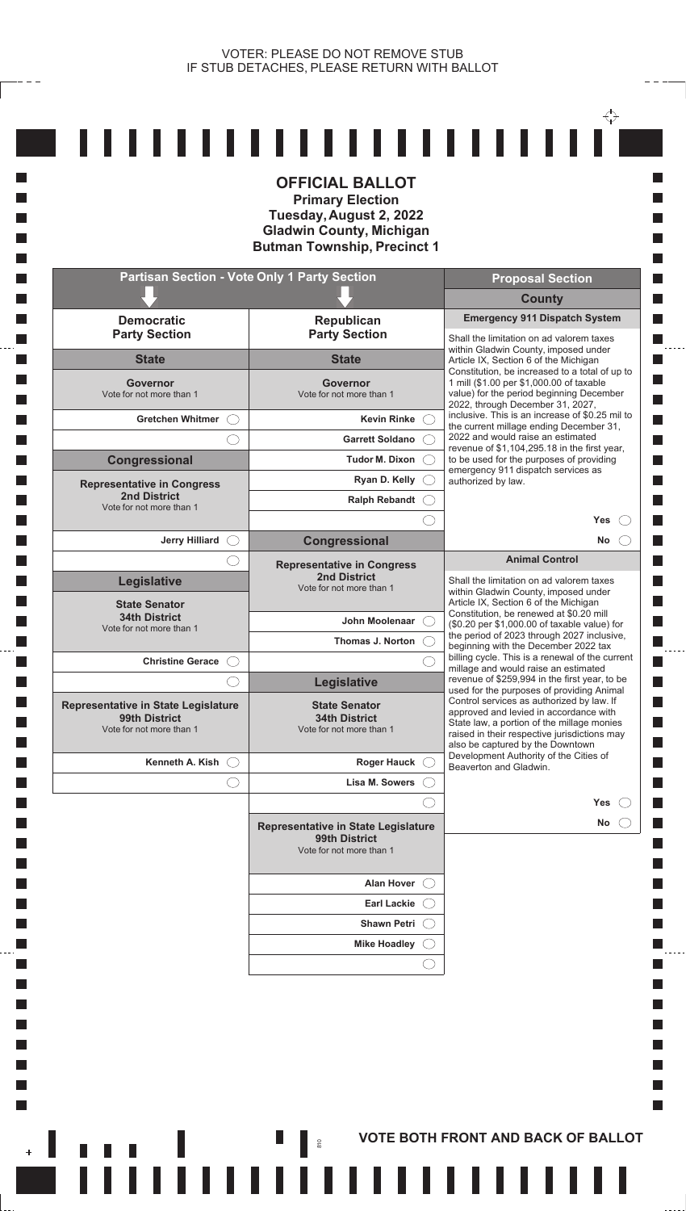**I** 

П

**In I** 

**T** 

**The State** 

**In** 

**T** 

**Tale** 

 $\Box$ **I**  $\mathcal{L}_{\mathcal{A}}$  $\mathcal{L}_{\mathcal{A}}$ **I** П

 $\Box$ 

 $\mathbf{H}$ 

|                                                                                         | <b>OFFICIAL BALLOT</b><br><b>Primary Election</b><br>Tuesday, August 2, 2022<br><b>Gladwin County, Michigan</b><br><b>Butman Township, Precinct 1</b> |                                                                                                                                                                                                                       |
|-----------------------------------------------------------------------------------------|-------------------------------------------------------------------------------------------------------------------------------------------------------|-----------------------------------------------------------------------------------------------------------------------------------------------------------------------------------------------------------------------|
|                                                                                         | <b>Partisan Section - Vote Only 1 Party Section</b>                                                                                                   | <b>Proposal Section</b>                                                                                                                                                                                               |
|                                                                                         |                                                                                                                                                       | <b>County</b>                                                                                                                                                                                                         |
| <b>Democratic</b><br><b>Party Section</b>                                               | Republican<br><b>Party Section</b>                                                                                                                    | <b>Emergency 911 Dispatch System</b><br>Shall the limitation on ad valorem taxes                                                                                                                                      |
| <b>State</b>                                                                            | <b>State</b>                                                                                                                                          | within Gladwin County, imposed under<br>Article IX, Section 6 of the Michigan<br>Constitution, be increased to a total of up to                                                                                       |
| <b>Governor</b><br>Vote for not more than 1                                             | <b>Governor</b><br>Vote for not more than 1                                                                                                           | 1 mill (\$1.00 per \$1,000.00 of taxable<br>value) for the period beginning December<br>2022, through December 31, 2027,                                                                                              |
| Gretchen Whitmer (                                                                      | <b>Kevin Rinke</b>                                                                                                                                    | inclusive. This is an increase of \$0.25 mil to<br>the current millage ending December 31,                                                                                                                            |
|                                                                                         | <b>Garrett Soldano</b>                                                                                                                                | 2022 and would raise an estimated<br>revenue of \$1,104,295.18 in the first year,                                                                                                                                     |
| Congressional                                                                           | Tudor M. Dixon (                                                                                                                                      | to be used for the purposes of providing<br>emergency 911 dispatch services as                                                                                                                                        |
| <b>Representative in Congress</b><br><b>2nd District</b>                                | Ryan D. Kelly (                                                                                                                                       | authorized by law.                                                                                                                                                                                                    |
| Vote for not more than 1                                                                | Ralph Rebandt C                                                                                                                                       |                                                                                                                                                                                                                       |
| <b>Jerry Hilliard</b>                                                                   | <b>Congressional</b>                                                                                                                                  | Yes<br>No<br>$(\ )$                                                                                                                                                                                                   |
|                                                                                         | <b>Representative in Congress</b>                                                                                                                     | <b>Animal Control</b>                                                                                                                                                                                                 |
| Legislative                                                                             | <b>2nd District</b><br>Vote for not more than 1                                                                                                       | Shall the limitation on ad valorem taxes<br>within Gladwin County, imposed under                                                                                                                                      |
| <b>State Senator</b><br><b>34th District</b><br>Vote for not more than 1                | John Moolenaar (                                                                                                                                      | Article IX, Section 6 of the Michigan<br>Constitution, be renewed at \$0.20 mill<br>(\$0.20 per \$1,000.00 of taxable value) for                                                                                      |
|                                                                                         | Thomas J. Norton                                                                                                                                      | the period of 2023 through 2027 inclusive,<br>beginning with the December 2022 tax                                                                                                                                    |
| <b>Christine Gerace</b>                                                                 |                                                                                                                                                       | billing cycle. This is a renewal of the current<br>millage and would raise an estimated                                                                                                                               |
|                                                                                         | Legislative                                                                                                                                           | revenue of \$259,994 in the first year, to be<br>used for the purposes of providing Animal                                                                                                                            |
| <b>Representative in State Legislature</b><br>99th District<br>Vote for not more than 1 | <b>State Senator</b><br><b>34th District</b><br>Vote for not more than 1                                                                              | Control services as authorized by law. If<br>approved and levied in accordance with<br>State law, a portion of the millage monies<br>raised in their respective jurisdictions may<br>also be captured by the Downtown |
| Kenneth A. Kish<br>(                                                                    | Roger Hauck $\bigcirc$                                                                                                                                | Development Authority of the Cities of<br>Beaverton and Gladwin.                                                                                                                                                      |
|                                                                                         | Lisa M. Sowers                                                                                                                                        |                                                                                                                                                                                                                       |
|                                                                                         |                                                                                                                                                       | <b>Yes</b>                                                                                                                                                                                                            |
|                                                                                         | <b>Representative in State Legislature</b><br>99th District<br>Vote for not more than 1                                                               | No                                                                                                                                                                                                                    |
|                                                                                         | <b>Alan Hover</b>                                                                                                                                     |                                                                                                                                                                                                                       |
|                                                                                         | <b>Earl Lackie</b>                                                                                                                                    |                                                                                                                                                                                                                       |
|                                                                                         | <b>Shawn Petri</b>                                                                                                                                    |                                                                                                                                                                                                                       |
|                                                                                         | <b>Mike Hoadley</b>                                                                                                                                   |                                                                                                                                                                                                                       |
|                                                                                         |                                                                                                                                                       |                                                                                                                                                                                                                       |
|                                                                                         |                                                                                                                                                       |                                                                                                                                                                                                                       |

**FITTIIIIIIIIIIIIIIIIIIIIIIIII** 

<u>..................</u>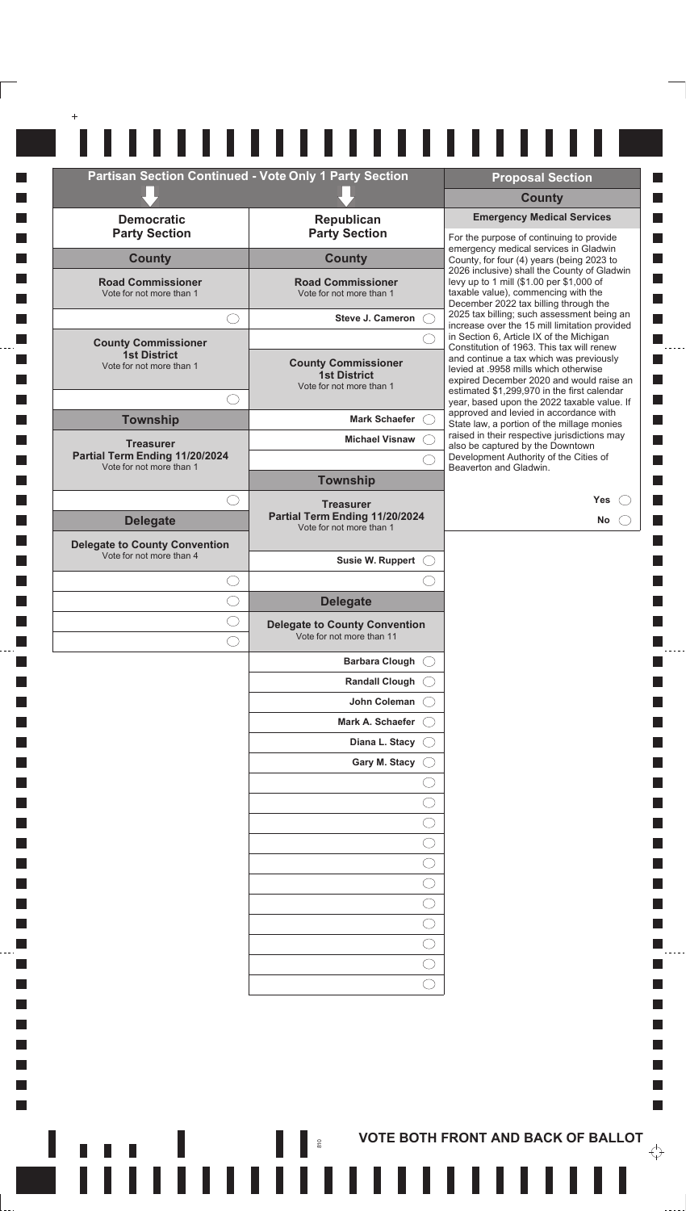|                                                      | <b>Partisan Section Continued - Vote Only 1 Party Section</b> | <b>Proposal Section</b>                                                                    |
|------------------------------------------------------|---------------------------------------------------------------|--------------------------------------------------------------------------------------------|
|                                                      |                                                               | <b>County</b>                                                                              |
| <b>Democratic</b>                                    | Republican                                                    | <b>Emergency Medical Services</b>                                                          |
| <b>Party Section</b>                                 | <b>Party Section</b>                                          | For the purpose of continuing to provide<br>emergency medical services in Gladwin          |
| <b>County</b>                                        | <b>County</b>                                                 | County, for four (4) years (being 2023 to<br>2026 inclusive) shall the County of Gladwin   |
| <b>Road Commissioner</b><br>Vote for not more than 1 | <b>Road Commissioner</b><br>Vote for not more than 1          | levy up to 1 mill (\$1.00 per \$1,000 of<br>taxable value), commencing with the            |
|                                                      |                                                               | December 2022 tax billing through the<br>2025 tax billing; such assessment being an        |
| $\left(\begin{array}{c} \end{array}\right)$          | Steve J. Cameron C.                                           | increase over the 15 mill limitation provided                                              |
| <b>County Commissioner</b><br><b>1st District</b>    |                                                               | in Section 6, Article IX of the Michigan<br>Constitution of 1963. This tax will renew      |
| Vote for not more than 1                             | <b>County Commissioner</b><br><b>1st District</b>             | and continue a tax which was previously<br>levied at .9958 mills which otherwise           |
|                                                      | Vote for not more than 1                                      | expired December 2020 and would raise an<br>estimated \$1,299,970 in the first calendar    |
| ( )                                                  | Mark Schaefer C.                                              | year, based upon the 2022 taxable value. If<br>approved and levied in accordance with      |
| <b>Township</b>                                      | <b>Michael Visnaw</b>                                         | State law, a portion of the millage monies<br>raised in their respective jurisdictions may |
| <b>Treasurer</b><br>Partial Term Ending 11/20/2024   |                                                               | also be captured by the Downtown<br>Development Authority of the Cities of                 |
| Vote for not more than 1                             | <b>Township</b>                                               | Beaverton and Gladwin.                                                                     |
| $(\phantom{a})$                                      | <b>Treasurer</b>                                              | <b>Yes</b>                                                                                 |
| <b>Delegate</b>                                      | Partial Term Ending 11/20/2024<br>Vote for not more than 1    | No                                                                                         |
| <b>Delegate to County Convention</b>                 |                                                               |                                                                                            |
| Vote for not more than 4                             | Susie W. Ruppert C                                            |                                                                                            |
| ( )                                                  |                                                               |                                                                                            |
|                                                      | <b>Delegate</b>                                               |                                                                                            |
| C                                                    | <b>Delegate to County Convention</b>                          |                                                                                            |
| ( )                                                  | Vote for not more than 11                                     |                                                                                            |
|                                                      | <b>Barbara Clough</b>                                         |                                                                                            |
|                                                      | <b>Randall Clough</b>                                         |                                                                                            |
|                                                      | John Coleman                                                  |                                                                                            |
|                                                      | Mark A. Schaefer                                              |                                                                                            |
|                                                      | Diana L. Stacy                                                |                                                                                            |
|                                                      | Gary M. Stacy                                                 |                                                                                            |
|                                                      |                                                               |                                                                                            |
|                                                      |                                                               |                                                                                            |
|                                                      |                                                               |                                                                                            |
|                                                      |                                                               |                                                                                            |
|                                                      |                                                               |                                                                                            |
|                                                      |                                                               |                                                                                            |
|                                                      |                                                               |                                                                                            |
|                                                      |                                                               |                                                                                            |
|                                                      |                                                               |                                                                                            |
|                                                      |                                                               |                                                                                            |
|                                                      |                                                               |                                                                                            |

 $\mathbb{R}^n$ 

ni d

VOTE BOTH FRONT AND BACK OF BALLOT

,,,,,,,,,,,,,,,,,,

ш

 $\overleftrightarrow{\cdot}$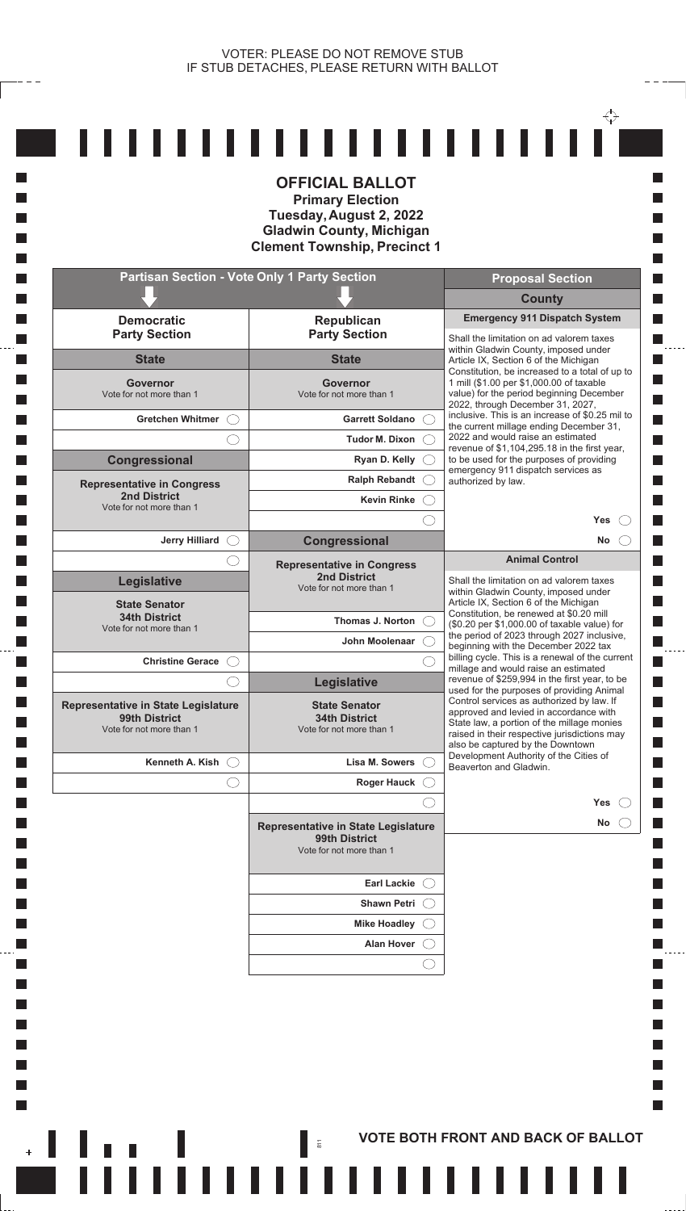**I** П **In Tall T T** 

**T** 

**T T** 

**The State In T** 

**T T** 

**Tale** 

 $\Box$ **I**  $\overline{\phantom{a}}$  $\mathcal{L}_{\mathcal{A}}$  $\Box$ П

 $\mathbb{R}^n$ 

 $\frac{1}{2}$ 

|                                                                                         | <b>OFFICIAL BALLOT</b><br><b>Primary Election</b><br>Tuesday, August 2, 2022<br><b>Gladwin County, Michigan</b><br><b>Clement Township, Precinct 1</b> |                                                                                                                                                                                                                                                                    |
|-----------------------------------------------------------------------------------------|--------------------------------------------------------------------------------------------------------------------------------------------------------|--------------------------------------------------------------------------------------------------------------------------------------------------------------------------------------------------------------------------------------------------------------------|
| <b>Partisan Section - Vote Only 1 Party Section</b>                                     |                                                                                                                                                        | <b>Proposal Section</b>                                                                                                                                                                                                                                            |
| <b>Democratic</b>                                                                       |                                                                                                                                                        | <b>County</b><br><b>Emergency 911 Dispatch System</b>                                                                                                                                                                                                              |
| <b>Party Section</b>                                                                    | Republican<br><b>Party Section</b>                                                                                                                     | Shall the limitation on ad valorem taxes<br>within Gladwin County, imposed under                                                                                                                                                                                   |
| <b>State</b>                                                                            | <b>State</b>                                                                                                                                           | Article IX, Section 6 of the Michigan<br>Constitution, be increased to a total of up to                                                                                                                                                                            |
| <b>Governor</b><br>Vote for not more than 1                                             | <b>Governor</b><br>Vote for not more than 1                                                                                                            | 1 mill (\$1.00 per \$1,000.00 of taxable<br>value) for the period beginning December<br>2022, through December 31, 2027,                                                                                                                                           |
| <b>Gretchen Whitmer</b>                                                                 | Garrett Soldano                                                                                                                                        | inclusive. This is an increase of \$0.25 mil to<br>the current millage ending December 31,                                                                                                                                                                         |
|                                                                                         | <b>Tudor M. Dixon</b>                                                                                                                                  | 2022 and would raise an estimated<br>revenue of \$1,104,295.18 in the first year,                                                                                                                                                                                  |
| Congressional                                                                           | Ryan D. Kelly                                                                                                                                          | to be used for the purposes of providing<br>emergency 911 dispatch services as                                                                                                                                                                                     |
| <b>Representative in Congress</b><br><b>2nd District</b>                                | <b>Ralph Rebandt</b>                                                                                                                                   | authorized by law.                                                                                                                                                                                                                                                 |
| Vote for not more than 1                                                                | <b>Kevin Rinke</b>                                                                                                                                     | <b>Yes</b>                                                                                                                                                                                                                                                         |
| <b>Jerry Hilliard</b>                                                                   | Congressional                                                                                                                                          | No                                                                                                                                                                                                                                                                 |
|                                                                                         | <b>Representative in Congress</b>                                                                                                                      | <b>Animal Control</b>                                                                                                                                                                                                                                              |
| Legislative<br><b>State Senator</b>                                                     | <b>2nd District</b><br>Vote for not more than 1                                                                                                        | Shall the limitation on ad valorem taxes<br>within Gladwin County, imposed under<br>Article IX, Section 6 of the Michigan<br>Constitution, be renewed at \$0.20 mill                                                                                               |
| <b>34th District</b><br>Vote for not more than 1                                        | Thomas J. Norton                                                                                                                                       | (\$0.20 per \$1,000.00 of taxable value) for<br>the period of 2023 through 2027 inclusive,                                                                                                                                                                         |
|                                                                                         | John Moolenaar                                                                                                                                         | beginning with the December 2022 tax<br>billing cycle. This is a renewal of the current                                                                                                                                                                            |
| <b>Christine Gerace</b>                                                                 |                                                                                                                                                        | millage and would raise an estimated<br>revenue of \$259,994 in the first year, to be                                                                                                                                                                              |
| <b>Representative in State Legislature</b><br>99th District<br>Vote for not more than 1 | Legislative<br><b>State Senator</b><br><b>34th District</b><br>Vote for not more than 1                                                                | used for the purposes of providing Animal<br>Control services as authorized by law. If<br>approved and levied in accordance with<br>State law, a portion of the millage monies<br>raised in their respective jurisdictions may<br>also be captured by the Downtown |
| Kenneth A. Kish                                                                         | Lisa M. Sowers                                                                                                                                         | Development Authority of the Cities of<br>Beaverton and Gladwin.                                                                                                                                                                                                   |
|                                                                                         | <b>Roger Hauck</b>                                                                                                                                     |                                                                                                                                                                                                                                                                    |
|                                                                                         | Representative in State Legislature<br>99th District<br>Vote for not more than 1                                                                       | Yes<br>No                                                                                                                                                                                                                                                          |
|                                                                                         | Earl Lackie (                                                                                                                                          |                                                                                                                                                                                                                                                                    |
|                                                                                         | <b>Shawn Petri</b>                                                                                                                                     |                                                                                                                                                                                                                                                                    |
|                                                                                         | <b>Mike Hoadley</b>                                                                                                                                    |                                                                                                                                                                                                                                                                    |
|                                                                                         | <b>Alan Hover</b>                                                                                                                                      |                                                                                                                                                                                                                                                                    |
|                                                                                         |                                                                                                                                                        |                                                                                                                                                                                                                                                                    |

**Example 2**  $\frac{1}{2}$  **S** VOTE BOTH FRONT AND BACK OF BALLOT

,,,,,,,,,,,,,,,,,,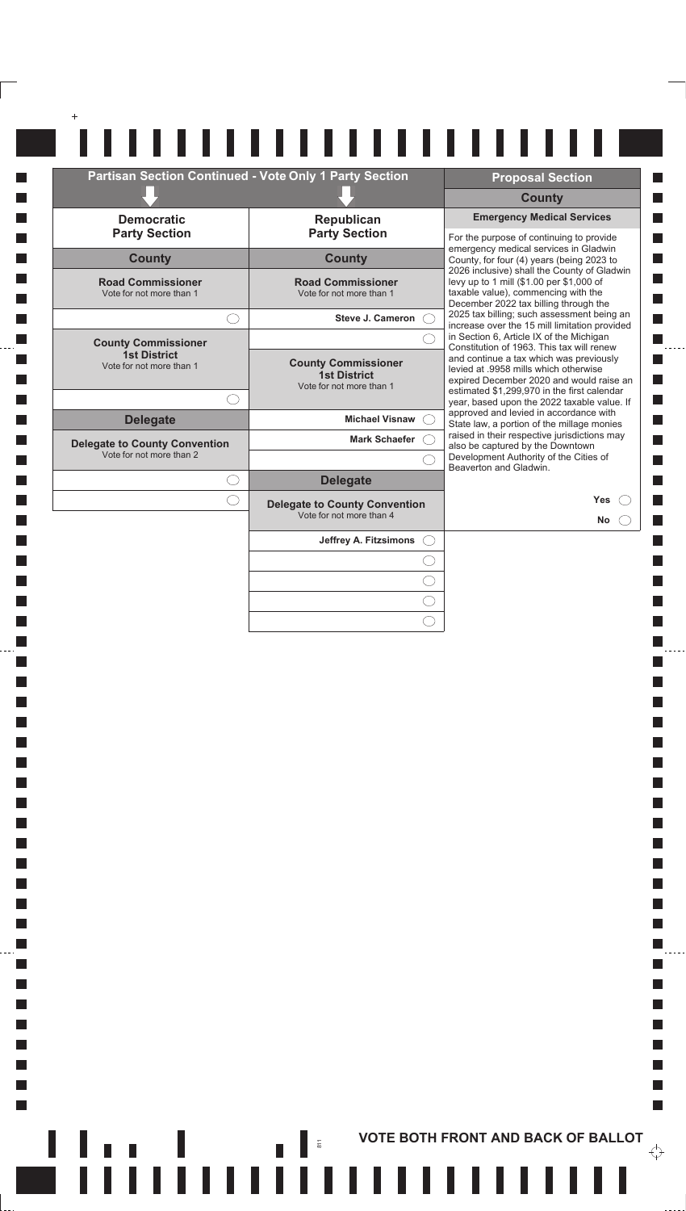|                                                                  | Partisan Section Continued - Vote Only 1 Party Section                        | <b>Proposal Section</b>                                                                                                                                                                                            |
|------------------------------------------------------------------|-------------------------------------------------------------------------------|--------------------------------------------------------------------------------------------------------------------------------------------------------------------------------------------------------------------|
|                                                                  |                                                                               | <b>County</b>                                                                                                                                                                                                      |
| <b>Democratic</b><br><b>Party Section</b>                        | Republican<br><b>Party Section</b>                                            | <b>Emergency Medical Services</b><br>For the purpose of continuing to provide                                                                                                                                      |
| <b>County</b>                                                    | <b>County</b>                                                                 | emergency medical services in Gladwin<br>County, for four (4) years (being 2023 to                                                                                                                                 |
| <b>Road Commissioner</b><br>Vote for not more than 1             | <b>Road Commissioner</b><br>Vote for not more than 1                          | 2026 inclusive) shall the County of Gladwin<br>levy up to 1 mill (\$1.00 per \$1,000 of<br>taxable value), commencing with the<br>December 2022 tax billing through the                                            |
| ()                                                               | <b>Steve J. Cameron</b><br>$\left( \begin{array}{c} \end{array} \right)$      | 2025 tax billing; such assessment being an<br>increase over the 15 mill limitation provided                                                                                                                        |
| <b>County Commissioner</b>                                       |                                                                               | in Section 6, Article IX of the Michigan<br>Constitution of 1963. This tax will renew                                                                                                                              |
| <b>1st District</b><br>Vote for not more than 1                  | <b>County Commissioner</b><br><b>1st District</b><br>Vote for not more than 1 | and continue a tax which was previously<br>levied at .9958 mills which otherwise<br>expired December 2020 and would raise an                                                                                       |
|                                                                  |                                                                               | estimated \$1,299,970 in the first calendar<br>year, based upon the 2022 taxable value. If                                                                                                                         |
| <b>Delegate</b>                                                  | <b>Michael Visnaw</b>                                                         | approved and levied in accordance with<br>State law, a portion of the millage monies<br>raised in their respective jurisdictions may<br>also be captured by the Downtown<br>Development Authority of the Cities of |
| <b>Delegate to County Convention</b><br>Vote for not more than 2 | <b>Mark Schaefer</b>                                                          |                                                                                                                                                                                                                    |
| $\bigcirc$                                                       | <b>Delegate</b>                                                               | Beaverton and Gladwin.                                                                                                                                                                                             |
| $(\phantom{a})$                                                  | <b>Delegate to County Convention</b><br>Vote for not more than 4              | Yes<br>No                                                                                                                                                                                                          |
|                                                                  | Jeffrey A. Fitzsimons<br>$($ )                                                |                                                                                                                                                                                                                    |
|                                                                  |                                                                               |                                                                                                                                                                                                                    |
|                                                                  |                                                                               |                                                                                                                                                                                                                    |
|                                                                  |                                                                               |                                                                                                                                                                                                                    |

 $\Box$  $\Box$ **I**  $\Box$ П  $\Box$  $\Box$  $\mathcal{L}_{\mathcal{A}}$  $\overline{\phantom{a}}$ 

 $\mathcal{L}_{\mathcal{A}}$  $\mathcal{L}_{\mathcal{A}}$  $\Box$  $\Box$  $\Box$ **In**  $\Box$  $\Box$  $\Box$ **In**  $\Box$  $\Box$  $\Box$  $\Box$ 

 $\mathcal{L}_{\mathcal{A}}$  $\mathcal{L}_{\mathcal{A}}$ 

 $\Box$ 

 $\mathcal{L}_{\mathcal{A}}$ 

 $\Box$  $\Box$ 

 $\Box$ 

**In**  $\Box$ 

**In** 

 $\Box$ 

**In** 

 $\Box$  $\Box$ 

 $\mathcal{L}_{\mathcal{A}}$ 

 $\Box$ 

 $\overline{\phantom{a}}$ 

 $\mathcal{L}_{\mathcal{A}}$ 

**Tale** 

 $\overline{\phantom{a}}$ 

 $\mathbb{R}^n$ 

 $\overleftrightarrow{\cdot}$ 

 $\mathbb{R}^n$ 

 $\Box$ 

П  $\blacksquare$ 

П

 $\Box$ П

 $\blacksquare$ 

П  $\blacksquare$ 

 $\Box$ 

 $\blacksquare$ 

П

 $\mathcal{L}_{\mathcal{A}}$  $\Box$ 

 $\Box$ 

 $\Box$ 

L.

 $\frac{1}{2}$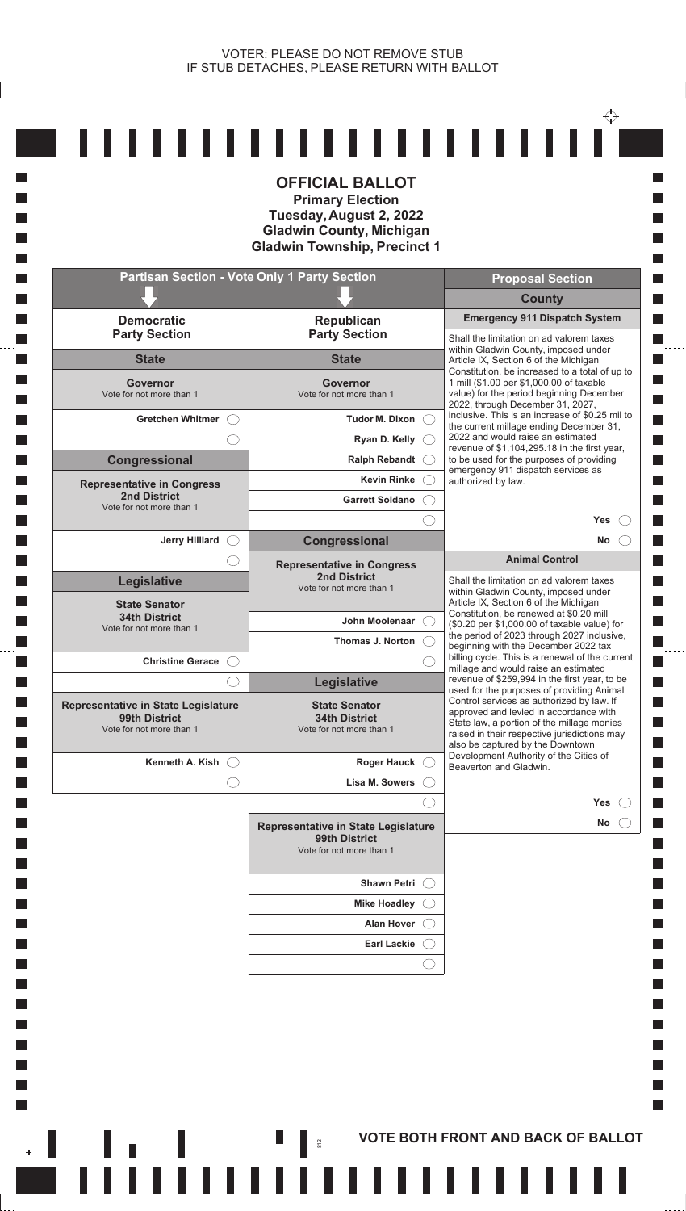**I** H **In I** 

**The State In Tale** 

 $\Box$ **I**  $\mathcal{L}_{\mathcal{A}}$  $\mathcal{L}_{\mathcal{A}}$ **I**  $\Box$ 

 $\Box$ 

 $\mathbf{r}$ 

|                                                                                                              | <b>OFFICIAL BALLOT</b><br><b>Primary Election</b><br>Tuesday, August 2, 2022<br><b>Gladwin County, Michigan</b><br><b>Gladwin Township, Precinct 1</b> |                                                                                                                                                                                                                                                                                                              |
|--------------------------------------------------------------------------------------------------------------|--------------------------------------------------------------------------------------------------------------------------------------------------------|--------------------------------------------------------------------------------------------------------------------------------------------------------------------------------------------------------------------------------------------------------------------------------------------------------------|
|                                                                                                              | <b>Partisan Section - Vote Only 1 Party Section</b>                                                                                                    | <b>Proposal Section</b>                                                                                                                                                                                                                                                                                      |
|                                                                                                              |                                                                                                                                                        | <b>County</b>                                                                                                                                                                                                                                                                                                |
| <b>Democratic</b><br><b>Party Section</b>                                                                    | Republican<br><b>Party Section</b>                                                                                                                     | <b>Emergency 911 Dispatch System</b><br>Shall the limitation on ad valorem taxes                                                                                                                                                                                                                             |
| <b>State</b>                                                                                                 | <b>State</b>                                                                                                                                           | within Gladwin County, imposed under<br>Article IX, Section 6 of the Michigan                                                                                                                                                                                                                                |
| <b>Governor</b><br>Vote for not more than 1                                                                  | <b>Governor</b><br>Vote for not more than 1                                                                                                            | Constitution, be increased to a total of up to<br>1 mill (\$1.00 per \$1,000.00 of taxable<br>value) for the period beginning December<br>2022, through December 31, 2027,                                                                                                                                   |
| <b>Gretchen Whitmer</b>                                                                                      | Tudor M. Dixon $\bigcirc$                                                                                                                              | inclusive. This is an increase of \$0.25 mil to<br>the current millage ending December 31,                                                                                                                                                                                                                   |
|                                                                                                              | Ryan D. Kelly                                                                                                                                          | 2022 and would raise an estimated<br>revenue of \$1,104,295.18 in the first year,                                                                                                                                                                                                                            |
| <b>Congressional</b>                                                                                         | <b>Ralph Rebandt</b>                                                                                                                                   | to be used for the purposes of providing<br>emergency 911 dispatch services as                                                                                                                                                                                                                               |
| <b>Representative in Congress</b>                                                                            | <b>Kevin Rinke</b>                                                                                                                                     | authorized by law.                                                                                                                                                                                                                                                                                           |
| <b>2nd District</b><br>Vote for not more than 1                                                              | <b>Garrett Soldano</b>                                                                                                                                 |                                                                                                                                                                                                                                                                                                              |
|                                                                                                              |                                                                                                                                                        | <b>Yes</b>                                                                                                                                                                                                                                                                                                   |
| <b>Jerry Hilliard</b>                                                                                        | Congressional                                                                                                                                          | <b>No</b><br><b>Animal Control</b>                                                                                                                                                                                                                                                                           |
| Legislative<br><b>State Senator</b><br><b>34th District</b><br>Vote for not more than 1                      | <b>Representative in Congress</b><br><b>2nd District</b><br>Vote for not more than 1<br>John Moolenaar<br>Thomas J. Norton                             | Shall the limitation on ad valorem taxes<br>within Gladwin County, imposed under<br>Article IX, Section 6 of the Michigan<br>Constitution, be renewed at \$0.20 mill<br>(\$0.20 per \$1,000.00 of taxable value) for<br>the period of 2023 through 2027 inclusive,                                           |
| <b>Christine Gerace</b>                                                                                      |                                                                                                                                                        | beginning with the December 2022 tax<br>billing cycle. This is a renewal of the current                                                                                                                                                                                                                      |
|                                                                                                              | Legislative                                                                                                                                            | millage and would raise an estimated<br>revenue of \$259,994 in the first year, to be                                                                                                                                                                                                                        |
| <b>Representative in State Legislature</b><br>99th District<br>Vote for not more than 1<br>Kenneth A. Kish ( | <b>State Senator</b><br><b>34th District</b><br>Vote for not more than 1<br>Roger Hauck C                                                              | used for the purposes of providing Animal<br>Control services as authorized by law. If<br>approved and levied in accordance with<br>State law, a portion of the millage monies<br>raised in their respective jurisdictions may<br>also be captured by the Downtown<br>Development Authority of the Cities of |
|                                                                                                              | Lisa M. Sowers                                                                                                                                         | Beaverton and Gladwin.                                                                                                                                                                                                                                                                                       |
|                                                                                                              |                                                                                                                                                        | Yes                                                                                                                                                                                                                                                                                                          |
|                                                                                                              | Representative in State Legislature<br>99th District<br>Vote for not more than 1                                                                       | No                                                                                                                                                                                                                                                                                                           |
|                                                                                                              | Shawn Petri C                                                                                                                                          |                                                                                                                                                                                                                                                                                                              |
|                                                                                                              | <b>Mike Hoadley</b>                                                                                                                                    |                                                                                                                                                                                                                                                                                                              |
|                                                                                                              | <b>Alan Hover</b>                                                                                                                                      |                                                                                                                                                                                                                                                                                                              |
|                                                                                                              | <b>Earl Lackie</b>                                                                                                                                     |                                                                                                                                                                                                                                                                                                              |
|                                                                                                              |                                                                                                                                                        |                                                                                                                                                                                                                                                                                                              |
|                                                                                                              |                                                                                                                                                        |                                                                                                                                                                                                                                                                                                              |

,,,,,,,,

**FILIPE SOTH FRONT AND BACK OF BALLOT** 

,,,,,,,,,,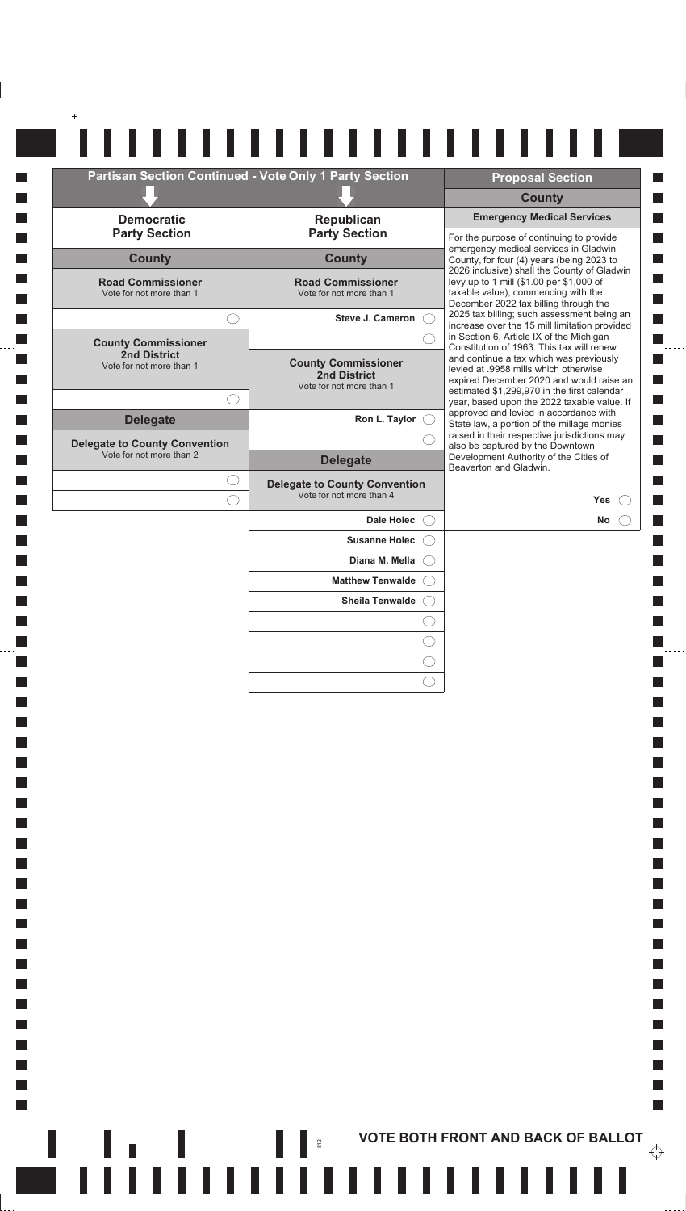|                                                                  | <b>Partisan Section Continued - Vote Only 1 Party Section</b>                 | <b>Proposal Section</b>                                                                                                                                                                                                    |
|------------------------------------------------------------------|-------------------------------------------------------------------------------|----------------------------------------------------------------------------------------------------------------------------------------------------------------------------------------------------------------------------|
|                                                                  |                                                                               | <b>County</b>                                                                                                                                                                                                              |
| <b>Democratic</b><br><b>Party Section</b>                        | <b>Republican</b><br><b>Party Section</b>                                     | <b>Emergency Medical Services</b><br>For the purpose of continuing to provide                                                                                                                                              |
| <b>County</b>                                                    | <b>County</b>                                                                 | emergency medical services in Gladwin<br>County, for four (4) years (being 2023 to                                                                                                                                         |
| <b>Road Commissioner</b><br>Vote for not more than 1             | <b>Road Commissioner</b><br>Vote for not more than 1                          | 2026 inclusive) shall the County of Gladwin<br>levy up to 1 mill (\$1.00 per \$1,000 of<br>taxable value), commencing with the<br>December 2022 tax billing through the                                                    |
|                                                                  | <b>Steve J. Cameron</b>                                                       | 2025 tax billing; such assessment being an<br>increase over the 15 mill limitation provided                                                                                                                                |
| <b>County Commissioner</b>                                       |                                                                               | in Section 6, Article IX of the Michigan<br>Constitution of 1963. This tax will renew                                                                                                                                      |
| <b>2nd District</b><br>Vote for not more than 1<br>$( \ )$       | <b>County Commissioner</b><br><b>2nd District</b><br>Vote for not more than 1 | and continue a tax which was previously<br>levied at .9958 mills which otherwise<br>expired December 2020 and would raise an<br>estimated \$1,299,970 in the first calendar<br>year, based upon the 2022 taxable value. If |
| <b>Delegate</b>                                                  | Ron L. Taylor $\bigcirc$                                                      | approved and levied in accordance with<br>State law, a portion of the millage monies                                                                                                                                       |
| <b>Delegate to County Convention</b><br>Vote for not more than 2 | <b>Delegate</b>                                                               | raised in their respective jurisdictions may<br>also be captured by the Downtown<br>Development Authority of the Cities of                                                                                                 |
|                                                                  | <b>Delegate to County Convention</b><br>Vote for not more than 4              | Beaverton and Gladwin.<br>Yes                                                                                                                                                                                              |
|                                                                  | Dale Holec ()                                                                 | No                                                                                                                                                                                                                         |
|                                                                  | Susanne Holec ()                                                              |                                                                                                                                                                                                                            |
|                                                                  | Diana M. Mella                                                                |                                                                                                                                                                                                                            |
|                                                                  | <b>Matthew Tenwalde</b>                                                       |                                                                                                                                                                                                                            |
|                                                                  | Sheila Tenwalde ( )                                                           |                                                                                                                                                                                                                            |
|                                                                  |                                                                               |                                                                                                                                                                                                                            |

H

**Tale T** 

 $\Box$ 

**I** 

 $\Box$ 

**I**  $\Box$ 

 $\mathcal{L}_{\mathcal{A}}$ 

 $\mathcal{L}_{\mathcal{A}}$ 

 $\Box$ 

 $\Box$ 

**I** 

 $\Box$ 

**I** 

 $\Box$ 

**I**  $\Box$ 

**I**  $\Box$ 

**I**  $\Box$ 

**I** 

 $\mathcal{L}_{\mathcal{A}}$ 

 $\mathcal{L}_{\mathcal{A}}$ 

 $\Box$ **I** 

 $\Box$ 

**I** 

 $\Box$ 

**I**  $\Box$ 

**I** 

 $\Box$ 

**I**  $\Box$ 

**I**  $\mathcal{L}_{\mathcal{A}}$ 

 $\mathcal{L}_{\mathcal{A}}$ 

 $\mathcal{L}_{\mathcal{A}}$ 

 $\overline{\mathcal{A}}$ 

 $\overline{\phantom{a}}$ 

 $\mathbb{R}^n$ 

**ACCEDITED ASSESSED AND BACK OF BALLOT** 

 $\Box$ 

П

П

П П

 $\Box$ 

П

П П

 $\Box$ П

 $\Box$ 

 $\mathcal{L}_{\mathcal{A}}$  $\ddotsc$ 

 $\Box$ 

П

 $\mathbb{R}^n$ 

 $\overleftrightarrow{\cdot}$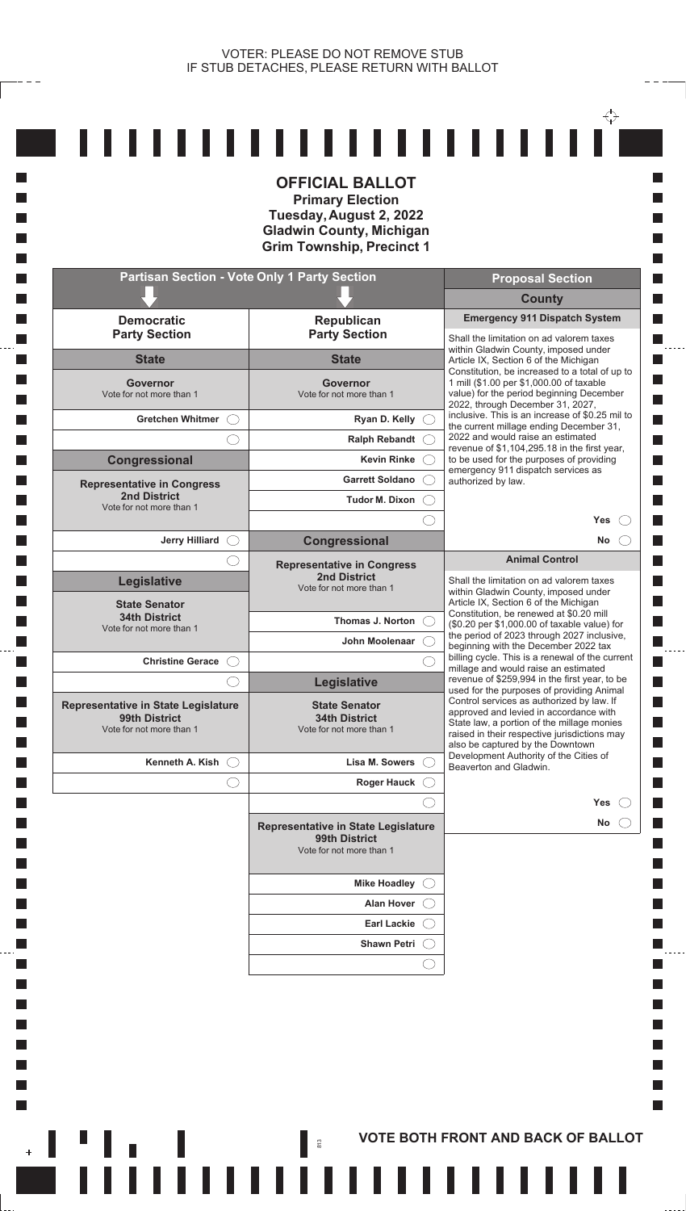$- - -$ 

**Tale** 

**I** 

П

**In** 

**Tall** 

**Tale** 

**In** 

**In** 

**I** 

k.

 $\mathcal{L}_{\mathcal{A}}$ 

**I** 

H

 $\mathcal{L}_{\mathcal{A}}$ 

**u**l

|                                                                                  | <b>OFFICIAL BALLOT</b><br><b>Primary Election</b><br>Tuesday, August 2, 2022<br><b>Gladwin County, Michigan</b><br><b>Grim Township, Precinct 1</b> |                                                                                                                                                                                                                       |
|----------------------------------------------------------------------------------|-----------------------------------------------------------------------------------------------------------------------------------------------------|-----------------------------------------------------------------------------------------------------------------------------------------------------------------------------------------------------------------------|
|                                                                                  | <b>Partisan Section - Vote Only 1 Party Section</b>                                                                                                 | <b>Proposal Section</b>                                                                                                                                                                                               |
|                                                                                  |                                                                                                                                                     | <b>County</b>                                                                                                                                                                                                         |
| <b>Democratic</b><br><b>Party Section</b>                                        | Republican<br><b>Party Section</b>                                                                                                                  | <b>Emergency 911 Dispatch System</b><br>Shall the limitation on ad valorem taxes                                                                                                                                      |
| <b>State</b>                                                                     | <b>State</b>                                                                                                                                        | within Gladwin County, imposed under<br>Article IX, Section 6 of the Michigan                                                                                                                                         |
| <b>Governor</b><br>Vote for not more than 1                                      | <b>Governor</b><br>Vote for not more than 1                                                                                                         | Constitution, be increased to a total of up to<br>1 mill (\$1.00 per \$1,000.00 of taxable<br>value) for the period beginning December<br>2022, through December 31, 2027,                                            |
| Gretchen Whitmer C                                                               | Ryan D. Kelly $\bigcirc$                                                                                                                            | inclusive. This is an increase of \$0.25 mil to<br>the current millage ending December 31,                                                                                                                            |
|                                                                                  | <b>Ralph Rebandt</b>                                                                                                                                | 2022 and would raise an estimated<br>revenue of \$1,104,295.18 in the first year,                                                                                                                                     |
| <b>Congressional</b>                                                             | <b>Kevin Rinke</b>                                                                                                                                  | to be used for the purposes of providing<br>emergency 911 dispatch services as                                                                                                                                        |
| <b>Representative in Congress</b>                                                | <b>Garrett Soldano</b>                                                                                                                              | authorized by law.                                                                                                                                                                                                    |
| <b>2nd District</b><br>Vote for not more than 1                                  | Tudor M. Dixon                                                                                                                                      |                                                                                                                                                                                                                       |
|                                                                                  |                                                                                                                                                     | <b>Yes</b>                                                                                                                                                                                                            |
| <b>Jerry Hilliard</b><br>$\left(\begin{array}{c} \end{array}\right)$             | Congressional                                                                                                                                       | <b>No</b><br><b>Animal Control</b>                                                                                                                                                                                    |
| Legislative<br><b>State Senator</b>                                              | <b>Representative in Congress</b><br><b>2nd District</b><br>Vote for not more than 1                                                                | Shall the limitation on ad valorem taxes<br>within Gladwin County, imposed under<br>Article IX, Section 6 of the Michigan                                                                                             |
| <b>34th District</b><br>Vote for not more than 1                                 | <b>Thomas J. Norton</b>                                                                                                                             | Constitution, be renewed at \$0.20 mill<br>(\$0.20 per \$1,000.00 of taxable value) for                                                                                                                               |
|                                                                                  | John Moolenaar                                                                                                                                      | the period of 2023 through 2027 inclusive,<br>beginning with the December 2022 tax                                                                                                                                    |
| <b>Christine Gerace</b><br>$($ )                                                 |                                                                                                                                                     | billing cycle. This is a renewal of the current<br>millage and would raise an estimated                                                                                                                               |
|                                                                                  | Legislative                                                                                                                                         | revenue of \$259,994 in the first year, to be<br>used for the purposes of providing Animal                                                                                                                            |
| Representative in State Legislature<br>99th District<br>Vote for not more than 1 | <b>State Senator</b><br><b>34th District</b><br>Vote for not more than 1                                                                            | Control services as authorized by law. If<br>approved and levied in accordance with<br>State law, a portion of the millage monies<br>raised in their respective jurisdictions may<br>also be captured by the Downtown |
| Kenneth A. Kish $\bigcirc$                                                       | Lisa M. Sowers                                                                                                                                      | Development Authority of the Cities of<br>Beaverton and Gladwin.                                                                                                                                                      |
|                                                                                  | <b>Roger Hauck</b>                                                                                                                                  |                                                                                                                                                                                                                       |
|                                                                                  |                                                                                                                                                     | Yes                                                                                                                                                                                                                   |
|                                                                                  | Representative in State Legislature<br>99th District<br>Vote for not more than 1                                                                    | No                                                                                                                                                                                                                    |
|                                                                                  | Mike Hoadley $\bigcirc$                                                                                                                             |                                                                                                                                                                                                                       |
|                                                                                  | <b>Alan Hover</b>                                                                                                                                   |                                                                                                                                                                                                                       |
|                                                                                  | <b>Earl Lackie</b>                                                                                                                                  |                                                                                                                                                                                                                       |
|                                                                                  | <b>Shawn Petri</b>                                                                                                                                  |                                                                                                                                                                                                                       |
|                                                                                  |                                                                                                                                                     |                                                                                                                                                                                                                       |
|                                                                                  |                                                                                                                                                     |                                                                                                                                                                                                                       |

,,,,,,,,,,,,,,,,,,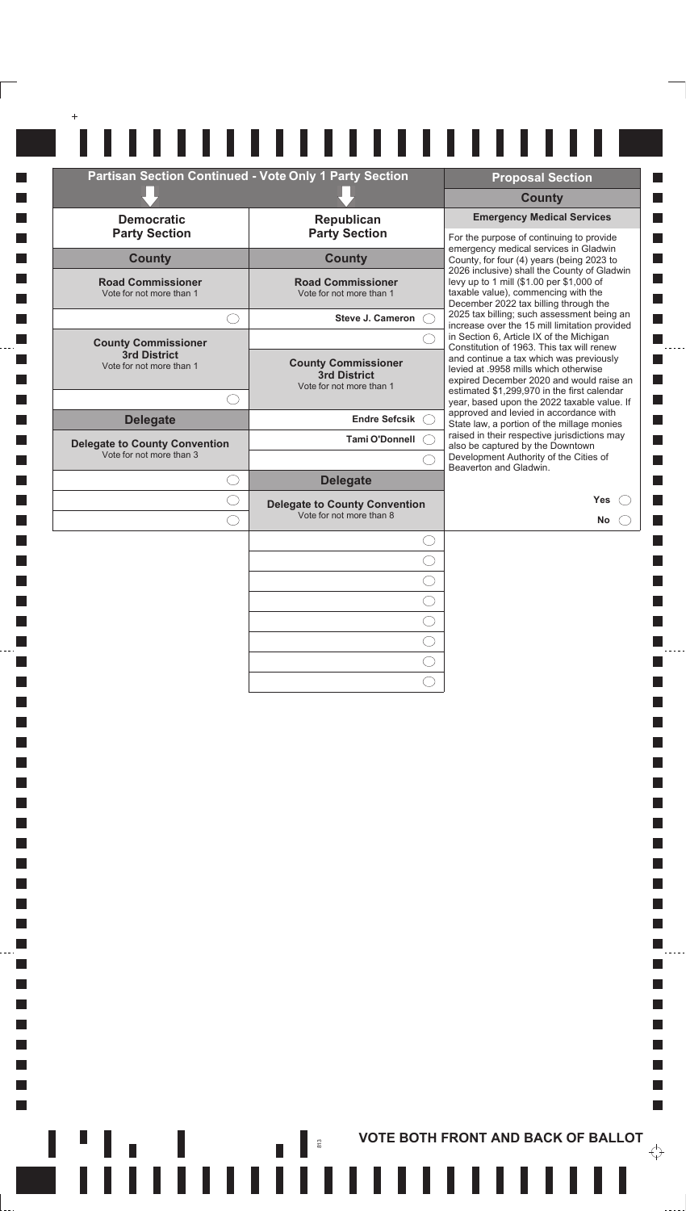|                                                                  | Partisan Section Continued - Vote Only 1 Party Section                        | <b>Proposal Section</b>                                                                                                                                                     |
|------------------------------------------------------------------|-------------------------------------------------------------------------------|-----------------------------------------------------------------------------------------------------------------------------------------------------------------------------|
|                                                                  |                                                                               | <b>County</b>                                                                                                                                                               |
| <b>Democratic</b><br><b>Party Section</b>                        | Republican<br><b>Party Section</b>                                            | <b>Emergency Medical Services</b><br>For the purpose of continuing to provide                                                                                               |
| <b>County</b>                                                    | <b>County</b>                                                                 | emergency medical services in Gladwin<br>County, for four (4) years (being 2023 to                                                                                          |
| <b>Road Commissioner</b><br>Vote for not more than 1             | <b>Road Commissioner</b><br>Vote for not more than 1                          | 2026 inclusive) shall the County of Gladwin<br>levy up to 1 mill (\$1.00 per \$1,000 of<br>taxable value), commencing with the<br>December 2022 tax billing through the     |
|                                                                  | Steve J. Cameron                                                              | 2025 tax billing; such assessment being an<br>increase over the 15 mill limitation provided                                                                                 |
| <b>County Commissioner</b>                                       |                                                                               | in Section 6, Article IX of the Michigan<br>Constitution of 1963. This tax will renew                                                                                       |
| 3rd District<br>Vote for not more than 1                         | <b>County Commissioner</b><br><b>3rd District</b><br>Vote for not more than 1 | and continue a tax which was previously<br>levied at .9958 mills which otherwise<br>expired December 2020 and would raise an<br>estimated \$1,299,970 in the first calendar |
|                                                                  |                                                                               | year, based upon the 2022 taxable value. If<br>approved and levied in accordance with                                                                                       |
| <b>Delegate</b>                                                  | <b>Endre Sefcsik</b><br><b>Tami O'Donnell</b>                                 | State law, a portion of the millage monies<br>raised in their respective jurisdictions may                                                                                  |
| <b>Delegate to County Convention</b><br>Vote for not more than 3 |                                                                               | also be captured by the Downtown<br>Development Authority of the Cities of                                                                                                  |
|                                                                  | <b>Delegate</b>                                                               | Beaverton and Gladwin.                                                                                                                                                      |
|                                                                  | <b>Delegate to County Convention</b>                                          | Yes                                                                                                                                                                         |
|                                                                  | Vote for not more than 8                                                      | <b>No</b>                                                                                                                                                                   |
|                                                                  |                                                                               |                                                                                                                                                                             |
|                                                                  |                                                                               |                                                                                                                                                                             |
|                                                                  |                                                                               |                                                                                                                                                                             |
|                                                                  |                                                                               |                                                                                                                                                                             |
|                                                                  |                                                                               |                                                                                                                                                                             |
|                                                                  |                                                                               |                                                                                                                                                                             |
|                                                                  |                                                                               |                                                                                                                                                                             |

 $\blacksquare$  Tiittituttiittituttiitti

 $\Box$ 

 $\Box$  $\Box$ 

 $\Box$  $\Box$ 

 $\Box$ 

 $\Box$ 

 $\Box$ 

 $\Box$ 

**I**  $\overline{\mathcal{A}}$ 

 $\mathcal{L}_{\mathcal{A}}$ 

 $\overline{\phantom{a}}$ 

 $\mathcal{L}_{\mathcal{A}}$ 

 $\overline{\phantom{a}}$ 

 $\overline{\mathbb{R}}$ F  $\overline{\phantom{a}}$ 

. . . . .

П

П П

 $\Box$ 

П

П П

 $\blacksquare$ 

П

 $\mathcal{L}_{\mathcal{A}}$  $\Box$ 

 $\Box$ 

 $\Box$ 

 $\mathbb{R}^n$ 

 $\overleftrightarrow{\cdot}$ 

 $\frac{1}{2}$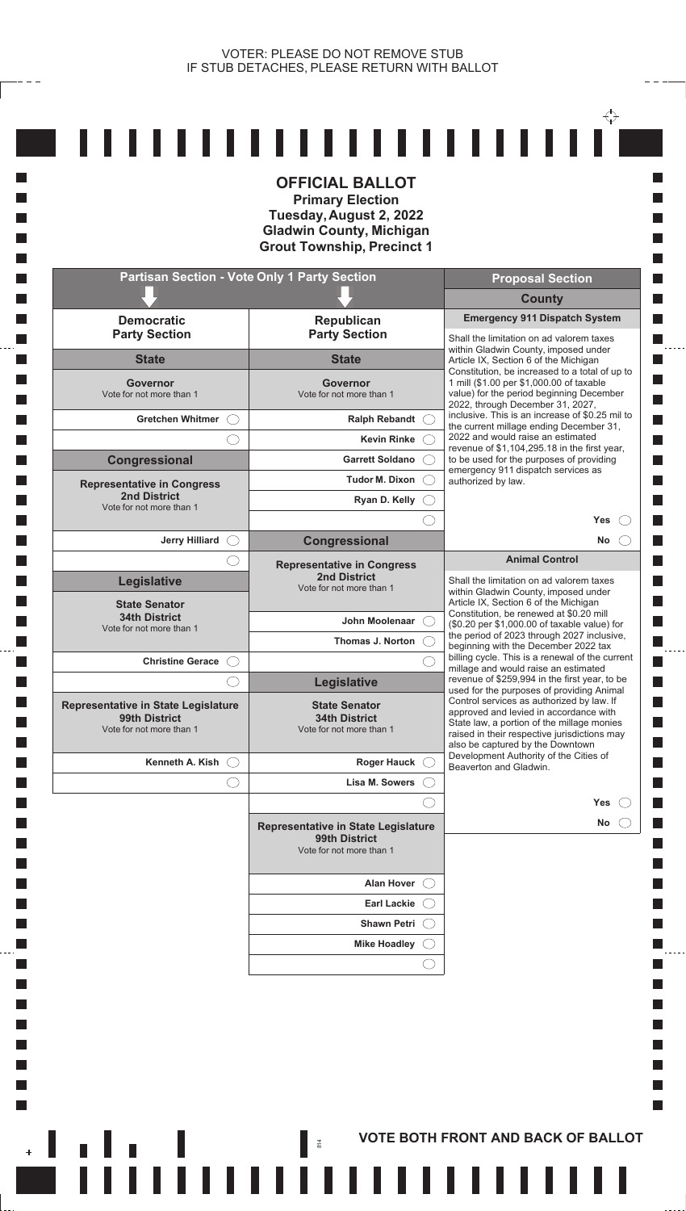**T** 

П

 $\Box$ 

**Tall** 

**Tale** 

**Tall** 

**In** 

**Talent** 

**Tale** 

**Tale** 

k.

 $\mathcal{L}_{\mathcal{A}}$ **T** 

L.

 $\mathbb{R}^n$ 

|                                                                                         | <b>OFFICIAL BALLOT</b><br><b>Primary Election</b><br>Tuesday, August 2, 2022<br><b>Gladwin County, Michigan</b><br><b>Grout Township, Precinct 1</b> |                                                                                                                                                                                                                                                                    |
|-----------------------------------------------------------------------------------------|------------------------------------------------------------------------------------------------------------------------------------------------------|--------------------------------------------------------------------------------------------------------------------------------------------------------------------------------------------------------------------------------------------------------------------|
| <b>Partisan Section - Vote Only 1 Party Section</b>                                     |                                                                                                                                                      | <b>Proposal Section</b>                                                                                                                                                                                                                                            |
|                                                                                         |                                                                                                                                                      | <b>County</b>                                                                                                                                                                                                                                                      |
| <b>Democratic</b><br><b>Party Section</b>                                               | <b>Republican</b><br><b>Party Section</b>                                                                                                            | <b>Emergency 911 Dispatch System</b><br>Shall the limitation on ad valorem taxes                                                                                                                                                                                   |
| <b>State</b>                                                                            | <b>State</b>                                                                                                                                         | within Gladwin County, imposed under<br>Article IX, Section 6 of the Michigan                                                                                                                                                                                      |
| Governor<br>Vote for not more than 1                                                    | <b>Governor</b><br>Vote for not more than 1                                                                                                          | Constitution, be increased to a total of up to<br>1 mill (\$1.00 per \$1,000.00 of taxable<br>value) for the period beginning December<br>2022, through December 31, 2027,                                                                                         |
| Gretchen Whitmer (                                                                      | Ralph Rebandt C                                                                                                                                      | inclusive. This is an increase of \$0.25 mil to<br>the current millage ending December 31,                                                                                                                                                                         |
|                                                                                         | Kevin Rinke (                                                                                                                                        | 2022 and would raise an estimated<br>revenue of \$1,104,295.18 in the first year,                                                                                                                                                                                  |
| <b>Congressional</b>                                                                    | Garrett Soldano (                                                                                                                                    | to be used for the purposes of providing<br>emergency 911 dispatch services as                                                                                                                                                                                     |
| <b>Representative in Congress</b>                                                       | Tudor M. Dixon (                                                                                                                                     | authorized by law.                                                                                                                                                                                                                                                 |
| <b>2nd District</b><br>Vote for not more than 1                                         | Ryan D. Kelly $\bigcirc$                                                                                                                             |                                                                                                                                                                                                                                                                    |
|                                                                                         |                                                                                                                                                      | Yes                                                                                                                                                                                                                                                                |
| <b>Jerry Hilliard</b><br>$\left(\begin{array}{c} \end{array}\right)$                    | Congressional                                                                                                                                        | No<br>$\left( \begin{array}{c} \end{array} \right)$                                                                                                                                                                                                                |
| <b>Legislative</b>                                                                      | <b>Representative in Congress</b><br><b>2nd District</b><br>Vote for not more than 1                                                                 | <b>Animal Control</b><br>Shall the limitation on ad valorem taxes<br>within Gladwin County, imposed under                                                                                                                                                          |
| <b>State Senator</b><br><b>34th District</b>                                            |                                                                                                                                                      | Article IX, Section 6 of the Michigan<br>Constitution, be renewed at \$0.20 mill                                                                                                                                                                                   |
| Vote for not more than 1                                                                | John Moolenaar                                                                                                                                       | (\$0.20 per \$1,000.00 of taxable value) for<br>the period of 2023 through 2027 inclusive,                                                                                                                                                                         |
|                                                                                         | Thomas J. Norton $\bigcirc$                                                                                                                          | beginning with the December 2022 tax<br>billing cycle. This is a renewal of the current<br>millage and would raise an estimated<br>revenue of \$259,994 in the first year, to be                                                                                   |
| <b>Christine Gerace ()</b>                                                              |                                                                                                                                                      |                                                                                                                                                                                                                                                                    |
| <b>Representative in State Legislature</b><br>99th District<br>Vote for not more than 1 | <b>Legislative</b><br><b>State Senator</b><br><b>34th District</b><br>Vote for not more than 1                                                       | used for the purposes of providing Animal<br>Control services as authorized by law. If<br>approved and levied in accordance with<br>State law, a portion of the millage monies<br>raised in their respective jurisdictions may<br>also be captured by the Downtown |
| Kenneth A. Kish (                                                                       | Roger Hauck O                                                                                                                                        | Development Authority of the Cities of<br>Beaverton and Gladwin.                                                                                                                                                                                                   |
| ( )                                                                                     | Lisa M. Sowers                                                                                                                                       |                                                                                                                                                                                                                                                                    |
|                                                                                         |                                                                                                                                                      | Yes                                                                                                                                                                                                                                                                |
|                                                                                         | <b>Representative in State Legislature</b><br>99th District<br>Vote for not more than 1                                                              | No.                                                                                                                                                                                                                                                                |
|                                                                                         | Alan Hover (                                                                                                                                         |                                                                                                                                                                                                                                                                    |
|                                                                                         | Earl Lackie (                                                                                                                                        |                                                                                                                                                                                                                                                                    |
|                                                                                         | Shawn Petri (                                                                                                                                        |                                                                                                                                                                                                                                                                    |
|                                                                                         | Mike Hoadley (                                                                                                                                       |                                                                                                                                                                                                                                                                    |
|                                                                                         |                                                                                                                                                      |                                                                                                                                                                                                                                                                    |
|                                                                                         |                                                                                                                                                      |                                                                                                                                                                                                                                                                    |

**FITTIIIIIIIIIIIIIIIIIIIIII** 

,,,,,,,,,,,,,,,,,,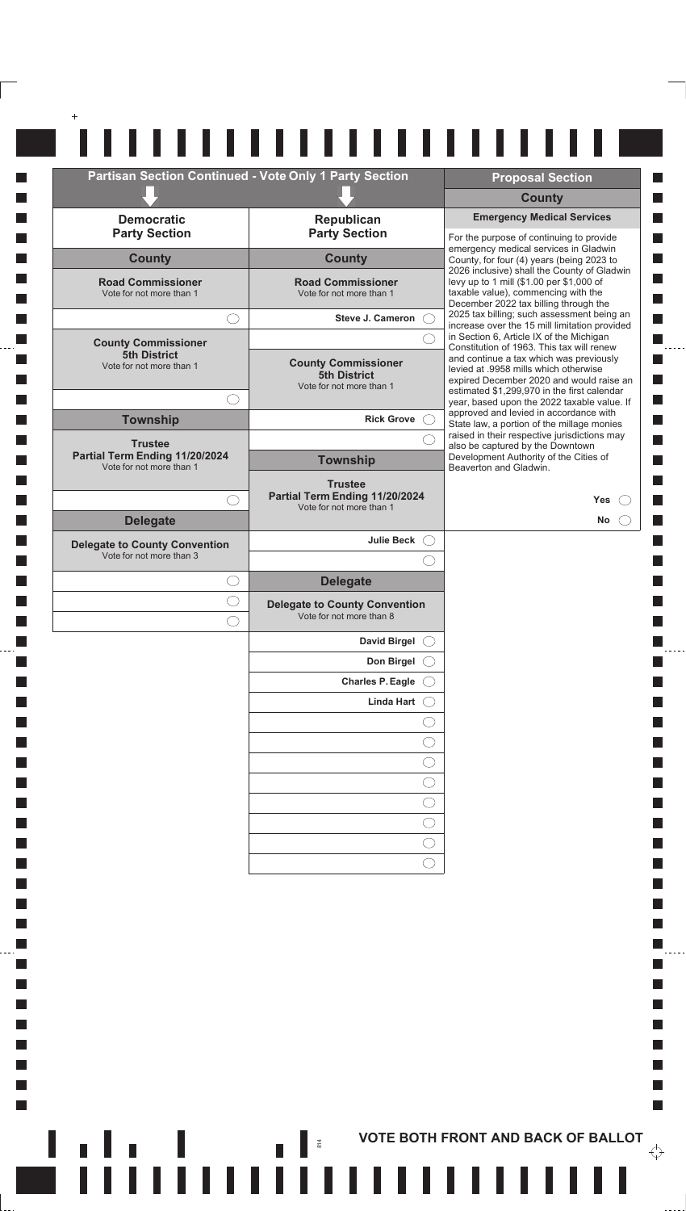| <b>Partisan Section Continued - Vote Only 1 Party Section</b>                |                                                                               |   | <b>Proposal Section</b>                                                                                                                                                     |
|------------------------------------------------------------------------------|-------------------------------------------------------------------------------|---|-----------------------------------------------------------------------------------------------------------------------------------------------------------------------------|
|                                                                              |                                                                               |   | <b>County</b>                                                                                                                                                               |
| <b>Democratic</b><br><b>Party Section</b>                                    | Republican<br><b>Party Section</b>                                            |   | <b>Emergency Medical Services</b><br>For the purpose of continuing to provide                                                                                               |
| <b>County</b>                                                                | <b>County</b>                                                                 |   | emergency medical services in Gladwin<br>County, for four (4) years (being 2023 to                                                                                          |
| <b>Road Commissioner</b><br>Vote for not more than 1                         | <b>Road Commissioner</b><br>Vote for not more than 1                          |   | 2026 inclusive) shall the County of Gladwin<br>levy up to 1 mill (\$1.00 per \$1,000 of<br>taxable value), commencing with the<br>December 2022 tax billing through the     |
| $\left(\begin{array}{c} \end{array}\right)$                                  | Steve J. Cameron (                                                            |   | 2025 tax billing; such assessment being an<br>increase over the 15 mill limitation provided                                                                                 |
| <b>County Commissioner</b>                                                   |                                                                               |   | in Section 6, Article IX of the Michigan<br>Constitution of 1963. This tax will renew                                                                                       |
| <b>5th District</b><br>Vote for not more than 1                              | <b>County Commissioner</b><br><b>5th District</b><br>Vote for not more than 1 |   | and continue a tax which was previously<br>levied at .9958 mills which otherwise<br>expired December 2020 and would raise an<br>estimated \$1,299,970 in the first calendar |
| $( \ )$<br><b>Township</b>                                                   | <b>Rick Grove</b>                                                             |   | year, based upon the 2022 taxable value. If<br>approved and levied in accordance with                                                                                       |
|                                                                              |                                                                               |   | State law, a portion of the millage monies<br>raised in their respective jurisdictions may                                                                                  |
| <b>Trustee</b><br>Partial Term Ending 11/20/2024<br>Vote for not more than 1 | <b>Township</b>                                                               |   | also be captured by the Downtown<br>Development Authority of the Cities of<br>Beaverton and Gladwin.                                                                        |
|                                                                              | <b>Trustee</b>                                                                |   |                                                                                                                                                                             |
| ◯                                                                            | Partial Term Ending 11/20/2024<br>Vote for not more than 1                    |   | <b>Yes</b>                                                                                                                                                                  |
| <b>Delegate</b>                                                              |                                                                               |   | No                                                                                                                                                                          |
| <b>Delegate to County Convention</b><br>Vote for not more than 3             | <b>Julie Beck</b>                                                             | ( |                                                                                                                                                                             |
|                                                                              |                                                                               |   |                                                                                                                                                                             |
| $\left(\begin{array}{c} \end{array}\right)$                                  | <b>Delegate</b>                                                               |   |                                                                                                                                                                             |
|                                                                              | <b>Delegate to County Convention</b><br>Vote for not more than 8              |   |                                                                                                                                                                             |
|                                                                              | <b>David Birgel</b>                                                           |   |                                                                                                                                                                             |
|                                                                              | Don Birgel                                                                    |   |                                                                                                                                                                             |
|                                                                              | <b>Charles P. Eagle</b>                                                       |   |                                                                                                                                                                             |
|                                                                              | Linda Hart                                                                    |   |                                                                                                                                                                             |
|                                                                              |                                                                               |   |                                                                                                                                                                             |
|                                                                              |                                                                               |   |                                                                                                                                                                             |
|                                                                              |                                                                               |   |                                                                                                                                                                             |
|                                                                              |                                                                               |   |                                                                                                                                                                             |
|                                                                              |                                                                               |   |                                                                                                                                                                             |
|                                                                              |                                                                               |   |                                                                                                                                                                             |
|                                                                              |                                                                               |   |                                                                                                                                                                             |

 $\mathcal{L}_{\mathcal{A}}$ 

 $\mathcal{L}_{\mathcal{A}}$ 

 $\mathcal{L}_{\mathcal{A}}$ 

 $\overline{\phantom{a}}$ 

Г  $\overline{\phantom{a}}$ 

**A** 

 $\overline{\mathcal{L}}$  $\frac{1}{2}$ 

 $\Box$ 

П

 $\mathbb{R}^n$ 

 $\overleftrightarrow{\cdot}$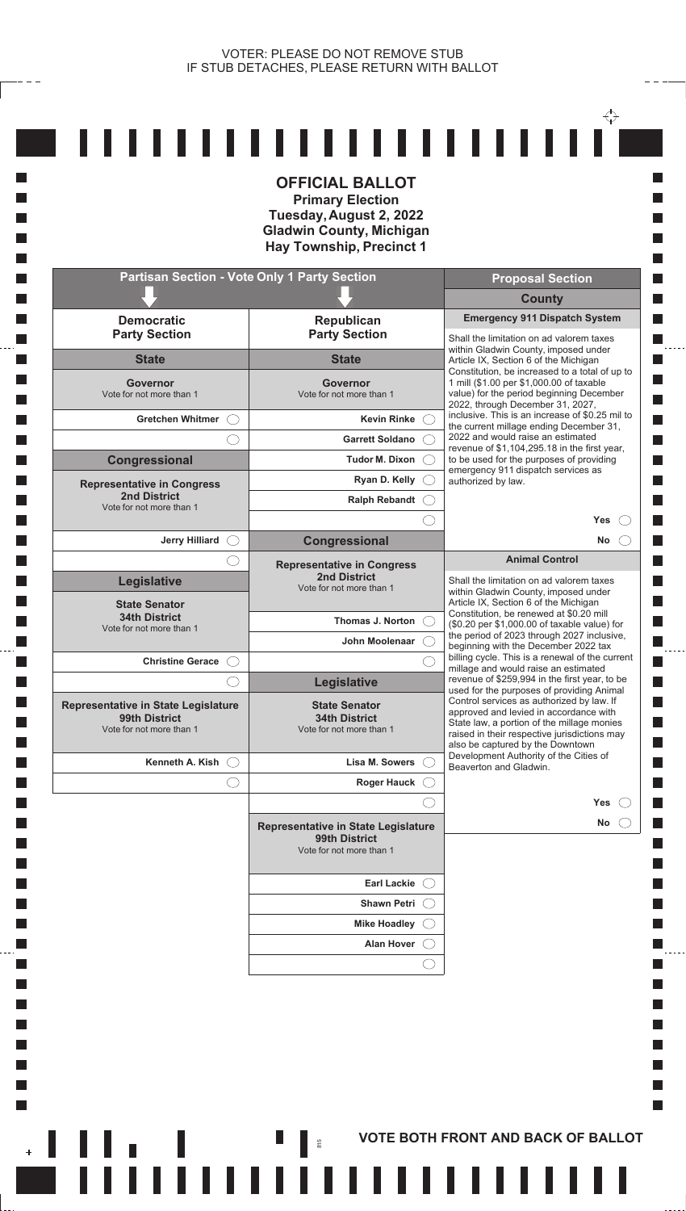$\overleftrightarrow{\cdot}$ 

 $- - -$ 

**Tale** 

**I** 

П

**In** 

**I** 

L. **I** 

**I** 

**Talent** 

h.

 $\mathcal{L}_{\mathcal{A}}$ 

**I** 

k.

 $\mathbb{R}^n$ 

|                                                                                         | <b>OFFICIAL BALLOT</b><br><b>Primary Election</b><br>Tuesday, August 2, 2022<br><b>Gladwin County, Michigan</b><br><b>Hay Township, Precinct 1</b> |                                                                                                                                                                                                                       |
|-----------------------------------------------------------------------------------------|----------------------------------------------------------------------------------------------------------------------------------------------------|-----------------------------------------------------------------------------------------------------------------------------------------------------------------------------------------------------------------------|
|                                                                                         | <b>Partisan Section - Vote Only 1 Party Section</b>                                                                                                | <b>Proposal Section</b>                                                                                                                                                                                               |
|                                                                                         |                                                                                                                                                    | <b>County</b>                                                                                                                                                                                                         |
| <b>Democratic</b><br><b>Party Section</b>                                               | <b>Republican</b><br><b>Party Section</b>                                                                                                          | <b>Emergency 911 Dispatch System</b><br>Shall the limitation on ad valorem taxes                                                                                                                                      |
| <b>State</b>                                                                            | <b>State</b>                                                                                                                                       | within Gladwin County, imposed under<br>Article IX, Section 6 of the Michigan                                                                                                                                         |
| Governor<br>Vote for not more than 1                                                    | <b>Governor</b><br>Vote for not more than 1                                                                                                        | Constitution, be increased to a total of up to<br>1 mill (\$1.00 per \$1,000.00 of taxable<br>value) for the period beginning December                                                                                |
| Gretchen Whitmer (                                                                      | <b>Kevin Rinke</b>                                                                                                                                 | 2022, through December 31, 2027,<br>inclusive. This is an increase of \$0.25 mil to                                                                                                                                   |
|                                                                                         | <b>Garrett Soldano</b>                                                                                                                             | the current millage ending December 31,<br>2022 and would raise an estimated                                                                                                                                          |
| <b>Congressional</b>                                                                    | Tudor M. Dixon                                                                                                                                     | revenue of \$1,104,295.18 in the first year,<br>to be used for the purposes of providing                                                                                                                              |
| <b>Representative in Congress</b>                                                       | Ryan D. Kelly (                                                                                                                                    | emergency 911 dispatch services as<br>authorized by law.                                                                                                                                                              |
| <b>2nd District</b><br>Vote for not more than 1                                         | Ralph Rebandt (                                                                                                                                    |                                                                                                                                                                                                                       |
|                                                                                         |                                                                                                                                                    | <b>Yes</b>                                                                                                                                                                                                            |
| Jerry Hilliard $\bigcirc$                                                               | Congressional                                                                                                                                      | No                                                                                                                                                                                                                    |
|                                                                                         | <b>Representative in Congress</b>                                                                                                                  | <b>Animal Control</b>                                                                                                                                                                                                 |
| <b>Legislative</b><br><b>State Senator</b>                                              | <b>2nd District</b><br>Vote for not more than 1                                                                                                    | Shall the limitation on ad valorem taxes<br>within Gladwin County, imposed under<br>Article IX, Section 6 of the Michigan                                                                                             |
| <b>34th District</b>                                                                    | <b>Thomas J. Norton</b>                                                                                                                            | Constitution, be renewed at \$0.20 mill<br>(\$0.20 per \$1,000.00 of taxable value) for                                                                                                                               |
| Vote for not more than 1                                                                | John Moolenaar                                                                                                                                     | the period of 2023 through 2027 inclusive,<br>beginning with the December 2022 tax                                                                                                                                    |
| <b>Christine Gerace</b> ()                                                              |                                                                                                                                                    | billing cycle. This is a renewal of the current<br>millage and would raise an estimated                                                                                                                               |
|                                                                                         | Legislative                                                                                                                                        | revenue of \$259,994 in the first year, to be<br>used for the purposes of providing Animal                                                                                                                            |
| <b>Representative in State Legislature</b><br>99th District<br>Vote for not more than 1 | <b>State Senator</b><br><b>34th District</b><br>Vote for not more than 1                                                                           | Control services as authorized by law. If<br>approved and levied in accordance with<br>State law, a portion of the millage monies<br>raised in their respective jurisdictions may<br>also be captured by the Downtown |
| Kenneth A. Kish $\bigcirc$                                                              | Lisa M. Sowers                                                                                                                                     | Development Authority of the Cities of<br>Beaverton and Gladwin.                                                                                                                                                      |
|                                                                                         | Roger Hauck (                                                                                                                                      |                                                                                                                                                                                                                       |
|                                                                                         |                                                                                                                                                    | <b>Yes</b>                                                                                                                                                                                                            |
|                                                                                         | Representative in State Legislature<br>99th District<br>Vote for not more than 1                                                                   | No                                                                                                                                                                                                                    |
|                                                                                         | <b>Earl Lackie</b>                                                                                                                                 |                                                                                                                                                                                                                       |
|                                                                                         | <b>Shawn Petri</b>                                                                                                                                 |                                                                                                                                                                                                                       |
|                                                                                         | <b>Mike Hoadley</b>                                                                                                                                |                                                                                                                                                                                                                       |
|                                                                                         | <b>Alan Hover</b>                                                                                                                                  |                                                                                                                                                                                                                       |
|                                                                                         |                                                                                                                                                    |                                                                                                                                                                                                                       |
|                                                                                         |                                                                                                                                                    |                                                                                                                                                                                                                       |

+ ┃ ┃ ┃ ┃ ┃ ┃ VOTE BOTH FRONT AND BACK OF BALLOT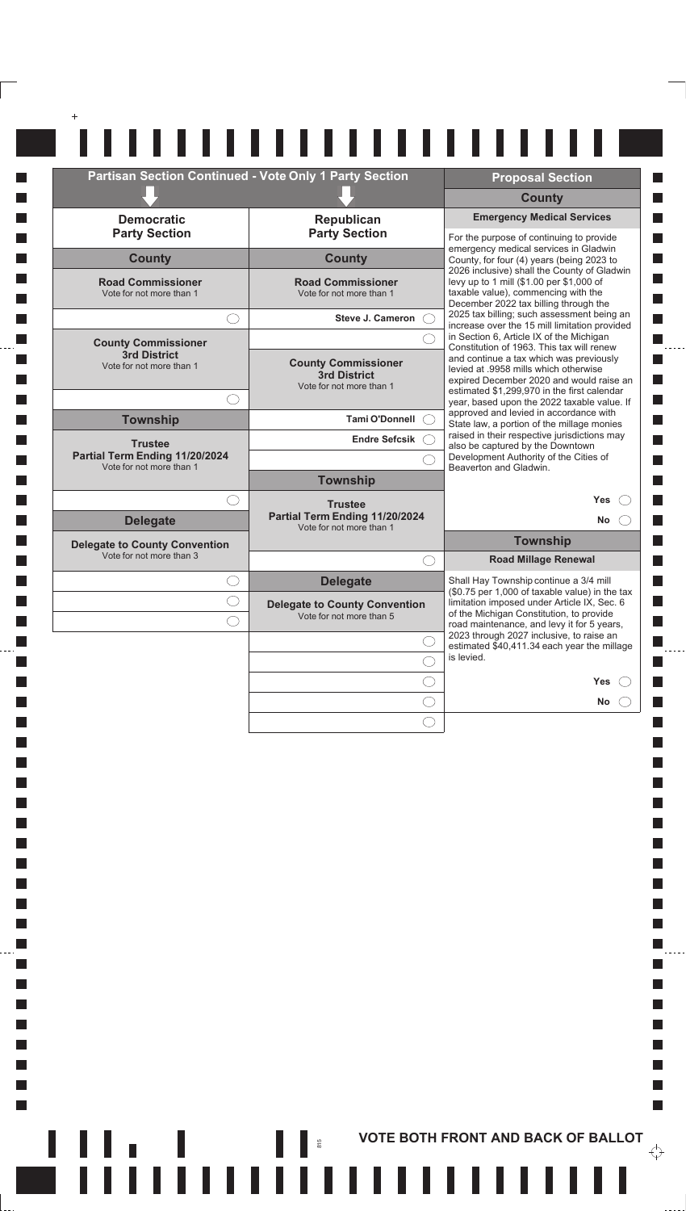| <b>Partisan Section Continued - Vote Only 1 Party Section</b> |                                                                        | <b>Proposal Section</b>                                                                                                                                                                                                                                              |
|---------------------------------------------------------------|------------------------------------------------------------------------|----------------------------------------------------------------------------------------------------------------------------------------------------------------------------------------------------------------------------------------------------------------------|
|                                                               |                                                                        | <b>County</b>                                                                                                                                                                                                                                                        |
| <b>Democratic</b><br><b>Party Section</b>                     | Republican<br><b>Party Section</b>                                     | <b>Emergency Medical Services</b><br>For the purpose of continuing to provide                                                                                                                                                                                        |
| <b>County</b>                                                 | <b>County</b>                                                          | emergency medical services in Gladwin<br>County, for four (4) years (being 2023 to                                                                                                                                                                                   |
| <b>Road Commissioner</b><br>Vote for not more than 1          | <b>Road Commissioner</b><br>Vote for not more than 1                   | 2026 inclusive) shall the County of Gladwin<br>levy up to 1 mill (\$1.00 per \$1,000 of<br>taxable value), commencing with the<br>December 2022 tax billing through the                                                                                              |
| $($ $)$                                                       | Steve J. Cameron (                                                     | 2025 tax billing; such assessment being an<br>increase over the 15 mill limitation provided                                                                                                                                                                          |
| <b>County Commissioner</b>                                    |                                                                        | in Section 6, Article IX of the Michigan<br>Constitution of 1963. This tax will renew                                                                                                                                                                                |
| 3rd District<br>Vote for not more than 1                      | <b>County Commissioner</b><br>3rd District<br>Vote for not more than 1 | and continue a tax which was previously<br>levied at .9958 mills which otherwise<br>expired December 2020 and would raise an<br>estimated \$1,299,970 in the first calendar<br>year, based upon the 2022 taxable value. If<br>approved and levied in accordance with |
| $($ )                                                         | <b>Tami O'Donnell</b>                                                  |                                                                                                                                                                                                                                                                      |
| <b>Township</b>                                               | Endre Sefcsik (                                                        | State law, a portion of the millage monies<br>raised in their respective jurisdictions may                                                                                                                                                                           |
| <b>Trustee</b><br>Partial Term Ending 11/20/2024              |                                                                        | also be captured by the Downtown<br>Development Authority of the Cities of                                                                                                                                                                                           |
| Vote for not more than 1                                      | <b>Township</b>                                                        | Beaverton and Gladwin.                                                                                                                                                                                                                                               |
| $(\ )$                                                        | <b>Trustee</b>                                                         | <b>Yes</b>                                                                                                                                                                                                                                                           |
| <b>Delegate</b>                                               | Partial Term Ending 11/20/2024<br>Vote for not more than 1             | <b>No</b><br>$\left( \begin{array}{c} \end{array} \right)$                                                                                                                                                                                                           |
| <b>Delegate to County Convention</b>                          |                                                                        | <b>Township</b>                                                                                                                                                                                                                                                      |
| Vote for not more than 3                                      | $\left(\begin{array}{c} \end{array}\right)$                            | <b>Road Millage Renewal</b>                                                                                                                                                                                                                                          |
| $( \ )$                                                       | <b>Delegate</b>                                                        | Shall Hay Township continue a 3/4 mill<br>(\$0.75 per 1,000 of taxable value) in the tax                                                                                                                                                                             |
|                                                               | <b>Delegate to County Convention</b><br>Vote for not more than 5       | limitation imposed under Article IX, Sec. 6<br>of the Michigan Constitution, to provide                                                                                                                                                                              |
|                                                               |                                                                        | road maintenance, and levy it for 5 years,<br>2023 through 2027 inclusive, to raise an                                                                                                                                                                               |
|                                                               |                                                                        | estimated \$40,411.34 each year the millage<br>is levied.                                                                                                                                                                                                            |
|                                                               |                                                                        | Yes                                                                                                                                                                                                                                                                  |
|                                                               |                                                                        | No                                                                                                                                                                                                                                                                   |
|                                                               |                                                                        |                                                                                                                                                                                                                                                                      |

 $\Box$ 

П  $\Box$ 

П

 $\Box$ 

П

 $\Box$ 

**I**  $\mathcal{L}_{\mathcal{A}}$ 

 $\mathcal{L}_{\mathcal{A}}$ 

 $\overline{\phantom{a}}$ 

 $\mathcal{L}_{\mathcal{A}}$ 

 $\overline{\phantom{a}}$ 

F  $\mathbb{R}^n$ 

. . . . .

 $\Box$ П

 $\Box$ 

П

П П

 $\blacksquare$ 

П

 $\mathcal{L}_{\mathcal{A}}$  $\Box$ 

 $\Box$ 

 $\Box$ 

 $\mathbb{R}^n$ 

 $\overleftrightarrow{\cdot}$ 

 $\frac{1}{2}$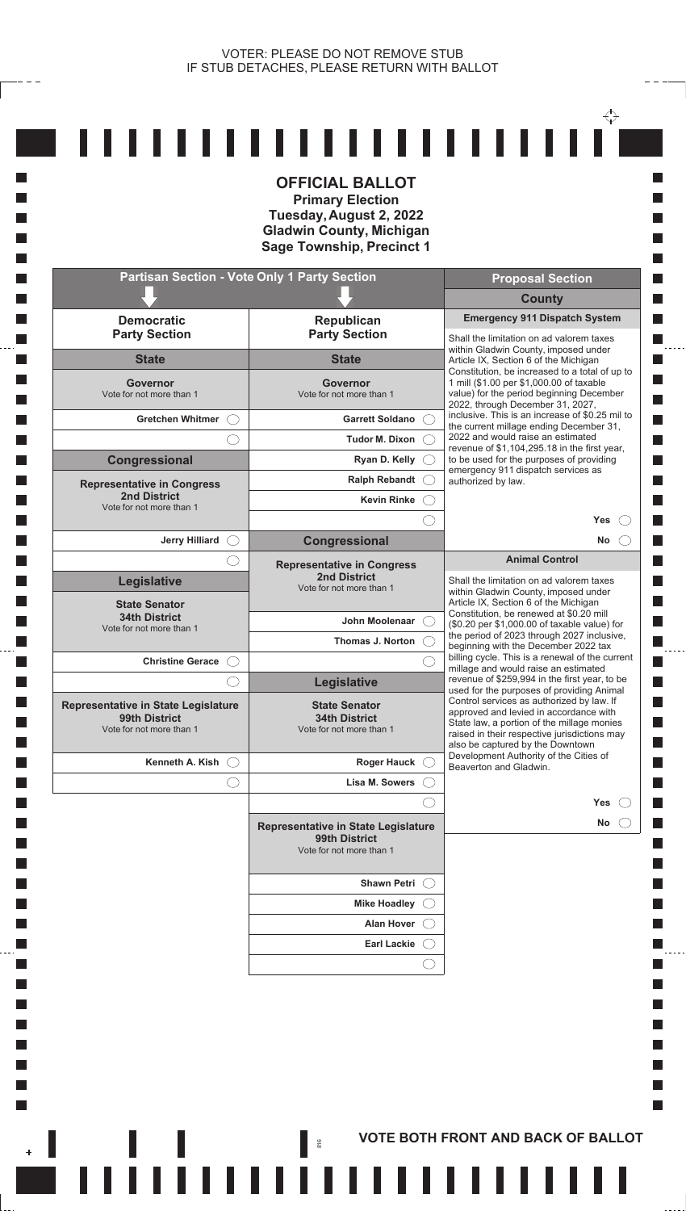$\overleftrightarrow{\cdot}$ 

 $- - -$ 

**I** 

П

**I** 

**Tall** 

**The State** 

L.

**I** 

**I** 

**I** 

**The State** 

k.

 $\mathcal{L}_{\mathcal{A}}$ 

**I** 

k.

 $\mathbb{R}^n$ 

|                                                                                         | <b>OFFICIAL BALLOT</b><br><b>Primary Election</b><br>Tuesday, August 2, 2022<br><b>Gladwin County, Michigan</b><br><b>Sage Township, Precinct 1</b> |                                                                                                                                                                                                                       |
|-----------------------------------------------------------------------------------------|-----------------------------------------------------------------------------------------------------------------------------------------------------|-----------------------------------------------------------------------------------------------------------------------------------------------------------------------------------------------------------------------|
|                                                                                         | <b>Partisan Section - Vote Only 1 Party Section</b>                                                                                                 | <b>Proposal Section</b>                                                                                                                                                                                               |
|                                                                                         |                                                                                                                                                     | <b>County</b>                                                                                                                                                                                                         |
| <b>Democratic</b><br><b>Party Section</b>                                               | Republican<br><b>Party Section</b>                                                                                                                  | <b>Emergency 911 Dispatch System</b><br>Shall the limitation on ad valorem taxes                                                                                                                                      |
| <b>State</b>                                                                            | <b>State</b>                                                                                                                                        | within Gladwin County, imposed under<br>Article IX, Section 6 of the Michigan                                                                                                                                         |
| Governor<br>Vote for not more than 1                                                    | <b>Governor</b><br>Vote for not more than 1                                                                                                         | Constitution, be increased to a total of up to<br>1 mill (\$1.00 per \$1,000.00 of taxable<br>value) for the period beginning December                                                                                |
| Gretchen Whitmer (                                                                      | <b>Garrett Soldano</b>                                                                                                                              | 2022, through December 31, 2027,<br>inclusive. This is an increase of \$0.25 mil to                                                                                                                                   |
|                                                                                         | Tudor M. Dixon                                                                                                                                      | the current millage ending December 31,<br>2022 and would raise an estimated                                                                                                                                          |
| <b>Congressional</b>                                                                    | Ryan D. Kelly (                                                                                                                                     | revenue of \$1,104,295.18 in the first year,<br>to be used for the purposes of providing                                                                                                                              |
| <b>Representative in Congress</b>                                                       | Ralph Rebandt (                                                                                                                                     | emergency 911 dispatch services as<br>authorized by law.                                                                                                                                                              |
| <b>2nd District</b><br>Vote for not more than 1                                         | <b>Kevin Rinke</b>                                                                                                                                  |                                                                                                                                                                                                                       |
|                                                                                         |                                                                                                                                                     | <b>Yes</b>                                                                                                                                                                                                            |
| Jerry Hilliard O                                                                        | <b>Congressional</b>                                                                                                                                | <b>No</b>                                                                                                                                                                                                             |
| <b>Legislative</b>                                                                      | <b>Representative in Congress</b><br><b>2nd District</b>                                                                                            | <b>Animal Control</b><br>Shall the limitation on ad valorem taxes                                                                                                                                                     |
| <b>State Senator</b>                                                                    | Vote for not more than 1                                                                                                                            | within Gladwin County, imposed under<br>Article IX, Section 6 of the Michigan                                                                                                                                         |
| <b>34th District</b><br>Vote for not more than 1                                        | John Moolenaar                                                                                                                                      | Constitution, be renewed at \$0.20 mill<br>(\$0.20 per \$1,000.00 of taxable value) for                                                                                                                               |
|                                                                                         | Thomas J. Norton                                                                                                                                    | the period of 2023 through 2027 inclusive,<br>beginning with the December 2022 tax                                                                                                                                    |
| Christine Gerace (                                                                      |                                                                                                                                                     | billing cycle. This is a renewal of the current<br>millage and would raise an estimated                                                                                                                               |
|                                                                                         | Legislative                                                                                                                                         | revenue of \$259,994 in the first year, to be<br>used for the purposes of providing Animal                                                                                                                            |
| <b>Representative in State Legislature</b><br>99th District<br>Vote for not more than 1 | <b>State Senator</b><br><b>34th District</b><br>Vote for not more than 1                                                                            | Control services as authorized by law. If<br>approved and levied in accordance with<br>State law, a portion of the millage monies<br>raised in their respective jurisdictions may<br>also be captured by the Downtown |
| Kenneth A. Kish $\bigcirc$                                                              | Roger Hauck (                                                                                                                                       | Development Authority of the Cities of<br>Beaverton and Gladwin.                                                                                                                                                      |
|                                                                                         | Lisa M. Sowers                                                                                                                                      |                                                                                                                                                                                                                       |
|                                                                                         |                                                                                                                                                     | Yes                                                                                                                                                                                                                   |
|                                                                                         | <b>Representative in State Legislature</b><br>99th District<br>Vote for not more than 1                                                             | No                                                                                                                                                                                                                    |
|                                                                                         | Shawn Petri (                                                                                                                                       |                                                                                                                                                                                                                       |
|                                                                                         | <b>Mike Hoadley</b>                                                                                                                                 |                                                                                                                                                                                                                       |
|                                                                                         | <b>Alan Hover</b>                                                                                                                                   |                                                                                                                                                                                                                       |
|                                                                                         | <b>Earl Lackie</b>                                                                                                                                  |                                                                                                                                                                                                                       |
|                                                                                         |                                                                                                                                                     |                                                                                                                                                                                                                       |

,,,,,,,,,

**FIIIIIIIIIIIIIIIIIIIIIIIII** 

,,,,,,,,,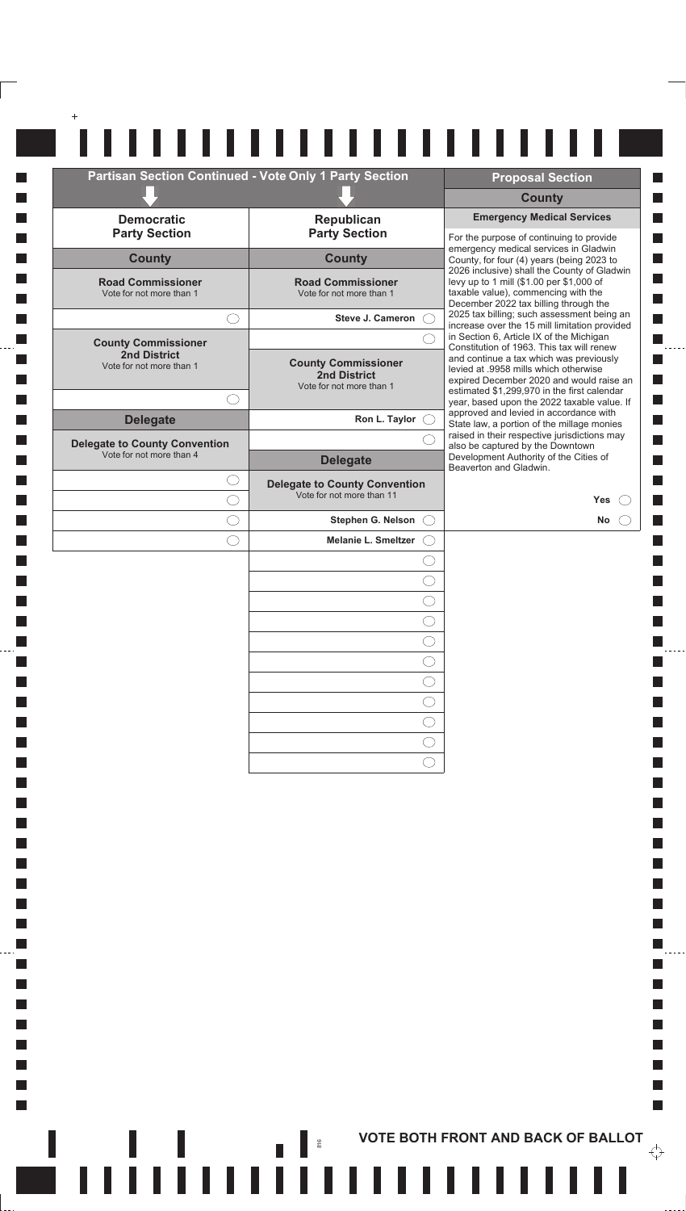| Partisan Section Continued - Vote Only 1 Party Section |                                                                   | <b>Proposal Section</b><br><b>County</b>                                                                                                                                |
|--------------------------------------------------------|-------------------------------------------------------------------|-------------------------------------------------------------------------------------------------------------------------------------------------------------------------|
| <b>Democratic</b>                                      | Republican                                                        | <b>Emergency Medical Services</b>                                                                                                                                       |
| <b>Party Section</b>                                   | <b>Party Section</b>                                              | For the purpose of continuing to provide                                                                                                                                |
| <b>County</b>                                          | <b>County</b>                                                     | emergency medical services in Gladwin<br>County, for four (4) years (being 2023 to                                                                                      |
| <b>Road Commissioner</b><br>Vote for not more than 1   | <b>Road Commissioner</b><br>Vote for not more than 1              | 2026 inclusive) shall the County of Gladwin<br>levy up to 1 mill (\$1.00 per \$1,000 of<br>taxable value), commencing with the<br>December 2022 tax billing through the |
|                                                        | <b>Steve J. Cameron</b>                                           | 2025 tax billing; such assessment being an<br>increase over the 15 mill limitation provided                                                                             |
| <b>County Commissioner</b>                             |                                                                   | in Section 6, Article IX of the Michigan<br>Constitution of 1963. This tax will renew                                                                                   |
| <b>2nd District</b><br>Vote for not more than 1        | <b>County Commissioner</b><br><b>2nd District</b>                 | and continue a tax which was previously<br>levied at .9958 mills which otherwise<br>expired December 2020 and would raise an                                            |
|                                                        | Vote for not more than 1                                          | estimated \$1,299,970 in the first calendar<br>year, based upon the 2022 taxable value. If                                                                              |
| <b>Delegate</b>                                        | Ron L. Taylor $\bigcirc$                                          | approved and levied in accordance with<br>State law, a portion of the millage monies                                                                                    |
| <b>Delegate to County Convention</b>                   |                                                                   | raised in their respective jurisdictions may<br>also be captured by the Downtown                                                                                        |
| Vote for not more than 4                               | <b>Delegate</b>                                                   | Development Authority of the Cities of<br>Beaverton and Gladwin.                                                                                                        |
|                                                        | <b>Delegate to County Convention</b><br>Vote for not more than 11 | <b>Yes</b>                                                                                                                                                              |
|                                                        | Stephen G. Nelson                                                 | No                                                                                                                                                                      |
|                                                        | <b>Melanie L. Smeltzer</b>                                        |                                                                                                                                                                         |
|                                                        |                                                                   |                                                                                                                                                                         |
|                                                        |                                                                   |                                                                                                                                                                         |
|                                                        |                                                                   |                                                                                                                                                                         |
|                                                        |                                                                   |                                                                                                                                                                         |
|                                                        |                                                                   |                                                                                                                                                                         |
|                                                        |                                                                   |                                                                                                                                                                         |
|                                                        |                                                                   |                                                                                                                                                                         |
|                                                        |                                                                   |                                                                                                                                                                         |
|                                                        |                                                                   |                                                                                                                                                                         |
|                                                        |                                                                   |                                                                                                                                                                         |
|                                                        |                                                                   |                                                                                                                                                                         |

**I**  $\Box$ **I**  $\Box$ П  $\Box$ **I**  $\mathcal{L}_{\mathcal{A}}$  $\overline{\phantom{a}}$  $\mathcal{L}_{\mathcal{A}}$  $\mathcal{L}_{\mathcal{A}}$  $\Box$  $\Box$  $\Box$ П  $\Box$ П  $\Box$ П  $\Box$ П  $\Box$ **I**  $\mathcal{L}_{\mathcal{A}}$  $\mathcal{L}_{\mathcal{A}}$  $\Box$  $\Box$  $\Box$ П  $\Box$ П  $\Box$ П  $\Box$ П  $\Box$ 

**I**  $\mathcal{L}_{\mathcal{A}}$ 

 $\mathcal{L}_{\mathcal{A}}$ 

 $\overline{\phantom{a}}$ 

 $\mathcal{L}_{\mathcal{A}}$ 

 $\overline{\phantom{a}}$ 

 $\overline{\mathbb{R}}$ F  $\mathbb{R}^n$ 

> **AND RESPONSE TO A PROTECT AND BACK OF BALLOT**  $\overleftrightarrow{\mathbf{C}}$

 $\mathcal{L}_{\mathcal{A}}$  $\blacksquare$ 

 $\mathcal{L}_{\mathcal{A}}$  $\Box$ 

 $\Box$ 

 $\Box$ 

 $\mathbb{R}^n$ 

 $\frac{1}{2}$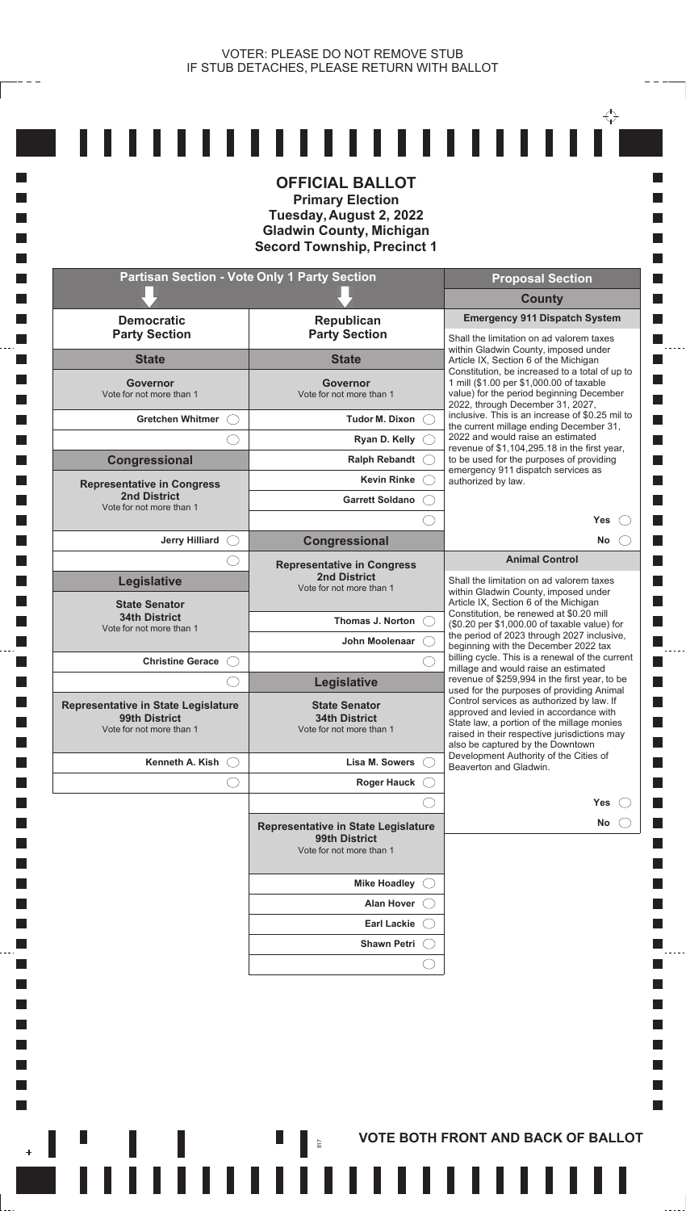**I** П

**I Tall Tale T** 

**T** 

**Tale T** 

**I I I** 

**Tale T** 

**Tale T** 

 $\Box$ **I**  $\mathcal{L}_{\mathcal{A}}$  $\mathcal{L}_{\mathcal{A}}$ **I** П

 $\mathbb{R}^n$ 

|                                                                                  | <b>OFFICIAL BALLOT</b><br><b>Primary Election</b><br>Tuesday, August 2, 2022<br><b>Gladwin County, Michigan</b><br><b>Secord Township, Precinct 1</b> |                                                                                                                                                                          |
|----------------------------------------------------------------------------------|-------------------------------------------------------------------------------------------------------------------------------------------------------|--------------------------------------------------------------------------------------------------------------------------------------------------------------------------|
|                                                                                  | <b>Partisan Section - Vote Only 1 Party Section</b>                                                                                                   | <b>Proposal Section</b>                                                                                                                                                  |
|                                                                                  |                                                                                                                                                       | <b>County</b>                                                                                                                                                            |
| <b>Democratic</b><br><b>Party Section</b>                                        | Republican<br><b>Party Section</b>                                                                                                                    | <b>Emergency 911 Dispatch System</b><br>Shall the limitation on ad valorem taxes                                                                                         |
| <b>State</b>                                                                     | <b>State</b>                                                                                                                                          | within Gladwin County, imposed under<br>Article IX, Section 6 of the Michigan<br>Constitution, be increased to a total of up to                                          |
| Governor<br>Vote for not more than 1                                             | Governor<br>Vote for not more than 1                                                                                                                  | 1 mill (\$1.00 per \$1,000.00 of taxable<br>value) for the period beginning December<br>2022, through December 31, 2027,                                                 |
| <b>Gretchen Whitmer</b>                                                          | <b>Tudor M. Dixon</b>                                                                                                                                 | inclusive. This is an increase of \$0.25 mil to<br>the current millage ending December 31,                                                                               |
|                                                                                  | Ryan D. Kelly $\bigcirc$                                                                                                                              | 2022 and would raise an estimated<br>revenue of \$1,104,295.18 in the first year,                                                                                        |
| <b>Congressional</b>                                                             | Ralph Rebandt C                                                                                                                                       | to be used for the purposes of providing<br>emergency 911 dispatch services as                                                                                           |
| <b>Representative in Congress</b>                                                | <b>Kevin Rinke</b>                                                                                                                                    | authorized by law.                                                                                                                                                       |
| <b>2nd District</b><br>Vote for not more than 1                                  | <b>Garrett Soldano</b>                                                                                                                                |                                                                                                                                                                          |
| <b>Jerry Hilliard</b>                                                            | Congressional                                                                                                                                         | Yes<br>No                                                                                                                                                                |
|                                                                                  | <b>Representative in Congress</b>                                                                                                                     | <b>Animal Control</b>                                                                                                                                                    |
| <b>Legislative</b>                                                               | <b>2nd District</b><br>Vote for not more than 1                                                                                                       | Shall the limitation on ad valorem taxes<br>within Gladwin County, imposed under                                                                                         |
| <b>State Senator</b>                                                             |                                                                                                                                                       | Article IX, Section 6 of the Michigan<br>Constitution, be renewed at \$0.20 mill                                                                                         |
| <b>34th District</b><br>Vote for not more than 1                                 | Thomas J. Norton                                                                                                                                      | (\$0.20 per \$1,000.00 of taxable value) for<br>the period of 2023 through 2027 inclusive,                                                                               |
|                                                                                  | John Moolenaar                                                                                                                                        | beginning with the December 2022 tax<br>billing cycle. This is a renewal of the current                                                                                  |
| <b>Christine Gerace</b>                                                          |                                                                                                                                                       | millage and would raise an estimated<br>revenue of \$259,994 in the first year, to be                                                                                    |
|                                                                                  | <b>Legislative</b>                                                                                                                                    | used for the purposes of providing Animal<br>Control services as authorized by law. If                                                                                   |
| Representative in State Legislature<br>99th District<br>Vote for not more than 1 | <b>State Senator</b><br><b>34th District</b><br>Vote for not more than 1                                                                              | approved and levied in accordance with<br>State law, a portion of the millage monies<br>raised in their respective jurisdictions may<br>also be captured by the Downtown |
| Kenneth A. Kish                                                                  | Lisa M. Sowers                                                                                                                                        | Development Authority of the Cities of<br>Beaverton and Gladwin.                                                                                                         |
|                                                                                  | <b>Roger Hauck</b>                                                                                                                                    |                                                                                                                                                                          |
|                                                                                  |                                                                                                                                                       | Yes                                                                                                                                                                      |
|                                                                                  | <b>Representative in State Legislature</b><br>99th District<br>Vote for not more than 1                                                               | <b>No</b>                                                                                                                                                                |
|                                                                                  | <b>Mike Hoadley</b>                                                                                                                                   |                                                                                                                                                                          |
|                                                                                  | <b>Alan Hover</b>                                                                                                                                     |                                                                                                                                                                          |
|                                                                                  | <b>Earl Lackie</b>                                                                                                                                    |                                                                                                                                                                          |
|                                                                                  | <b>Shawn Petri</b>                                                                                                                                    |                                                                                                                                                                          |
|                                                                                  |                                                                                                                                                       |                                                                                                                                                                          |
|                                                                                  |                                                                                                                                                       |                                                                                                                                                                          |

**AND RESIDENCE IN PROVIDED A PROVIDED ACK OF BALLOT**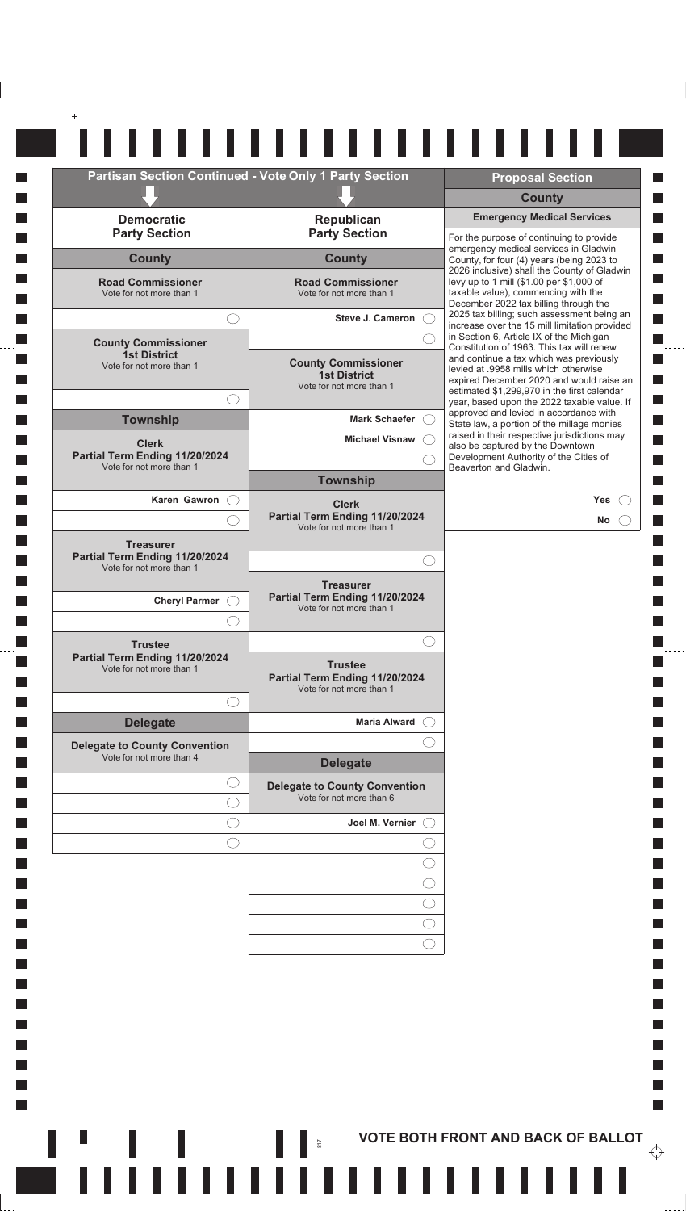| <b>Partisan Section Continued - Vote Only 1 Party Section</b>                  |                                                                                | <b>Proposal Section</b>                                                                                                                                                     |
|--------------------------------------------------------------------------------|--------------------------------------------------------------------------------|-----------------------------------------------------------------------------------------------------------------------------------------------------------------------------|
|                                                                                |                                                                                | <b>County</b>                                                                                                                                                               |
| <b>Democratic</b><br><b>Party Section</b>                                      | Republican<br><b>Party Section</b>                                             | <b>Emergency Medical Services</b><br>For the purpose of continuing to provide                                                                                               |
| <b>County</b>                                                                  | <b>County</b>                                                                  | emergency medical services in Gladwin<br>County, for four (4) years (being 2023 to                                                                                          |
| <b>Road Commissioner</b><br>Vote for not more than 1                           | <b>Road Commissioner</b><br>Vote for not more than 1                           | 2026 inclusive) shall the County of Gladwin<br>levy up to 1 mill (\$1.00 per \$1,000 of<br>taxable value), commencing with the<br>December 2022 tax billing through the     |
|                                                                                | <b>Steve J. Cameron</b>                                                        | 2025 tax billing; such assessment being an<br>increase over the 15 mill limitation provided                                                                                 |
| <b>County Commissioner</b>                                                     |                                                                                | in Section 6, Article IX of the Michigan<br>Constitution of 1963. This tax will renew                                                                                       |
| <b>1st District</b><br>Vote for not more than 1                                | <b>County Commissioner</b><br><b>1st District</b><br>Vote for not more than 1  | and continue a tax which was previously<br>levied at .9958 mills which otherwise<br>expired December 2020 and would raise an<br>estimated \$1,299,970 in the first calendar |
|                                                                                |                                                                                | year, based upon the 2022 taxable value. If<br>approved and levied in accordance with                                                                                       |
| <b>Township</b>                                                                | Mark Schaefer C<br>Michael Visnaw (                                            | State law, a portion of the millage monies<br>raised in their respective jurisdictions may                                                                                  |
| <b>Clerk</b><br>Partial Term Ending 11/20/2024                                 |                                                                                | also be captured by the Downtown<br>Development Authority of the Cities of                                                                                                  |
| Vote for not more than 1                                                       | <b>Township</b>                                                                | Beaverton and Gladwin.                                                                                                                                                      |
| Karen Gawron                                                                   |                                                                                | <b>Yes</b>                                                                                                                                                                  |
|                                                                                | <b>Clerk</b><br>Partial Term Ending 11/20/2024<br>Vote for not more than 1     | <b>No</b>                                                                                                                                                                   |
| <b>Treasurer</b><br>Partial Term Ending 11/20/2024<br>Vote for not more than 1 | $(\phantom{-})$                                                                |                                                                                                                                                                             |
| Cheryl Parmer O                                                                | <b>Treasurer</b><br>Partial Term Ending 11/20/2024<br>Vote for not more than 1 |                                                                                                                                                                             |
|                                                                                |                                                                                |                                                                                                                                                                             |
| <b>Trustee</b><br>Partial Term Ending 11/20/2024<br>Vote for not more than 1   | <b>Trustee</b><br>Partial Term Ending 11/20/2024<br>Vote for not more than 1   |                                                                                                                                                                             |
|                                                                                |                                                                                |                                                                                                                                                                             |
| <b>Delegate</b>                                                                | <b>Maria Alward</b>                                                            |                                                                                                                                                                             |
| <b>Delegate to County Convention</b><br>Vote for not more than 4               |                                                                                |                                                                                                                                                                             |
|                                                                                | <b>Delegate</b>                                                                |                                                                                                                                                                             |
|                                                                                | <b>Delegate to County Convention</b><br>Vote for not more than 6               |                                                                                                                                                                             |
|                                                                                | Joel M. Vernier (                                                              |                                                                                                                                                                             |
| ()                                                                             |                                                                                |                                                                                                                                                                             |
|                                                                                |                                                                                |                                                                                                                                                                             |
|                                                                                |                                                                                |                                                                                                                                                                             |
|                                                                                |                                                                                |                                                                                                                                                                             |
|                                                                                |                                                                                |                                                                                                                                                                             |

**In**  $\Box$ **I**  $\Box$ П  $\Box$ **In**  $\mathcal{L}_{\mathcal{A}}$  $\overline{\phantom{a}}$  $\mathcal{L}_{\mathcal{A}}$  $\mathcal{L}_{\mathcal{A}}$  $\Box$ П  $\Box$ П  $\Box$ П  $\Box$ П  $\Box$ П  $\Box$ **In**  $\mathcal{L}_{\mathcal{A}}$  $\mathcal{L}_{\mathcal{A}}$  $\Box$ **In**  $\Box$ П  $\Box$ П  $\Box$ **I**  $\Box$ П  $\Box$ **I**  $\mathcal{L}_{\mathcal{A}}$  $\overline{\phantom{a}}$  $\overline{\phantom{a}}$  $\mathcal{L}_{\mathcal{A}}$ 

 $\overline{\phantom{a}}$ 

 $\overline{\mathbb{R}}$ п  $\mathbb{R}^n$ 

- 11111

**THE RESERVING RESIDENCE IN THE SET OF BOTH FRONT AND BACK OF BALLOT** 

L.

 $\overleftrightarrow{\cdot}$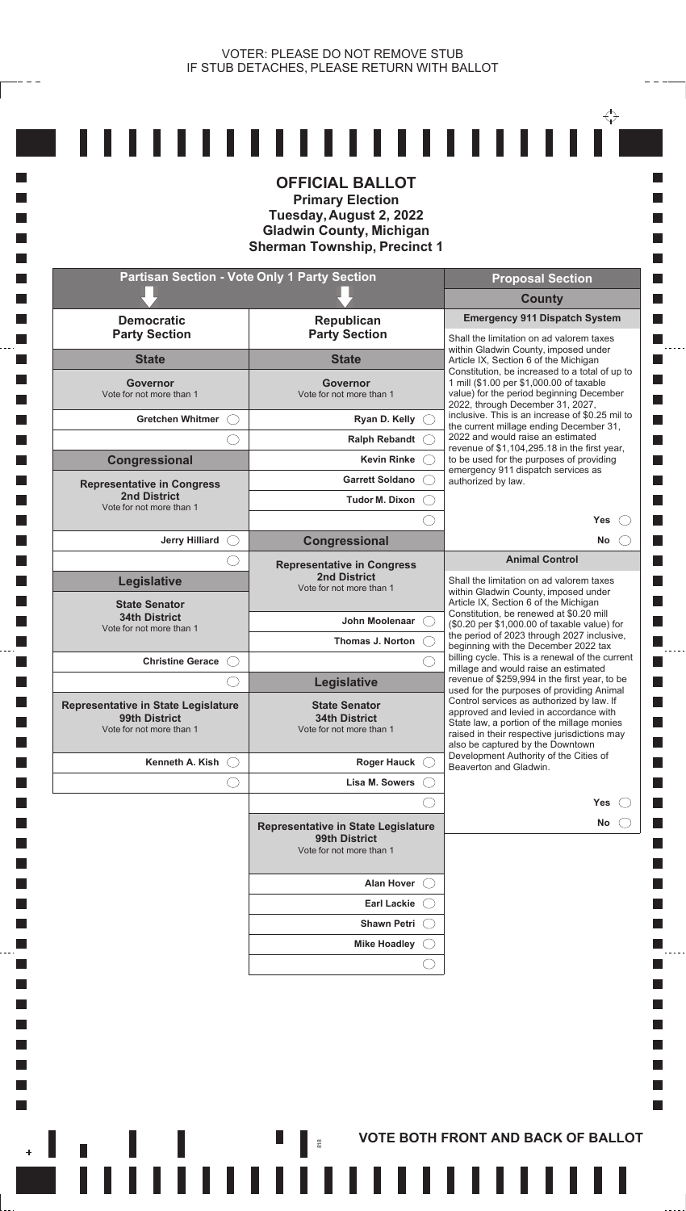$- - -$ 

**T** П **In Tall T T** 

**T T** 

 $\Box$ **T Tale** 

**In**  $\Box$  $\mathbb{R}^n$ 

> $\Box$ **T**

> **T**

 $\Box$  $\Box$  $\mathcal{L}_{\mathcal{A}}$  $\mathcal{L}_{\mathcal{A}}$ **T** L.

 $\overline{\phantom{a}}$ 

|                                                                                      | <b>Primary Election</b><br>Tuesday, August 2, 2022<br><b>Gladwin County, Michigan</b><br><b>Sherman Township, Precinct 1</b> |                                                                                                                                                                                                                                                                    |
|--------------------------------------------------------------------------------------|------------------------------------------------------------------------------------------------------------------------------|--------------------------------------------------------------------------------------------------------------------------------------------------------------------------------------------------------------------------------------------------------------------|
|                                                                                      | <b>Partisan Section - Vote Only 1 Party Section</b>                                                                          | <b>Proposal Section</b>                                                                                                                                                                                                                                            |
|                                                                                      |                                                                                                                              | <b>County</b>                                                                                                                                                                                                                                                      |
| <b>Democratic</b><br><b>Party Section</b>                                            | <b>Republican</b><br><b>Party Section</b>                                                                                    | <b>Emergency 911 Dispatch System</b><br>Shall the limitation on ad valorem taxes                                                                                                                                                                                   |
| <b>State</b>                                                                         | <b>State</b>                                                                                                                 | within Gladwin County, imposed under<br>Article IX, Section 6 of the Michigan<br>Constitution, be increased to a total of up to                                                                                                                                    |
| Governor<br>Vote for not more than 1                                                 | Governor<br>Vote for not more than 1                                                                                         | 1 mill (\$1.00 per \$1,000.00 of taxable<br>value) for the period beginning December<br>2022, through December 31, 2027,                                                                                                                                           |
| <b>Gretchen Whitmer</b>                                                              | Ryan D. Kelly                                                                                                                | inclusive. This is an increase of \$0.25 mil to<br>the current millage ending December 31,                                                                                                                                                                         |
|                                                                                      | <b>Ralph Rebandt</b>                                                                                                         | 2022 and would raise an estimated<br>revenue of \$1,104,295.18 in the first year,                                                                                                                                                                                  |
| Congressional                                                                        | <b>Kevin Rinke</b><br><b>Garrett Soldano</b>                                                                                 | to be used for the purposes of providing<br>emergency 911 dispatch services as<br>authorized by law.                                                                                                                                                               |
| <b>Representative in Congress</b><br><b>2nd District</b><br>Vote for not more than 1 | <b>Tudor M. Dixon</b>                                                                                                        |                                                                                                                                                                                                                                                                    |
|                                                                                      |                                                                                                                              | <b>Yes</b>                                                                                                                                                                                                                                                         |
| <b>Jerry Hilliard</b>                                                                | <b>Congressional</b>                                                                                                         | No                                                                                                                                                                                                                                                                 |
|                                                                                      | <b>Representative in Congress</b>                                                                                            | <b>Animal Control</b>                                                                                                                                                                                                                                              |
| <b>Legislative</b><br><b>State Senator</b>                                           | <b>2nd District</b><br>Vote for not more than 1                                                                              | Shall the limitation on ad valorem taxes<br>within Gladwin County, imposed under<br>Article IX, Section 6 of the Michigan<br>Constitution, be renewed at \$0.20 mill                                                                                               |
| <b>34th District</b><br>Vote for not more than 1                                     | John Moolenaar                                                                                                               | (\$0.20 per \$1,000.00 of taxable value) for<br>the period of 2023 through 2027 inclusive,                                                                                                                                                                         |
| <b>Christine Gerace</b>                                                              | Thomas J. Norton                                                                                                             | beginning with the December 2022 tax<br>billing cycle. This is a renewal of the current                                                                                                                                                                            |
|                                                                                      | <b>Legislative</b>                                                                                                           | millage and would raise an estimated<br>revenue of \$259,994 in the first year, to be                                                                                                                                                                              |
| Representative in State Legislature<br>99th District<br>Vote for not more than 1     | <b>State Senator</b><br><b>34th District</b><br>Vote for not more than 1                                                     | used for the purposes of providing Animal<br>Control services as authorized by law. If<br>approved and levied in accordance with<br>State law, a portion of the millage monies<br>raised in their respective jurisdictions may<br>also be captured by the Downtown |
| Kenneth A. Kish                                                                      | <b>Roger Hauck</b>                                                                                                           | Development Authority of the Cities of<br>Beaverton and Gladwin.                                                                                                                                                                                                   |
|                                                                                      | Lisa M. Sowers                                                                                                               |                                                                                                                                                                                                                                                                    |
|                                                                                      |                                                                                                                              | <b>Yes</b>                                                                                                                                                                                                                                                         |
|                                                                                      | Representative in State Legislature<br>99th District<br>Vote for not more than 1                                             | No.                                                                                                                                                                                                                                                                |
|                                                                                      | <b>Alan Hover</b>                                                                                                            |                                                                                                                                                                                                                                                                    |
|                                                                                      | <b>Earl Lackie</b>                                                                                                           |                                                                                                                                                                                                                                                                    |
|                                                                                      | <b>Shawn Petri</b>                                                                                                           |                                                                                                                                                                                                                                                                    |
|                                                                                      | <b>Mike Hoadley</b>                                                                                                          |                                                                                                                                                                                                                                                                    |
|                                                                                      |                                                                                                                              |                                                                                                                                                                                                                                                                    |
|                                                                                      |                                                                                                                              |                                                                                                                                                                                                                                                                    |

**AND RESORT AND BACK OF BALLOT**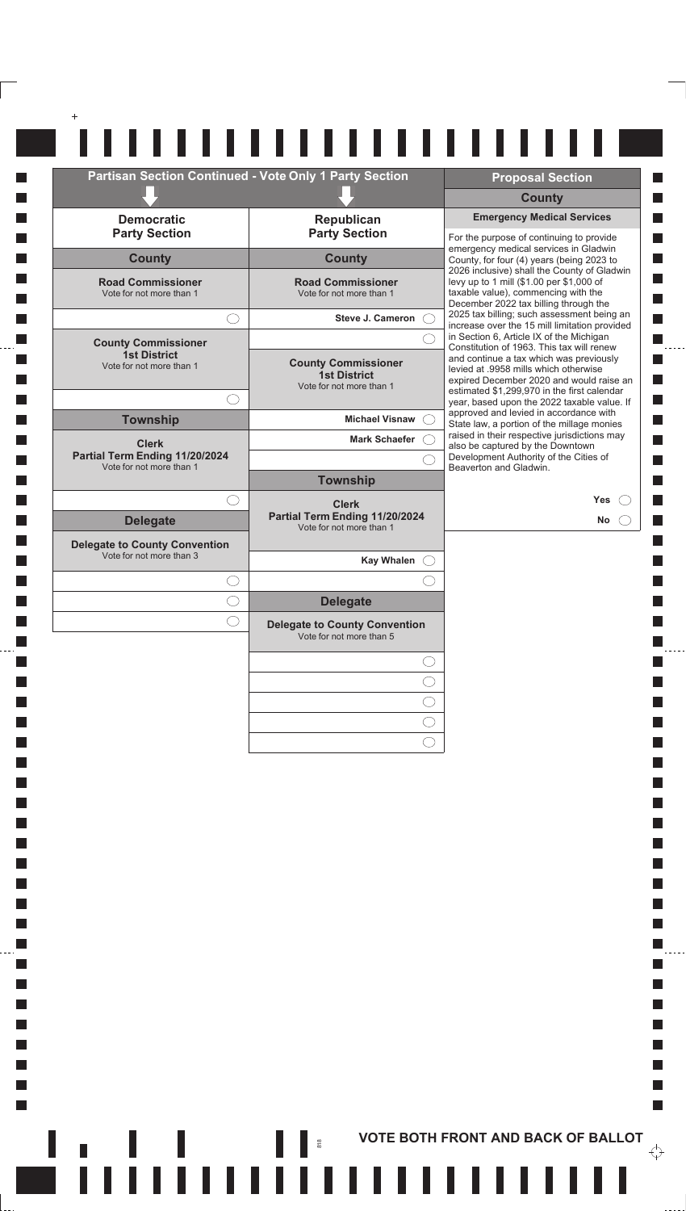| <b>Partisan Section Continued - Vote Only 1 Party Section</b> |                                                                               | <b>Proposal Section</b>                                                                                                                                                                                                                                                                                            |
|---------------------------------------------------------------|-------------------------------------------------------------------------------|--------------------------------------------------------------------------------------------------------------------------------------------------------------------------------------------------------------------------------------------------------------------------------------------------------------------|
|                                                               |                                                                               | <b>County</b>                                                                                                                                                                                                                                                                                                      |
| <b>Democratic</b><br><b>Party Section</b>                     | <b>Republican</b><br><b>Party Section</b>                                     | <b>Emergency Medical Services</b><br>For the purpose of continuing to provide                                                                                                                                                                                                                                      |
| <b>County</b>                                                 | <b>County</b>                                                                 | emergency medical services in Gladwin<br>County, for four (4) years (being 2023 to                                                                                                                                                                                                                                 |
| <b>Road Commissioner</b><br>Vote for not more than 1          | <b>Road Commissioner</b><br>Vote for not more than 1                          | 2026 inclusive) shall the County of Gladwin<br>levy up to 1 mill (\$1.00 per \$1,000 of<br>taxable value), commencing with the<br>December 2022 tax billing through the                                                                                                                                            |
| 0                                                             | <b>Steve J. Cameron</b>                                                       | 2025 tax billing; such assessment being an<br>increase over the 15 mill limitation provided                                                                                                                                                                                                                        |
| <b>County Commissioner</b>                                    |                                                                               | in Section 6, Article IX of the Michigan<br>Constitution of 1963. This tax will renew                                                                                                                                                                                                                              |
| <b>1st District</b><br>Vote for not more than 1               | <b>County Commissioner</b><br><b>1st District</b><br>Vote for not more than 1 | and continue a tax which was previously<br>levied at .9958 mills which otherwise<br>expired December 2020 and would raise an<br>estimated \$1,299,970 in the first calendar<br>year, based upon the 2022 taxable value. If<br>approved and levied in accordance with<br>State law, a portion of the millage monies |
| <b>Township</b>                                               | <b>Michael Visnaw</b>                                                         |                                                                                                                                                                                                                                                                                                                    |
| <b>Clerk</b>                                                  | <b>Mark Schaefer</b>                                                          | raised in their respective jurisdictions may<br>also be captured by the Downtown                                                                                                                                                                                                                                   |
| Partial Term Ending 11/20/2024<br>Vote for not more than 1    |                                                                               | Development Authority of the Cities of<br>Beaverton and Gladwin.                                                                                                                                                                                                                                                   |
|                                                               | <b>Township</b>                                                               |                                                                                                                                                                                                                                                                                                                    |
| . .<br><b>Delegate</b>                                        | <b>Clerk</b><br>Partial Term Ending 11/20/2024<br>Vote for not more than 1    | <b>Yes</b><br><b>No</b>                                                                                                                                                                                                                                                                                            |
| <b>Delegate to County Convention</b>                          |                                                                               |                                                                                                                                                                                                                                                                                                                    |
| Vote for not more than 3                                      | <b>Kay Whalen</b>                                                             |                                                                                                                                                                                                                                                                                                                    |
|                                                               |                                                                               |                                                                                                                                                                                                                                                                                                                    |
|                                                               | <b>Delegate</b>                                                               |                                                                                                                                                                                                                                                                                                                    |
|                                                               | <b>Delegate to County Convention</b><br>Vote for not more than 5              |                                                                                                                                                                                                                                                                                                                    |
|                                                               |                                                                               |                                                                                                                                                                                                                                                                                                                    |
|                                                               |                                                                               |                                                                                                                                                                                                                                                                                                                    |
|                                                               |                                                                               |                                                                                                                                                                                                                                                                                                                    |
|                                                               |                                                                               |                                                                                                                                                                                                                                                                                                                    |

 $\Box$  $\Box$ 

 $\Box$ 

 $\Box$ 

 $\Box$ 

 $\Box$ 

**I**  $\mathcal{L}_{\mathcal{A}}$ 

 $\mathcal{L}_{\mathcal{A}}$ 

 $\overline{\phantom{a}}$ 

 $\mathcal{L}_{\mathcal{A}}$ 

 $\overline{\phantom{a}}$ 

п  $\overline{\phantom{a}}$ 

I

**THE ROOT EXAMPLE 1**  $\frac{1}{2}$  of  $\frac{1}{2}$  of  $\frac{1}{2}$  of  $\frac{1}{2}$  of  $\frac{1}{2}$  of  $\frac{1}{2}$  of  $\frac{1}{2}$  of  $\frac{1}{2}$  of  $\frac{1}{2}$  of  $\frac{1}{2}$  of  $\frac{1}{2}$  of  $\frac{1}{2}$  of  $\frac{1}{2}$  of  $\frac{1}{2}$  of  $\frac{1}{2}$  of  $\frac{1$  $\overleftrightarrow{\cdot}$ 

 $\Box$ 

П

П П

 $\blacksquare$ 

П

 $\mathcal{L}_{\mathcal{A}}$  $\Box$ 

 $\Box$ 

 $\Box$ 

 $\mathbb{R}^n$ 

 $\frac{1}{2}$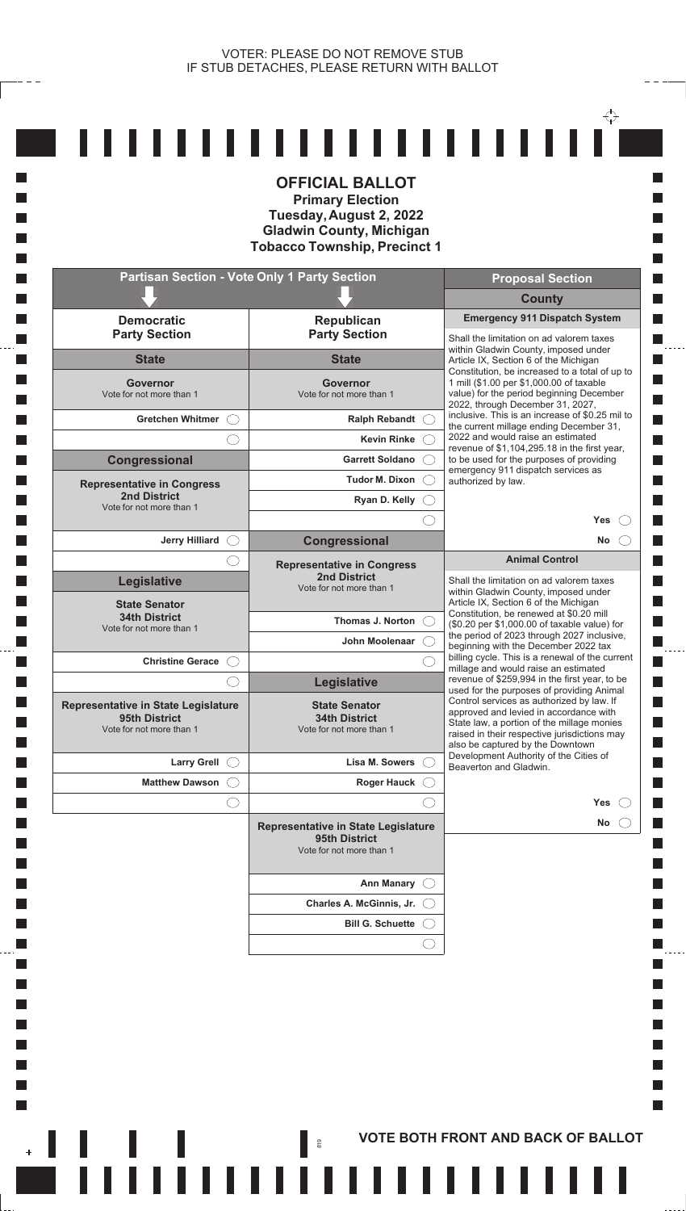**T** H

**In The State Tale T Tale** 

**Tale T** 

**Tale T** 

**In In T** L. **T T** 

**Tale T** 

 $\Box$ **T**  $\mathcal{L}_{\mathcal{A}}$  $\mathcal{L}_{\mathcal{A}}$ **I** П

 $\overline{\phantom{a}}$ 

| <b>OFFICIAL BALLOT</b><br><b>Primary Election</b><br>Tuesday, August 2, 2022<br><b>Gladwin County, Michigan</b><br><b>Tobacco Township, Precinct 1</b> |                                                                                  |                                                                                                                                                                                                                                                                                                                                                                                                        |  |  |
|--------------------------------------------------------------------------------------------------------------------------------------------------------|----------------------------------------------------------------------------------|--------------------------------------------------------------------------------------------------------------------------------------------------------------------------------------------------------------------------------------------------------------------------------------------------------------------------------------------------------------------------------------------------------|--|--|
|                                                                                                                                                        | <b>Partisan Section - Vote Only 1 Party Section</b>                              | <b>Proposal Section</b>                                                                                                                                                                                                                                                                                                                                                                                |  |  |
| <b>Democratic</b><br><b>Party Section</b>                                                                                                              | <b>Republican</b><br><b>Party Section</b>                                        | <b>County</b><br><b>Emergency 911 Dispatch System</b>                                                                                                                                                                                                                                                                                                                                                  |  |  |
| <b>State</b>                                                                                                                                           | <b>State</b>                                                                     | Shall the limitation on ad valorem taxes<br>within Gladwin County, imposed under                                                                                                                                                                                                                                                                                                                       |  |  |
| Governor<br>Vote for not more than 1                                                                                                                   | <b>Governor</b><br>Vote for not more than 1                                      | Article IX, Section 6 of the Michigan<br>Constitution, be increased to a total of up to<br>1 mill (\$1.00 per \$1,000.00 of taxable<br>value) for the period beginning December<br>2022, through December 31, 2027,<br>inclusive. This is an increase of \$0.25 mil to<br>the current millage ending December 31,<br>2022 and would raise an estimated<br>revenue of \$1,104,295.18 in the first year, |  |  |
| Gretchen Whitmer (                                                                                                                                     | Ralph Rebandt C                                                                  |                                                                                                                                                                                                                                                                                                                                                                                                        |  |  |
|                                                                                                                                                        | <b>Kevin Rinke</b>                                                               |                                                                                                                                                                                                                                                                                                                                                                                                        |  |  |
| Congressional                                                                                                                                          | <b>Garrett Soldano</b>                                                           | to be used for the purposes of providing<br>emergency 911 dispatch services as                                                                                                                                                                                                                                                                                                                         |  |  |
| <b>Representative in Congress</b><br><b>2nd District</b>                                                                                               | Tudor M. Dixon<br>Ryan D. Kelly                                                  | authorized by law.                                                                                                                                                                                                                                                                                                                                                                                     |  |  |
| Vote for not more than 1                                                                                                                               |                                                                                  | Yes                                                                                                                                                                                                                                                                                                                                                                                                    |  |  |
| <b>Jerry Hilliard</b>                                                                                                                                  | Congressional                                                                    | No<br>$($ )                                                                                                                                                                                                                                                                                                                                                                                            |  |  |
|                                                                                                                                                        | <b>Representative in Congress</b>                                                | <b>Animal Control</b>                                                                                                                                                                                                                                                                                                                                                                                  |  |  |
| <b>Legislative</b><br><b>State Senator</b>                                                                                                             | <b>2nd District</b><br>Vote for not more than 1                                  | Shall the limitation on ad valorem taxes<br>within Gladwin County, imposed under<br>Article IX, Section 6 of the Michigan                                                                                                                                                                                                                                                                              |  |  |
| <b>34th District</b><br>Vote for not more than 1                                                                                                       | Thomas J. Norton (                                                               | Constitution, be renewed at \$0.20 mill<br>(\$0.20 per \$1,000.00 of taxable value) for                                                                                                                                                                                                                                                                                                                |  |  |
|                                                                                                                                                        | John Moolenaar                                                                   | the period of 2023 through 2027 inclusive,<br>beginning with the December 2022 tax                                                                                                                                                                                                                                                                                                                     |  |  |
| <b>Christine Gerace</b>                                                                                                                                |                                                                                  | billing cycle. This is a renewal of the current<br>millage and would raise an estimated                                                                                                                                                                                                                                                                                                                |  |  |
|                                                                                                                                                        | <b>Legislative</b>                                                               | revenue of \$259,994 in the first year, to be<br>used for the purposes of providing Animal                                                                                                                                                                                                                                                                                                             |  |  |
| <b>Representative in State Legislature</b><br>95th District<br>Vote for not more than 1                                                                | <b>State Senator</b><br><b>34th District</b><br>Vote for not more than 1         | Control services as authorized by law. If<br>approved and levied in accordance with<br>State law, a portion of the millage monies<br>raised in their respective jurisdictions may<br>also be captured by the Downtown                                                                                                                                                                                  |  |  |
| Larry Grell $\bigcirc$                                                                                                                                 | Lisa M. Sowers                                                                   | Development Authority of the Cities of<br>Beaverton and Gladwin.                                                                                                                                                                                                                                                                                                                                       |  |  |
| <b>Matthew Dawson</b>                                                                                                                                  | <b>Roger Hauck</b>                                                               |                                                                                                                                                                                                                                                                                                                                                                                                        |  |  |
|                                                                                                                                                        |                                                                                  | Yes                                                                                                                                                                                                                                                                                                                                                                                                    |  |  |
|                                                                                                                                                        | Representative in State Legislature<br>95th District<br>Vote for not more than 1 | No                                                                                                                                                                                                                                                                                                                                                                                                     |  |  |
|                                                                                                                                                        | <b>Ann Manary</b>                                                                |                                                                                                                                                                                                                                                                                                                                                                                                        |  |  |
|                                                                                                                                                        | Charles A. McGinnis, Jr. (                                                       |                                                                                                                                                                                                                                                                                                                                                                                                        |  |  |
|                                                                                                                                                        |                                                                                  |                                                                                                                                                                                                                                                                                                                                                                                                        |  |  |

**AND RESORT AND BACK OF BALLOT**